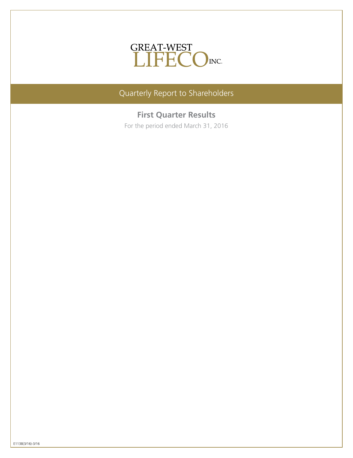

Quarterly Report to Shareholders

# **First Quarter Results**

For the period ended March 31, 2016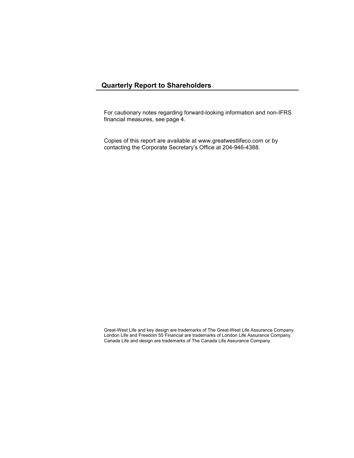# **Quarterly Report to Shareholders**

For cautionary notes regarding forward-looking information and non-IFRS financial measures, see page 4.

Copies of this report are available at www.greatwestlifeco.com or by contacting the Corporate Secretary's Office at 204-946-4388.

Great-West Life and key design are trademarks of The Great-West Life Assurance Company. London Life and Freedom 55 Financial are trademarks of London Life Assurance Company. Canada Life and design are trademarks of The Canada Life Assurance Company.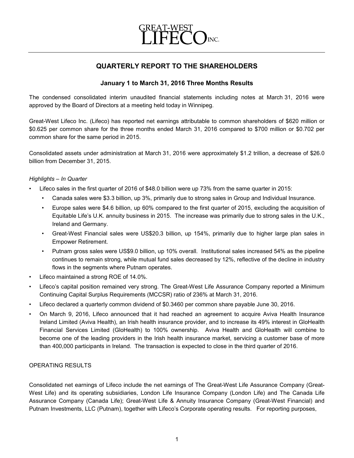

# **QUARTERLY REPORT TO THE SHAREHOLDERS**

# **January 1 to March 31, 2016 Three Months Results**

The condensed consolidated interim unaudited financial statements including notes at March 31, 2016 were approved by the Board of Directors at a meeting held today in Winnipeg.

Great-West Lifeco Inc. (Lifeco) has reported net earnings attributable to common shareholders of \$620 million or \$0.625 per common share for the three months ended March 31, 2016 compared to \$700 million or \$0.702 per common share for the same period in 2015.

Consolidated assets under administration at March 31, 2016 were approximately \$1.2 trillion, a decrease of \$26.0 billion from December 31, 2015.

# *Highlights – In Quarter*

- Lifeco sales in the first quarter of 2016 of \$48.0 billion were up 73% from the same quarter in 2015:
	- Canada sales were \$3.3 billion, up 3%, primarily due to strong sales in Group and Individual Insurance.
	- Europe sales were \$4.6 billion, up 60% compared to the first quarter of 2015, excluding the acquisition of Equitable Life's U.K. annuity business in 2015. The increase was primarily due to strong sales in the U.K., Ireland and Germany.
	- Great-West Financial sales were US\$20.3 billion, up 154%, primarily due to higher large plan sales in Empower Retirement.
	- Putnam gross sales were US\$9.0 billion, up 10% overall. Institutional sales increased 54% as the pipeline continues to remain strong, while mutual fund sales decreased by 12%, reflective of the decline in industry flows in the segments where Putnam operates.
- Lifeco maintained a strong ROE of 14.0%.
- Lifeco's capital position remained very strong. The Great-West Life Assurance Company reported a Minimum Continuing Capital Surplus Requirements (MCCSR) ratio of 236% at March 31, 2016.
- Lifeco declared a quarterly common dividend of \$0.3460 per common share payable June 30, 2016.
- On March 9, 2016, Lifeco announced that it had reached an agreement to acquire Aviva Health Insurance Ireland Limited (Aviva Health), an Irish health insurance provider, and to increase its 49% interest in GloHealth Financial Services Limited (GloHealth) to 100% ownership. Aviva Health and GloHealth will combine to become one of the leading providers in the Irish health insurance market, servicing a customer base of more than 400,000 participants in Ireland. The transaction is expected to close in the third quarter of 2016.

## OPERATING RESULTS

Consolidated net earnings of Lifeco include the net earnings of The Great-West Life Assurance Company (Great-West Life) and its operating subsidiaries, London Life Insurance Company (London Life) and The Canada Life Assurance Company (Canada Life); Great-West Life & Annuity Insurance Company (Great-West Financial) and Putnam Investments, LLC (Putnam), together with Lifeco's Corporate operating results. For reporting purposes,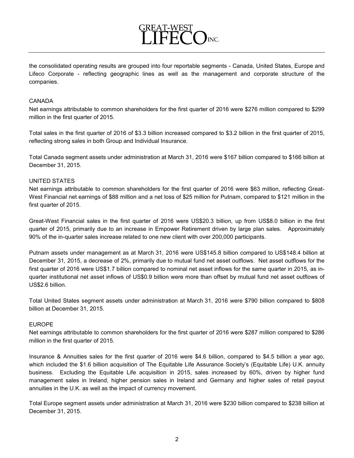

FFT

#### CANADA

Net earnings attributable to common shareholders for the first quarter of 2016 were \$276 million compared to \$299 million in the first quarter of 2015.

Total sales in the first quarter of 2016 of \$3.3 billion increased compared to \$3.2 billion in the first quarter of 2015, reflecting strong sales in both Group and Individual Insurance.

Total Canada segment assets under administration at March 31, 2016 were \$167 billion compared to \$166 billion at December 31, 2015.

# UNITED STATES

Net earnings attributable to common shareholders for the first quarter of 2016 were \$63 million, reflecting Great-West Financial net earnings of \$88 million and a net loss of \$25 million for Putnam, compared to \$121 million in the first quarter of 2015.

Great-West Financial sales in the first quarter of 2016 were US\$20.3 billion, up from US\$8.0 billion in the first quarter of 2015, primarily due to an increase in Empower Retirement driven by large plan sales. Approximately 90% of the in-quarter sales increase related to one new client with over 200,000 participants.

Putnam assets under management as at March 31, 2016 were US\$145.8 billion compared to US\$148.4 billion at December 31, 2015, a decrease of 2%, primarily due to mutual fund net asset outflows. Net asset outflows for the first quarter of 2016 were US\$1.7 billion compared to nominal net asset inflows for the same quarter in 2015, as inquarter institutional net asset inflows of US\$0.9 billion were more than offset by mutual fund net asset outflows of US\$2.6 billion.

Total United States segment assets under administration at March 31, 2016 were \$790 billion compared to \$808 billion at December 31, 2015.

## EUROPE

Net earnings attributable to common shareholders for the first quarter of 2016 were \$287 million compared to \$286 million in the first quarter of 2015.

Insurance & Annuities sales for the first quarter of 2016 were \$4.6 billion, compared to \$4.5 billion a year ago, which included the \$1.6 billion acquisition of The Equitable Life Assurance Society's (Equitable Life) U.K. annuity business. Excluding the Equitable Life acquisition in 2015, sales increased by 60%, driven by higher fund management sales in Ireland, higher pension sales in Ireland and Germany and higher sales of retail payout annuities in the U.K. as well as the impact of currency movement.

Total Europe segment assets under administration at March 31, 2016 were \$230 billion compared to \$238 billion at December 31, 2015.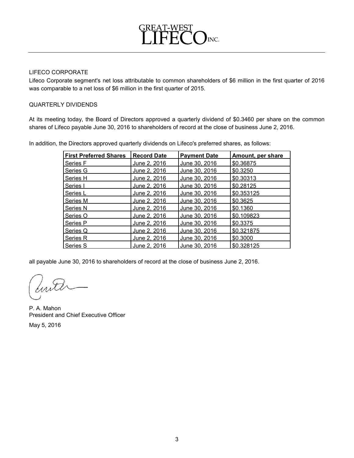

# LIFECO CORPORATE

Lifeco Corporate segment's net loss attributable to common shareholders of \$6 million in the first quarter of 2016 was comparable to a net loss of \$6 million in the first quarter of 2015.

# QUARTERLY DIVIDENDS

At its meeting today, the Board of Directors approved a quarterly dividend of \$0.3460 per share on the common shares of Lifeco payable June 30, 2016 to shareholders of record at the close of business June 2, 2016.

In addition, the Directors approved quarterly dividends on Lifeco's preferred shares, as follows:

| <b>First Preferred Shares</b> | <b>Record Date</b> | <b>Payment Date</b>  | Amount, per share |
|-------------------------------|--------------------|----------------------|-------------------|
| Series F                      | June 2, 2016       | June 30, 2016        | \$0.36875         |
| Series G                      | June 2, 2016       | <u>June 30, 2016</u> | \$0.3250          |
| Series H                      | June 2, 2016       | June 30, 2016        | \$0.30313         |
| Series I                      | June 2, 2016       | June 30, 2016        | \$0.28125         |
| Series L                      | June 2, 2016       | June 30, 2016        | \$0.353125        |
| Series M                      | June 2, 2016       | <u>June 30, 2016</u> | \$0.3625          |
| Series N                      | June 2, 2016       | June 30, 2016        | \$0.1360          |
| Series O                      | June 2, 2016       | June 30, 2016        | \$0.109823        |
| <b>Series P</b>               | June 2, 2016       | <u>June 30, 2016</u> | \$0.3375          |
| Series Q                      | June 2, 2016       | June 30, 2016        | \$0.321875        |
| <b>Series R</b>               | June 2, 2016       | June 30, 2016        | \$0.3000          |
| Series S                      | June 2, 2016       | June 30, 2016        | \$0.328125        |

all payable June 30, 2016 to shareholders of record at the close of business June 2, 2016.

P. A. Mahon President and Chief Executive Officer May 5, 2016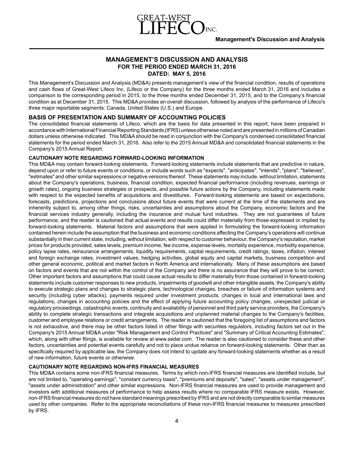

# **MANAGEMENT'S DISCUSSION AND ANALYSIS FOR THE PERIOD ENDED MARCH 31, 2016 DATED: MAY 5, 2016**

This Management's Discussion and Analysis (MD&A) presents management's view of the financial condition, results of operations and cash flows of Great-West Lifeco Inc. (Lifeco or the Company) for the three months ended March 31, 2016 and includes a comparison to the corresponding period in 2015, to the three months ended December 31, 2015, and to the Company's financial condition as at December 31, 2015. This MD&A provides an overall discussion, followed by analysis of the performance of Lifeco's three major reportable segments: Canada, United States (U.S.) and Europe.

# **BASIS OF PRESENTATION AND SUMMARY OF ACCOUNTING POLICIES**

The consolidated financial statements of Lifeco, which are the basis for data presented in this report, have been prepared in accordance with International Financial Reporting Standards (IFRS) unless otherwise noted and are presented in millions of Canadian dollars unless otherwise indicated. This MD&Ashould be read in conjunction with the Company's condensed consolidated financial statements for the period ended March 31, 2016. Also refer to the 2015 Annual MD&A and consolidated financial statements in the Company's 2015 Annual Report.

#### **CAUTIONARY NOTE REGARDING FORWARD-LOOKING INFORMATION**

This MD&A may contain forward-looking statements. Forward-looking statements include statements that are predictive in nature, depend upon or refer to future events or conditions, or include words such as "expects", "anticipates", "intends", "plans", "believes", "estimates" and other similar expressions or negative versions thereof. These statements may include, without limitation, statements about the Company's operations, business, financial condition, expected financial performance (including revenues, earnings or growth rates), ongoing business strategies or prospects, and possible future actions by the Company, including statements made with respect to the expected benefits of acquisitions and divestitures. Forward-looking statements are based on expectations, forecasts, predictions, projections and conclusions about future events that were current at the time of the statements and are inherently subject to, among other things, risks, uncertainties and assumptions about the Company, economic factors and the financial services industry generally, including the insurance and mutual fund industries. They are not guarantees of future performance, and the reader is cautioned that actual events and results could differ materially from those expressed or implied by forward-looking statements. Material factors and assumptions that were applied in formulating the forward-looking information contained herein include the assumption that the business and economic conditions affecting the Company's operations will continue substantially in their current state, including, without limitation, with respect to customer behaviour, the Company's reputation, market prices for products provided, sales levels, premium income, fee income, expense levels, mortality experience, morbidity experience, policy lapse rates, reinsurance arrangements, liquidity requirements, capital requirements, credit ratings, taxes, inflation, interest and foreign exchange rates, investment values, hedging activities, global equity and capital markets, business competition and other general economic, political and market factors in North America and internationally. Many of these assumptions are based on factors and events that are not within the control of the Company and there is no assurance that they will prove to be correct. Other important factors and assumptions that could cause actual results to differ materially from those contained in forward-looking statements include customer responses to new products, impairments of goodwill and other intangible assets, the Company's ability to execute strategic plans and changes to strategic plans, technological changes, breaches or failure of information systems and security (including cyber attacks), payments required under investment products, changes in local and international laws and regulations, changes in accounting policies and the effect of applying future accounting policy changes, unexpected judicial or regulatory proceedings, catastrophic events, continuity and availability of personnel and third party service providers, the Company's ability to complete strategic transactions and integrate acquisitions and unplanned material changes to the Company's facilities, customer and employee relations or credit arrangements. The reader is cautioned that the foregoing list of assumptions and factors is not exhaustive, and there may be other factors listed in other filings with securities regulators, including factors set out in the Company's 2015 Annual MD&A under "Risk Management and Control Practices" and "Summary of Critical Accounting Estimates", which, along with other filings, is available for review at www.sedar.com. The reader is also cautioned to consider these and other factors, uncertainties and potential events carefully and not to place undue reliance on forward-looking statements. Other than as specifically required by applicable law, the Company does not intend to update any forward-looking statements whether as a result of new information, future events or otherwise.

## **CAUTIONARY NOTE REGARDING NON-IFRS FINANCIAL MEASURES**

This MD&A contains some non-IFRS financial measures. Terms by which non-IFRS financial measures are identified include, but are not limited to, "operating earnings", "constant currency basis", "premiums and deposits", "sales", "assets under management", "assets under administration" and other similar expressions. Non-IFRS financial measures are used to provide management and investors with additional measures of performance to help assess results where no comparable IFRS measure exists. However, non-IFRS financial measures do not have standard meanings prescribed by IFRS and are not directly comparable to similar measures used by other companies. Refer to the appropriate reconciliations of these non-IFRS financial measures to measures prescribed by IFRS.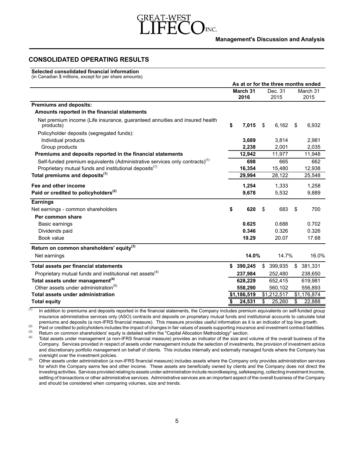

# **CONSOLIDATED OPERATING RESULTS**

#### **Selected consolidated financial information**

(in Canadian \$ millions, except for per share amounts)

|                                                                                          | As at or for the three months ended |             |         |             |    |             |
|------------------------------------------------------------------------------------------|-------------------------------------|-------------|---------|-------------|----|-------------|
|                                                                                          |                                     | March 31    | Dec. 31 |             |    | March 31    |
|                                                                                          |                                     | 2016        |         | 2015        |    | 2015        |
| <b>Premiums and deposits:</b>                                                            |                                     |             |         |             |    |             |
| Amounts reported in the financial statements                                             |                                     |             |         |             |    |             |
| Net premium income (Life insurance, guaranteed annuities and insured health<br>products) | \$                                  | 7,015       | \$      | 6,162       | \$ | 6,932       |
| Policyholder deposits (segregated funds):                                                |                                     |             |         |             |    |             |
| Individual products                                                                      |                                     | 3,689       |         | 3,814       |    | 2,981       |
| Group products                                                                           |                                     | 2.238       |         | 2.001       |    | 2,035       |
| Premiums and deposits reported in the financial statements                               |                                     | 12,942      |         | 11,977      |    | 11,948      |
| Self-funded premium equivalents (Administrative services only contracts) <sup>(1)</sup>  |                                     | 698         |         | 665         |    | 662         |
| Proprietary mutual funds and institutional deposits <sup>(1)</sup>                       |                                     | 16,354      |         | 15,480      |    | 12,938      |
| Total premiums and deposits <sup>(1)</sup>                                               |                                     | 29,994      |         | 28,122      |    | 25,548      |
| Fee and other income                                                                     |                                     | 1,254       |         | 1,333       |    | 1,258       |
| Paid or credited to policyholders <sup>(2)</sup>                                         |                                     | 9,678       |         | 5,532       |    | 9,889       |
| <b>Earnings</b>                                                                          |                                     |             |         |             |    |             |
| Net earnings - common shareholders                                                       | \$                                  | 620         | \$      | 683         | \$ | 700         |
| Per common share                                                                         |                                     |             |         |             |    |             |
| Basic earnings                                                                           |                                     | 0.625       |         | 0.688       |    | 0.702       |
| Dividends paid                                                                           |                                     | 0.346       |         | 0.326       |    | 0.326       |
| Book value                                                                               |                                     | 19.29       |         | 20.07       |    | 17.68       |
| Return on common shareholders' equity <sup>(3)</sup>                                     |                                     |             |         |             |    |             |
| Net earnings                                                                             |                                     | 14.0%       |         | 14.7%       |    | 16.0%       |
| Total assets per financial statements                                                    |                                     | \$390,245   |         | \$ 399,935  | \$ | 381,331     |
| Proprietary mutual funds and institutional net assets <sup>(4)</sup>                     |                                     | 237,984     |         | 252,480     |    | 238,650     |
| Total assets under management <sup>(4)</sup>                                             |                                     | 628.229     |         | 652,415     |    | 619,981     |
| Other assets under administration <sup>(5)</sup>                                         |                                     | 558,290     |         | 560,102     |    | 556,893     |
| Total assets under administration                                                        |                                     | \$1,186,519 |         | \$1,212,517 |    | \$1,176,874 |
| <b>Total equity</b>                                                                      | \$                                  | 24,531      | \$      | 25,260      | \$ | 22,888      |

 $(1)$  In addition to premiums and deposits reported in the financial statements, the Company includes premium equivalents on self-funded group insurance administrative services only (ASO) contracts and deposits on proprietary mutual funds and institutional accounts to calculate total premiums and deposits (a non-IFRS financial measure). This measure provides useful information as it is an indicator of top line growth.

(2) Paid or credited to policyholders includes the impact of changes in fair values of assets supporting insurance and investment contract liabilities.<br>  $\frac{1}{3}$  Petura on common oberabolders' quity is detailed within th

(3) Return on common shareholders' equity is detailed within the "Capital Allocation Methodology" section.<br>
(4) Total coasts under management (a non IEDS financial magazine) provides an indicator of the size and

Total assets under management (a non-IFRS financial measure) provides an indicator of the size and volume of the overall business of the Company. Services provided in respect of assets under management include the selection of investments, the provision of investment advice and discretionary portfolio management on behalf of clients. This includes internally and externally managed funds where the Company has oversight over the investment policies.

<sup>(5)</sup> Other assets under administration (a non-IFRS financial measure) includes assets where the Company only provides administration services for which the Company earns fee and other income. These assets are beneficially owned by clients and the Company does not direct the investing activities. Services provided relating to assets under administration include recordkeeping, safekeeping, collecting investment income, settling of transactions or other administrative services. Administrative services are an important aspect of the overall business of the Company and should be considered when comparing volumes, size and trends.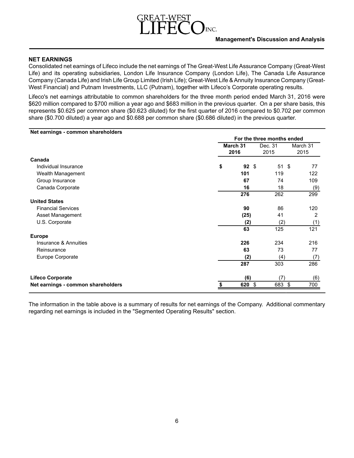# INC.

# **NET EARNINGS**

Consolidated net earnings of Lifeco include the net earnings of The Great-West Life Assurance Company (Great-West Life) and its operating subsidiaries, London Life Insurance Company (London Life), The Canada Life Assurance Company (Canada Life) and Irish Life Group Limited (Irish Life); Great-West Life & Annuity Insurance Company (Great-West Financial) and Putnam Investments, LLC (Putnam), together with Lifeco's Corporate operating results.

Lifeco's net earnings attributable to common shareholders for the three month period ended March 31, 2016 were \$620 million compared to \$700 million a year ago and \$683 million in the previous quarter. On a per share basis, this represents \$0.625 per common share (\$0.623 diluted) for the first quarter of 2016 compared to \$0.702 per common share (\$0.700 diluted) a year ago and \$0.688 per common share (\$0.686 diluted) in the previous quarter.

| Net earnings - common shareholders |                  |        |                            |                  |
|------------------------------------|------------------|--------|----------------------------|------------------|
|                                    |                  |        | For the three months ended |                  |
|                                    | March 31<br>2016 |        | Dec. 31<br>2015            | March 31<br>2015 |
| Canada                             |                  |        |                            |                  |
| Individual Insurance               | \$               | 92S    | 51S                        | 77               |
| Wealth Management                  |                  | 101    | 119                        | 122              |
| Group Insurance                    |                  | 67     | 74                         | 109              |
| Canada Corporate                   |                  | 16     | 18                         | (9)              |
|                                    |                  | 276    | 262                        | 299              |
| <b>United States</b>               |                  |        |                            |                  |
| <b>Financial Services</b>          |                  | 90     | 86                         | 120              |
| Asset Management                   |                  | (25)   | 41                         | 2                |
| U.S. Corporate                     |                  | (2)    | (2)                        | (1)              |
|                                    |                  | 63     | 125                        | 121              |
| <b>Europe</b>                      |                  |        |                            |                  |
| Insurance & Annuities              |                  | 226    | 234                        | 216              |
| Reinsurance                        |                  | 63     | 73                         | 77               |
| Europe Corporate                   |                  | (2)    | (4)                        | (7)              |
|                                    |                  | 287    | 303                        | 286              |
| <b>Lifeco Corporate</b>            |                  | (6)    | (7)                        | (6)              |
| Net earnings - common shareholders | \$               | 620 \$ | 683 \$                     | 700              |
|                                    |                  |        |                            |                  |

The information in the table above is a summary of results for net earnings of the Company. Additional commentary regarding net earnings is included in the "Segmented Operating Results" section.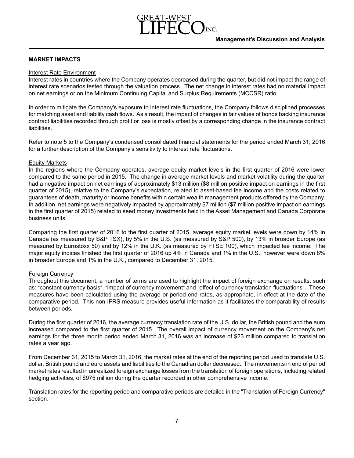# **MARKET IMPACTS**

## Interest Rate Environment

Interest rates in countries where the Company operates decreased during the quarter, but did not impact the range of interest rate scenarios tested through the valuation process. The net change in interest rates had no material impact on net earnings or on the Minimum Continuing Capital and Surplus Requirements (MCCSR) ratio.

In order to mitigate the Company's exposure to interest rate fluctuations, the Company follows disciplined processes for matching asset and liability cash flows. As a result, the impact of changes in fair values of bonds backing insurance contract liabilities recorded through profit or loss is mostly offset by a corresponding change in the insurance contract liabilities.

Refer to note 5 to the Company's condensed consolidated financial statements for the period ended March 31, 2016 for a further description of the Company's sensitivity to interest rate fluctuations.

## Equity Markets

In the regions where the Company operates, average equity market levels in the first quarter of 2016 were lower compared to the same period in 2015. The change in average market levels and market volatility during the quarter had a negative impact on net earnings of approximately \$13 million (\$8 million positive impact on earnings in the first quarter of 2015), relative to the Company's expectation, related to asset-based fee income and the costs related to guarantees of death, maturity or income benefits within certain wealth management products offered by the Company. In addition, net earnings were negatively impacted by approximately \$7 million (\$7 million positive impact on earnings in the first quarter of 2015) related to seed money investments held in the Asset Management and Canada Corporate business units.

Comparing the first quarter of 2016 to the first quarter of 2015, average equity market levels were down by 14% in Canada (as measured by S&P TSX), by 5% in the U.S. (as measured by S&P 500), by 13% in broader Europe (as measured by Eurostoxx 50) and by 12% in the U.K. (as measured by FTSE 100), which impacted fee income. The major equity indices finished the first quarter of 2016 up 4% in Canada and 1% in the U.S.; however were down 8% in broader Europe and 1% in the U.K., compared to December 31, 2015.

## Foreign Currency

Throughout this document, a number of terms are used to highlight the impact of foreign exchange on results, such as: "constant currency basis", "impact of currency movement" and "effect of currency translation fluctuations". These measures have been calculated using the average or period end rates, as appropriate, in effect at the date of the comparative period. This non-IFRS measure provides useful information as it facilitates the comparability of results between periods.

During the first quarter of 2016, the average currency translation rate of the U.S. dollar, the British pound and the euro increased compared to the first quarter of 2015. The overall impact of currency movement on the Company's net earnings for the three month period ended March 31, 2016 was an increase of \$23 million compared to translation rates a year ago.

From December 31, 2015 to March 31, 2016, the market rates at the end of the reporting period used to translate U.S. dollar, British pound and euro assets and liabilities to the Canadian dollar decreased. The movements in end of period market rates resulted in unrealized foreign exchange losses from the translation of foreign operations, including related hedging activities, of \$975 million during the quarter recorded in other comprehensive income.

Translation rates for the reporting period and comparative periods are detailed in the "Translation of Foreign Currency" section.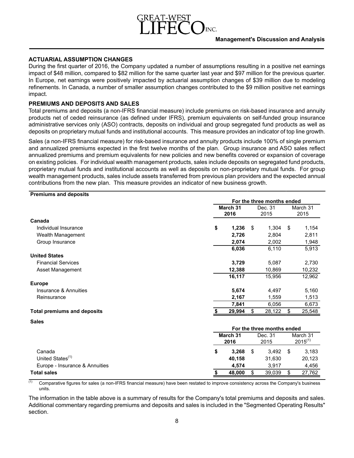# **ACTUARIAL ASSUMPTION CHANGES**

During the first quarter of 2016, the Company updated a number of assumptions resulting in a positive net earnings impact of \$48 million, compared to \$82 million for the same quarter last year and \$97 million for the previous quarter. In Europe, net earnings were positively impacted by actuarial assumption changes of \$39 million due to modeling refinements. In Canada, a number of smaller assumption changes contributed to the \$9 million positive net earnings impact.

# **PREMIUMS AND DEPOSITS AND SALES**

Total premiums and deposits (a non-IFRS financial measure) include premiums on risk-based insurance and annuity products net of ceded reinsurance (as defined under IFRS), premium equivalents on self-funded group insurance administrative services only (ASO) contracts, deposits on individual and group segregated fund products as well as deposits on proprietary mutual funds and institutional accounts. This measure provides an indicator of top line growth.

Sales (a non-IFRS financial measure) for risk-based insurance and annuity products include 100% of single premium and annualized premiums expected in the first twelve months of the plan. Group insurance and ASO sales reflect annualized premiums and premium equivalents for new policies and new benefits covered or expansion of coverage on existing policies. For individual wealth management products, sales include deposits on segregated fund products, proprietary mutual funds and institutional accounts as well as deposits on non-proprietary mutual funds. For group wealth management products, sales include assets transferred from previous plan providers and the expected annual contributions from the new plan. This measure provides an indicator of new business growth.

| <b>Premiums and deposits</b>       |                                     |          |    |                            |                          |
|------------------------------------|-------------------------------------|----------|----|----------------------------|--------------------------|
|                                    |                                     |          |    | For the three months ended |                          |
|                                    |                                     | March 31 |    | Dec. 31                    | March 31                 |
|                                    |                                     | 2016     |    | 2015                       | 2015                     |
| Canada                             |                                     |          |    |                            |                          |
| Individual Insurance               | \$                                  | 1,236    | \$ | 1,304                      | \$<br>1,154              |
| Wealth Management                  |                                     | 2,726    |    | 2,804                      | 2,811                    |
| Group Insurance                    |                                     | 2,074    |    | 2,002                      | 1,948                    |
|                                    |                                     | 6,036    |    | 6,110                      | 5,913                    |
| <b>United States</b>               |                                     |          |    |                            |                          |
| <b>Financial Services</b>          |                                     | 3,729    |    | 5,087                      | 2,730                    |
| Asset Management                   |                                     | 12,388   |    | 10,869                     | 10,232                   |
|                                    |                                     | 16,117   |    | 15,956                     | 12,962                   |
| <b>Europe</b>                      |                                     |          |    |                            |                          |
| Insurance & Annuities              |                                     | 5,674    |    | 4,497                      | 5,160                    |
| Reinsurance                        |                                     | 2,167    |    | 1,559                      | 1,513                    |
|                                    |                                     | 7,841    |    | 6,056                      | 6,673                    |
| <b>Total premiums and deposits</b> |                                     | 29,994   | \$ | 28,122                     | \$<br>25,548             |
| <b>Sales</b>                       |                                     |          |    |                            |                          |
|                                    |                                     |          |    | For the three months ended |                          |
|                                    | March 31<br>Dec. 31<br>2016<br>2015 |          |    |                            | March 31<br>$2015^{(1)}$ |
|                                    |                                     |          |    |                            |                          |
| Canada                             | \$                                  | 3,268    | \$ | 3,492                      | \$<br>3,183              |
| United States <sup>(1)</sup>       |                                     | 40,158   |    | 31,630                     | 20,123                   |
| Europe - Insurance & Annuities     |                                     | 4,574    |    | 3,917                      | 4,456                    |
| <b>Total sales</b>                 | \$                                  | 48,000   | \$ | 39,039                     | \$<br>27,762             |

(1) Comparative figures for sales (a non-IFRS financial measure) have been restated to improve consistency across the Company's business units.

The information in the table above is a summary of results for the Company's total premiums and deposits and sales. Additional commentary regarding premiums and deposits and sales is included in the "Segmented Operating Results" section.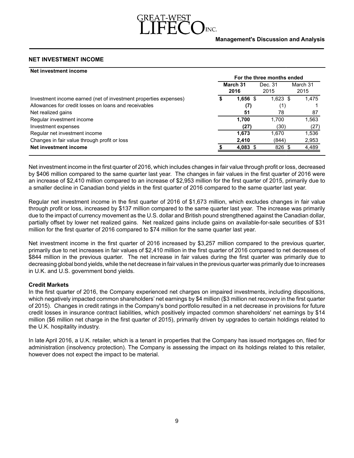# **NET INVESTMENT INCOME**

| Net investment income                                            |   |               |                            |          |
|------------------------------------------------------------------|---|---------------|----------------------------|----------|
|                                                                  |   |               | For the three months ended |          |
|                                                                  |   | March 31      | Dec. 31                    | March 31 |
|                                                                  |   | 2016          | 2015                       | 2015     |
| Investment income earned (net of investment properties expenses) | S | 1,656<br>- \$ | $1,623$ \$                 | 1,475    |
| Allowances for credit losses on loans and receivables            |   | (7)           | (1)                        |          |
| Net realized gains                                               |   | 51            | 78                         | 87       |
| Regular investment income                                        |   | 1.700         | 1.700                      | 1,563    |
| Investment expenses                                              |   | (27)          | (30)                       | (27)     |
| Regular net investment income                                    |   | 1.673         | 1,670                      | 1,536    |
| Changes in fair value through profit or loss                     |   | 2,410         | (844)                      | 2,953    |
| Net investment income                                            |   | 4,083 \$      | 826 \$                     | 4,489    |
|                                                                  |   |               |                            |          |

Net investment income in the first quarter of 2016, which includes changes in fair value through profit or loss, decreased by \$406 million compared to the same quarter last year. The changes in fair values in the first quarter of 2016 were an increase of \$2,410 million compared to an increase of \$2,953 million for the first quarter of 2015, primarily due to a smaller decline in Canadian bond yields in the first quarter of 2016 compared to the same quarter last year.

Regular net investment income in the first quarter of 2016 of \$1,673 million, which excludes changes in fair value through profit or loss, increased by \$137 million compared to the same quarter last year. The increase was primarily due to the impact of currency movement as the U.S. dollar and British pound strengthened against the Canadian dollar, partially offset by lower net realized gains. Net realized gains include gains on available-for-sale securities of \$31 million for the first quarter of 2016 compared to \$74 million for the same quarter last year.

Net investment income in the first quarter of 2016 increased by \$3,257 million compared to the previous quarter, primarily due to net increases in fair values of \$2,410 million in the first quarter of 2016 compared to net decreases of \$844 million in the previous quarter. The net increase in fair values during the first quarter was primarily due to decreasing global bond yields, while the net decrease in fair values in the previous quarter was primarily due to increases in U.K. and U.S. government bond yields.

## **Credit Markets**

In the first quarter of 2016, the Company experienced net charges on impaired investments, including dispositions, which negatively impacted common shareholders' net earnings by \$4 million (\$3 million net recovery in the first quarter of 2015). Changes in credit ratings in the Company's bond portfolio resulted in a net decrease in provisions for future credit losses in insurance contract liabilities, which positively impacted common shareholders' net earnings by \$14 million (\$6 million net charge in the first quarter of 2015), primarily driven by upgrades to certain holdings related to the U.K. hospitality industry.

In late April 2016, a U.K. retailer, which is a tenant in properties that the Company has issued mortgages on, filed for administration (insolvency protection). The Company is assessing the impact on its holdings related to this retailer, however does not expect the impact to be material.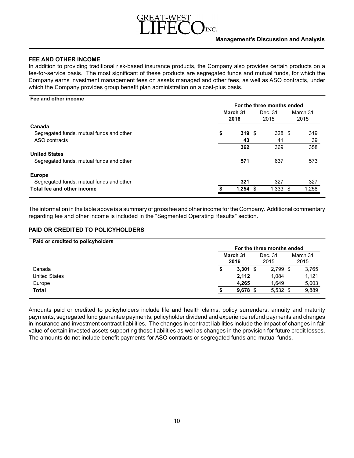# INC.

# **FEE AND OTHER INCOME**

In addition to providing traditional risk-based insurance products, the Company also provides certain products on a fee-for-service basis. The most significant of these products are segregated funds and mutual funds, for which the Company earns investment management fees on assets managed and other fees, as well as ASO contracts, under which the Company provides group benefit plan administration on a cost-plus basis.

#### **Fee and other income**

|                                          |                  |            | For the three months ended |  |                  |
|------------------------------------------|------------------|------------|----------------------------|--|------------------|
|                                          | March 31<br>2016 |            | Dec. 31<br>2015            |  | March 31<br>2015 |
| Canada                                   |                  |            |                            |  |                  |
| Segregated funds, mutual funds and other | \$               | 319S       | 328 <sup>5</sup>           |  | 319              |
| ASO contracts                            |                  | 43         | 41                         |  | 39               |
|                                          |                  | 362        | 369                        |  | 358              |
| <b>United States</b>                     |                  |            |                            |  |                  |
| Segregated funds, mutual funds and other |                  | 571        | 637                        |  | 573              |
| <b>Europe</b>                            |                  |            |                            |  |                  |
| Segregated funds, mutual funds and other |                  | 321        | 327                        |  | 327              |
| Total fee and other income               |                  | $1.254$ \$ | $1.333$ \$                 |  | 1,258            |

The information in the table above is a summary of gross fee and other income for the Company. Additional commentary regarding fee and other income is included in the "Segmented Operating Results" section.

# **PAID OR CREDITED TO POLICYHOLDERS**

|                      | For the three months ended                              |  |  |  |  |  |  |  |  |
|----------------------|---------------------------------------------------------|--|--|--|--|--|--|--|--|
|                      | March 31<br>March 31<br>Dec. 31<br>2016<br>2015<br>2015 |  |  |  |  |  |  |  |  |
| Canada               | $3,301$ \$<br>$2,799$ \$<br>3,765<br>S                  |  |  |  |  |  |  |  |  |
| <b>United States</b> | 1.121<br>2,112<br>1.084                                 |  |  |  |  |  |  |  |  |
| Europe               | 4.265<br>1.649<br>5,003                                 |  |  |  |  |  |  |  |  |
| <b>Total</b>         | 9,889<br>$9,678$ \$<br>$5,532$ \$                       |  |  |  |  |  |  |  |  |

Amounts paid or credited to policyholders include life and health claims, policy surrenders, annuity and maturity payments, segregated fund guarantee payments, policyholder dividend and experience refund payments and changes in insurance and investment contract liabilities. The changes in contract liabilities include the impact of changes in fair value of certain invested assets supporting those liabilities as well as changes in the provision for future credit losses. The amounts do not include benefit payments for ASO contracts or segregated funds and mutual funds.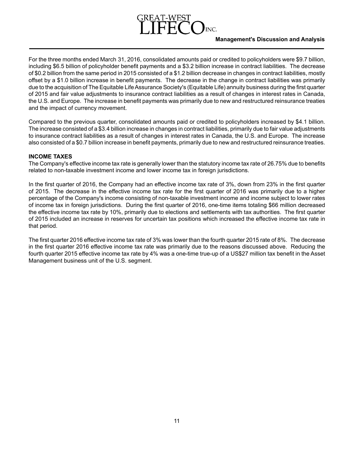# **Management's Discussion and Analysis**

For the three months ended March 31, 2016, consolidated amounts paid or credited to policyholders were \$9.7 billion, including \$6.5 billion of policyholder benefit payments and a \$3.2 billion increase in contract liabilities. The decrease of \$0.2 billion from the same period in 2015 consisted of a \$1.2 billion decrease in changes in contract liabilities, mostly offset by a \$1.0 billion increase in benefit payments. The decrease in the change in contract liabilities was primarily due to the acquisition of The Equitable Life Assurance Society's (Equitable Life) annuity business during the first quarter of 2015 and fair value adjustments to insurance contract liabilities as a result of changes in interest rates in Canada, the U.S. and Europe. The increase in benefit payments was primarily due to new and restructured reinsurance treaties and the impact of currency movement.

Compared to the previous quarter, consolidated amounts paid or credited to policyholders increased by \$4.1 billion. The increase consisted of a \$3.4 billion increase in changes in contract liabilities, primarily due to fair value adjustments to insurance contract liabilities as a result of changes in interest rates in Canada, the U.S. and Europe. The increase also consisted of a \$0.7 billion increase in benefit payments, primarily due to new and restructured reinsurance treaties.

# **INCOME TAXES**

The Company's effective income tax rate is generally lower than the statutory income tax rate of 26.75% due to benefits related to non-taxable investment income and lower income tax in foreign jurisdictions.

In the first quarter of 2016, the Company had an effective income tax rate of 3%, down from 23% in the first quarter of 2015. The decrease in the effective income tax rate for the first quarter of 2016 was primarily due to a higher percentage of the Company's income consisting of non-taxable investment income and income subject to lower rates of income tax in foreign jurisdictions. During the first quarter of 2016, one-time items totaling \$66 million decreased the effective income tax rate by 10%, primarily due to elections and settlements with tax authorities. The first quarter of 2015 included an increase in reserves for uncertain tax positions which increased the effective income tax rate in that period.

The first quarter 2016 effective income tax rate of 3% was lower than the fourth quarter 2015 rate of 8%. The decrease in the first quarter 2016 effective income tax rate was primarily due to the reasons discussed above. Reducing the fourth quarter 2015 effective income tax rate by 4% was a one-time true-up of a US\$27 million tax benefit in the Asset Management business unit of the U.S. segment.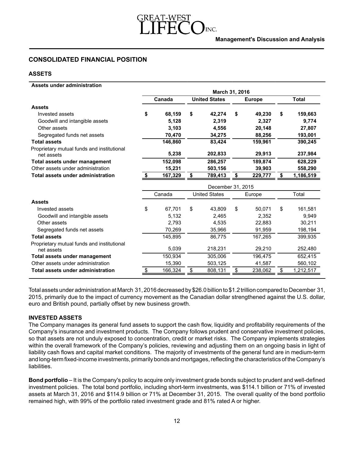# **CONSOLIDATED FINANCIAL POSITION**

# **ASSETS**

| <b>Assets under administration</b>                       |              |                  |               |                      |                |               |               |              |  |  |  |  |
|----------------------------------------------------------|--------------|------------------|---------------|----------------------|----------------|---------------|---------------|--------------|--|--|--|--|
|                                                          |              |                  |               |                      | March 31, 2016 |               |               |              |  |  |  |  |
|                                                          |              | Canada           |               | <b>United States</b> |                | <b>Europe</b> |               | <b>Total</b> |  |  |  |  |
| <b>Assets</b>                                            |              |                  |               |                      |                |               |               |              |  |  |  |  |
| Invested assets                                          | \$           | 68,159           | \$            | 42,274               | \$             | 49,230        | \$            | 159,663      |  |  |  |  |
| Goodwill and intangible assets                           |              | 5,128            |               | 2,319                |                | 2,327         |               | 9,774        |  |  |  |  |
| Other assets                                             |              | 3,103            |               | 4,556                |                | 20,148        |               | 27,807       |  |  |  |  |
| Segregated funds net assets                              |              | 70,470           |               | 34,275               |                | 88,256        |               | 193,001      |  |  |  |  |
| <b>Total assets</b>                                      |              | 146,860          |               | 83,424               |                | 159,961       |               | 390,245      |  |  |  |  |
| Proprietary mutual funds and institutional               |              |                  |               |                      |                |               |               |              |  |  |  |  |
| net assets                                               |              |                  |               |                      |                |               |               |              |  |  |  |  |
| Total assets under management                            |              |                  |               | 286,257              |                | 189,874       |               | 628,229      |  |  |  |  |
| Other assets under administration                        |              | 15,231           |               | 503,156              |                | 39,903        |               | 558,290      |  |  |  |  |
| Total assets under administration                        | s.           | 167,329          | \$            | 789,413              | S              | 229,777       | \$            | 1,186,519    |  |  |  |  |
|                                                          |              |                  |               | December 31, 2015    |                |               |               |              |  |  |  |  |
|                                                          |              | Canada           |               | <b>United States</b> |                | Europe        |               | Total        |  |  |  |  |
| <b>Assets</b>                                            |              |                  |               |                      |                |               |               |              |  |  |  |  |
| Invested assets                                          | \$           | 67,701           | \$            | 43,809               | \$             | 50,071        | \$            | 161,581      |  |  |  |  |
| Goodwill and intangible assets                           |              | 5,132            |               | 2,465                |                | 2,352         |               | 9,949        |  |  |  |  |
| Other assets                                             |              | 2,793            |               | 4,535                |                | 22,883        |               | 30,211       |  |  |  |  |
| Segregated funds net assets                              |              | 70,269           |               | 35,966               |                | 91,959        |               | 198,194      |  |  |  |  |
| <b>Total assets</b>                                      |              | 145,895          |               | 86,775               |                | 167,265       |               | 399,935      |  |  |  |  |
| Proprietary mutual funds and institutional<br>net assets |              | 5,039            |               | 218,231              |                | 29,210        |               | 252,480      |  |  |  |  |
| Total assets under management                            |              | 150,934          |               | 305,006              |                | 196,475       |               | 652,415      |  |  |  |  |
| Other assets under administration                        |              | 15,390           |               | 503,125              |                | 41,587        |               | 560,102      |  |  |  |  |
| Total assets under administration                        |              | 166,324          | $\frac{1}{2}$ | 808,131              |                | 238,062       |               | 1,212,517    |  |  |  |  |
|                                                          | $\triangleq$ | 5,238<br>152,098 |               | 202,833              | $\frac{1}{2}$  | 29,913        | $\frac{1}{2}$ | 237,984      |  |  |  |  |

Total assets under administration at March 31, 2016 decreased by \$26.0 billion to \$1.2 trillion compared to December 31, 2015, primarily due to the impact of currency movement as the Canadian dollar strengthened against the U.S. dollar, euro and British pound, partially offset by new business growth.

# **INVESTED ASSETS**

The Company manages its general fund assets to support the cash flow, liquidity and profitability requirements of the Company's insurance and investment products. The Company follows prudent and conservative investment policies, so that assets are not unduly exposed to concentration, credit or market risks. The Company implements strategies within the overall framework of the Company's policies, reviewing and adjusting them on an ongoing basis in light of liability cash flows and capital market conditions. The majority of investments of the general fund are in medium-term and long-term fixed-income investments, primarily bonds and mortgages, reflecting the characteristics of the Company's liabilities.

**Bond portfolio** – It is the Company's policy to acquire only investment grade bonds subject to prudent and well-defined investment policies. The total bond portfolio, including short-term investments, was \$114.1 billion or 71% of invested assets at March 31, 2016 and \$114.9 billion or 71% at December 31, 2015. The overall quality of the bond portfolio remained high, with 99% of the portfolio rated investment grade and 81% rated A or higher.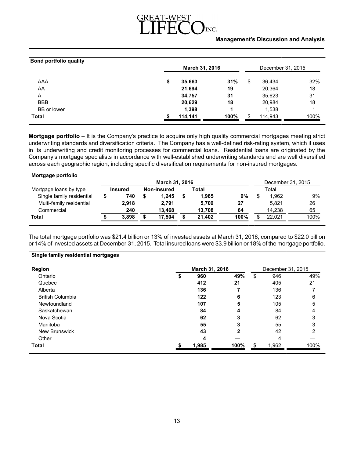# INC.

# **Management's Discussion and Analysis**

| <b>Bond portfolio quality</b> |                                            |      |    |         |      |  |
|-------------------------------|--------------------------------------------|------|----|---------|------|--|
|                               | <b>March 31, 2016</b><br>December 31, 2015 |      |    |         |      |  |
| AAA                           | \$<br>35,663                               | 31%  | \$ | 36,434  | 32%  |  |
| AA                            | 21,694                                     | 19   |    | 20,364  | 18   |  |
| A                             | 34,757                                     | 31   |    | 35,623  | 31   |  |
| <b>BBB</b>                    | 20,629                                     | 18   |    | 20,984  | 18   |  |
| <b>BB</b> or lower            | 1,398                                      |      |    | 1,538   |      |  |
| <b>Total</b>                  | 114,141                                    | 100% |    | 114,943 | 100% |  |

**Mortgage portfolio** – It is the Company's practice to acquire only high quality commercial mortgages meeting strict underwriting standards and diversification criteria. The Company has a well-defined risk-rating system, which it uses in its underwriting and credit monitoring processes for commercial loans. Residential loans are originated by the Company's mortgage specialists in accordance with well-established underwriting standards and are well diversified across each geographic region, including specific diversification requirements for non-insured mortgages.

| Mortgage portfolio        |                       |  |             |  |        |      |  |        |                   |
|---------------------------|-----------------------|--|-------------|--|--------|------|--|--------|-------------------|
|                           | <b>March 31, 2016</b> |  |             |  |        |      |  |        | December 31, 2015 |
| Mortgage loans by type    | <b>Insured</b>        |  | Non-insured |  | Total  |      |  | Total  |                   |
| Single family residential | 740                   |  | 1.245       |  | 1.985  | 9%   |  | 1.962  | 9%                |
| Multi-family residential  | 2.918                 |  | 2.791       |  | 5.709  | 27   |  | 5.821  | 26                |
| Commercial                | 240                   |  | 13.468      |  | 13.708 | 64   |  | 14.238 | 65                |
| <b>Total</b>              | 3.898                 |  | 17.504      |  | 21.402 | 100% |  | 22.021 | 100%              |
|                           |                       |  |             |  |        |      |  |        |                   |

The total mortgage portfolio was \$21.4 billion or 13% of invested assets at March 31, 2016, compared to \$22.0 billion or 14% of invested assets at December 31, 2015. Total insured loans were \$3.9 billionor 18% of the mortgage portfolio.

#### **Single family residential mortgages**

| <b>Region</b><br>March 31, 2016 |  |       |      |    | December 31, 2015 |      |  |  |  |
|---------------------------------|--|-------|------|----|-------------------|------|--|--|--|
| Ontario                         |  | 960   | 49%  | \$ | 946               | 49%  |  |  |  |
| Quebec                          |  | 412   | 21   |    | 405               | 21   |  |  |  |
| Alberta                         |  | 136   |      |    | 136               |      |  |  |  |
| <b>British Columbia</b>         |  | 122   | 6    |    | 123               | 6    |  |  |  |
| Newfoundland                    |  | 107   | 5    |    | 105               | 5    |  |  |  |
| Saskatchewan                    |  | 84    | 4    |    | 84                | 4    |  |  |  |
| Nova Scotia                     |  | 62    | 3    |    | 62                | 3    |  |  |  |
| Manitoba                        |  | 55    | 3    |    | 55                | 3    |  |  |  |
| New Brunswick                   |  | 43    | 2    |    | 42                | 2    |  |  |  |
| Other                           |  | 4     |      |    | 4                 |      |  |  |  |
| <b>Total</b>                    |  | 1,985 | 100% |    | 1,962             | 100% |  |  |  |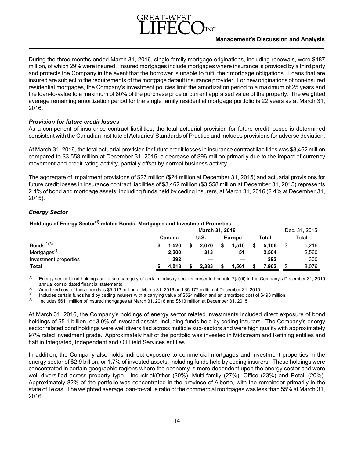# **Management's Discussion and Analysis**

During the three months ended March 31, 2016, single family mortgage originations, including renewals, were \$187 million, of which 29% were insured. Insured mortgages include mortgages where insurance is provided by a third party and protects the Company in the event that the borrower is unable to fulfil their mortgage obligations. Loans that are insured are subject to the requirements of the mortgage default insurance provider. For new originations of non-insured residential mortgages, the Company's investment policies limit the amortization period to a maximum of 25 years and the loan-to-value to a maximum of 80% of the purchase price or current appraised value of the property. The weighted average remaining amortization period for the single family residential mortgage portfolio is 22 years as at March 31, 2016.

# *Provision for future credit losses*

As a component of insurance contract liabilities, the total actuarial provision for future credit losses is determined consistent with the Canadian Institute of Actuaries' Standards of Practice and includes provisions for adverse deviation.

At March 31, 2016, the total actuarial provision for future credit losses in insurance contract liabilities was \$3,462 million compared to \$3,558 million at December 31, 2015, a decrease of \$96 million primarily due to the impact of currency movement and credit rating activity, partially offset by normal business activity.

The aggregate of impairment provisions of \$27 million (\$24 million at December 31, 2015) and actuarial provisions for future credit losses in insurance contract liabilities of \$3,462 million (\$3,558 million at December 31, 2015) represents 2.4% of bond and mortgage assets, including funds held by ceding insurers, at March 31, 2016 (2.4% at December 31, 2015).

# *Energy Sector*

| Holdings of Energy Sector <sup>(1)</sup> related Bonds, Mortgages and Investment Properties |                       |       |  |             |  |               |       |       |               |
|---------------------------------------------------------------------------------------------|-----------------------|-------|--|-------------|--|---------------|-------|-------|---------------|
|                                                                                             | <b>March 31, 2016</b> |       |  |             |  |               |       |       | Dec. 31, 2015 |
|                                                                                             | Canada                |       |  | <b>U.S.</b> |  | <b>Europe</b> | Total |       | Total         |
| Bonds $^{(2)(3)}$                                                                           |                       | 1.526 |  | 2.070       |  | 1.510         |       | 5.106 | \$<br>5.216   |
| Mortgages $(4)$                                                                             |                       | 2,200 |  | 313         |  | 51            |       | 2.564 | 2,560         |
| Investment properties                                                                       |                       | 292   |  |             |  |               |       | 292   | 300           |
| <b>Total</b>                                                                                |                       | 4.018 |  | 2.383       |  | 1.561         |       | 7.962 | 8,076         |

 $\overline{^{(1)}}$  Energy sector bond holdings are a sub-category of certain industry sectors presented in note 7(a)(ii) in the Company's December 31, 2015 annual consolidated financial statements.

(2) Amortized cost of these bonds is \$5,013 million at March 31, 2016 and \$5,177 million at December 31, 2015.

(3) Includes certain funds held by ceding insurers with a carrying value of \$524 million and an amortized cost of \$493 million.<br>(4) Includes \$611 million of insured mortgages at March 31, 2016 and \$613 million at December

Includes \$611 million of insured mortgages at March 31, 2016 and \$613 million at December 31, 2015.

At March 31, 2016, the Company's holdings of energy sector related investments included direct exposure of bond holdings of \$5.1 billion, or 3.0% of invested assets, including funds held by ceding insurers. The Company's energy sector related bond holdings were well diversified across multiple sub-sectors and were high quality with approximately 97% rated investment grade. Approximately half of the portfolio was invested in Midstream and Refining entities and half in Integrated, Independent and Oil Field Services entities.

In addition, the Company also holds indirect exposure to commercial mortgages and investment properties in the energy sector of \$2.9 billion, or 1.7% of invested assets, including funds held by ceding insurers. These holdings were concentrated in certain geographic regions where the economy is more dependent upon the energy sector and were well diversified across property type - Industrial/Other (30%), Multi-family (27%), Office (23%) and Retail (20%). Approximately 82% of the portfolio was concentrated in the province of Alberta, with the remainder primarily in the state of Texas. The weighted average loan-to-value ratio of the commercial mortgages was less than 55% at March 31, 2016.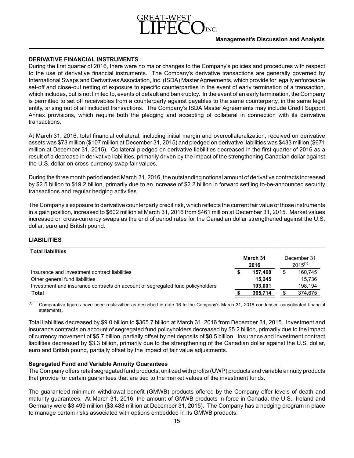# **DERIVATIVE FINANCIAL INSTRUMENTS**

During the first quarter of 2016, there were no major changes to the Company's policies and procedures with respect to the use of derivative financial instruments. The Company's derivative transactions are generally governed by International Swaps and Derivatives Association, Inc. (ISDA) Master Agreements, which provide for legally enforceable set-off and close-out netting of exposure to specific counterparties in the event of early termination of a transaction, which includes, but is not limited to, events of default and bankruptcy. In the event of an early termination, the Company is permitted to set off receivables from a counterparty against payables to the same counterparty, in the same legal entity, arising out of all included transactions. The Company's ISDA Master Agreements may include Credit Support Annex provisions, which require both the pledging and accepting of collateral in connection with its derivative transactions.

At March 31, 2016, total financial collateral, including initial margin and overcollateralization, received on derivative assets was \$73 million (\$107 million at December 31, 2015) and pledged on derivative liabilities was \$433 million (\$671 million at December 31, 2015). Collateral pledged on derivative liabilities decreased in the first quarter of 2016 as a result of a decrease in derivative liabilities, primarily driven by the impact of the strengthening Canadian dollar against the U.S. dollar on cross-currency swap fair values.

During the three month period ended March 31, 2016, the outstanding notional amount of derivative contracts increased by \$2.5 billion to \$19.2 billion, primarily due to an increase of \$2.2 billion in forward settling to-be-announced security transactions and regular hedging activities.

The Company's exposure to derivative counterparty credit risk, which reflects the current fair value of those instruments in a gain position, increased to \$602 million at March 31, 2016 from \$461 million at December 31, 2015. Market values increased on cross-currency swaps as the end of period rates for the Canadian dollar strengthened against the U.S. dollar, euro and British pound.

# **LIABILITIES**

| <b>Total liabilities</b>                                                       |                  |         |                             |
|--------------------------------------------------------------------------------|------------------|---------|-----------------------------|
|                                                                                | March 31<br>2016 |         | December 31<br>$2015^{(1)}$ |
| Insurance and investment contract liabilities                                  |                  | 157.468 | 160.745                     |
| Other general fund liabilities                                                 |                  | 15.245  | 15.736                      |
| Investment and insurance contracts on account of segregated fund policyholders |                  | 193.001 | 198,194                     |
| <b>Total</b>                                                                   |                  | 365,714 | 374,675                     |

 $\overline{11}$  Comparative figures have been reclassified as described in note 16 to the Company's March 31, 2016 condensed consolidated financial statements.

Total liabilities decreased by \$9.0 billion to \$365.7 billion at March 31, 2016 from December 31, 2015. Investment and insurance contracts on account of segregated fund policyholders decreased by \$5.2 billion, primarily due to the impact of currency movement of \$5.7 billion, partially offset by net deposits of \$0.5 billion. Insurance and investment contract liabilities decreased by \$3.3 billion, primarily due to the strengthening of the Canadian dollar against the U.S. dollar, euro and British pound, partially offset by the impact of fair value adjustments.

# **Segregated Fund and Variable Annuity Guarantees**

The Company offers retail segregated fund products, unitized with profits (UWP) products and variable annuity products that provide for certain guarantees that are tied to the market values of the investment funds.

The guaranteed minimum withdrawal benefit (GMWB) products offered by the Company offer levels of death and maturity guarantees. At March 31, 2016, the amount of GMWB products in-force in Canada, the U.S., Ireland and Germany were \$3,499 million (\$3,488 million at December 31, 2015). The Company has a hedging program in place to manage certain risks associated with options embedded in its GMWB products.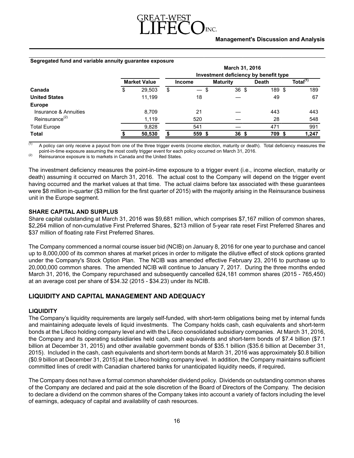

#### **Segregated fund and variable annuity guarantee exposure**

| Investment deficiency by benefit type |        |                     |                                                 |                 |              |                      |  |  |  |  |
|---------------------------------------|--------|---------------------|-------------------------------------------------|-----------------|--------------|----------------------|--|--|--|--|
|                                       |        |                     | <b>Income</b>                                   | <b>Maturity</b> | <b>Death</b> | Total <sup>(1)</sup> |  |  |  |  |
| \$                                    | 29,503 | \$                  | \$<br>$\qquad \qquad \overline{\qquad \qquad }$ | 36 \$           | 189 \$       | 189                  |  |  |  |  |
|                                       | 11,199 |                     | 18                                              |                 | 49           | 67                   |  |  |  |  |
|                                       |        |                     |                                                 |                 |              |                      |  |  |  |  |
|                                       | 8,709  |                     | 21                                              |                 | 443          | 443                  |  |  |  |  |
|                                       | 1,119  |                     | 520                                             |                 | 28           | 548                  |  |  |  |  |
|                                       | 9,828  |                     | 541                                             |                 | 471          | 991                  |  |  |  |  |
|                                       | 50,530 |                     | 559                                             | 36 <sup>5</sup> | 709          | 1,247                |  |  |  |  |
|                                       |        | <b>Market Value</b> |                                                 |                 |              | March 31, 2016       |  |  |  |  |

 $\overline{11}$  A policy can only receive a payout from one of the three trigger events (income election, maturity or death). Total deficiency measures the point-in-time exposure assuming the most costly trigger event for each policy occurred on March 31, 2016.

 $(2)$  Reinsurance exposure is to markets in Canada and the United States.

The investment deficiency measures the point-in-time exposure to a trigger event (i.e., income election, maturity or death) assuming it occurred on March 31, 2016. The actual cost to the Company will depend on the trigger event having occurred and the market values at that time. The actual claims before tax associated with these guarantees were \$8 million in-quarter (\$3 million for the first quarter of 2015) with the majority arising in the Reinsurance business unit in the Europe segment.

# **SHARE CAPITAL AND SURPLUS**

Share capital outstanding at March 31, 2016 was \$9,681 million, which comprises \$7,167 million of common shares, \$2,264 million of non-cumulative First Preferred Shares, \$213 million of 5-year rate reset First Preferred Shares and \$37 million of floating rate First Preferred Shares.

The Company commenced a normal course issuer bid (NCIB) on January 8, 2016 for one year to purchase and cancel up to 8,000,000 of its common shares at market prices in order to mitigate the dilutive effect of stock options granted under the Company's Stock Option Plan. The NCIB was amended effective February 23, 2016 to purchase up to 20,000,000 common shares. The amended NCIB will continue to January 7, 2017. During the three months ended March 31, 2016, the Company repurchased and subsequently cancelled 624,181 common shares (2015 - 765,450) at an average cost per share of \$34.32 (2015 - \$34.23) under its NCIB.

# **LIQUIDITY AND CAPITAL MANAGEMENT AND ADEQUACY**

# **LIQUIDITY**

The Company's liquidity requirements are largely self-funded, with short-term obligations being met by internal funds and maintaining adequate levels of liquid investments. The Company holds cash, cash equivalents and short-term bonds at the Lifeco holding company level and with the Lifeco consolidated subsidiary companies. At March 31, 2016, the Company and its operating subsidiaries held cash, cash equivalents and short-term bonds of \$7.4 billion (\$7.1 billion at December 31, 2015) and other available government bonds of \$35.1 billion (\$35.6 billion at December 31, 2015). Included in the cash, cash equivalents and short-term bonds at March 31, 2016 was approximately \$0.8 billion (\$0.9 billion at December 31, 2015) at the Lifeco holding company level. In addition, the Company maintains sufficient committed lines of credit with Canadian chartered banks for unanticipated liquidity needs, if required**.**

The Company does not have a formal common shareholder dividend policy. Dividends on outstanding common shares of the Company are declared and paid at the sole discretion of the Board of Directors of the Company. The decision to declare a dividend on the common shares of the Company takes into account a variety of factors including the level of earnings, adequacy of capital and availability of cash resources.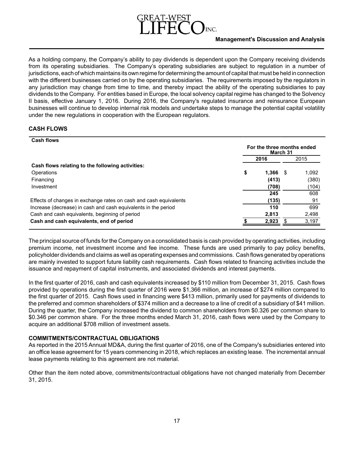

As a holding company, the Company's ability to pay dividends is dependent upon the Company receiving dividends from its operating subsidiaries. The Company's operating subsidiaries are subject to regulation in a number of jurisdictions, each of which maintains its own regime for determining the amount of capital that must be held in connection with the different businesses carried on by the operating subsidiaries. The requirements imposed by the regulators in any jurisdiction may change from time to time, and thereby impact the ability of the operating subsidiaries to pay dividends to the Company. For entities based in Europe, the local solvency capital regime has changed to the Solvency II basis, effective January 1, 2016. During 2016, the Company's regulated insurance and reinsurance European businesses will continue to develop internal risk models and undertake steps to manage the potential capital volatility under the new regulations in cooperation with the European regulators.

# **CASH FLOWS**

| <b>Cash flows</b>                                                 |                                        |       |      |       |  |  |
|-------------------------------------------------------------------|----------------------------------------|-------|------|-------|--|--|
|                                                                   | For the three months ended<br>March 31 |       |      |       |  |  |
|                                                                   |                                        | 2016  |      | 2015  |  |  |
| Cash flows relating to the following activities:                  |                                        |       |      |       |  |  |
| Operations                                                        | \$                                     | 1.366 | - \$ | 1,092 |  |  |
| Financing                                                         |                                        | (413) |      | (380) |  |  |
| Investment                                                        |                                        | (708) |      | (104) |  |  |
|                                                                   |                                        | 245   |      | 608   |  |  |
| Effects of changes in exchange rates on cash and cash equivalents |                                        | (135) |      | 91    |  |  |
| Increase (decrease) in cash and cash equivalents in the period    |                                        | 110   |      | 699   |  |  |
| Cash and cash equivalents, beginning of period                    |                                        | 2.813 |      | 2,498 |  |  |
| Cash and cash equivalents, end of period                          |                                        | 2,923 |      | 3,197 |  |  |

The principal source of funds for the Company on a consolidated basis is cash provided by operating activities, including premium income, net investment income and fee income. These funds are used primarily to pay policy benefits, policyholder dividends and claims as well as operating expenses and commissions. Cash flows generated by operations are mainly invested to support future liability cash requirements. Cash flows related to financing activities include the issuance and repayment of capital instruments, and associated dividends and interest payments.

In the first quarter of 2016, cash and cash equivalents increased by \$110 million from December 31, 2015. Cash flows provided by operations during the first quarter of 2016 were \$1,366 million, an increase of \$274 million compared to the first quarter of 2015. Cash flows used in financing were \$413 million, primarily used for payments of dividends to the preferred and common shareholders of \$374 million and a decrease to a line of credit of a subsidiary of \$41 million. During the quarter, the Company increased the dividend to common shareholders from \$0.326 per common share to \$0.346 per common share. For the three months ended March 31, 2016, cash flows were used by the Company to acquire an additional \$708 million of investment assets.

# **COMMITMENTS/CONTRACTUAL OBLIGATIONS**

As reported in the 2015 Annual MD&A, during the first quarter of 2016, one of the Company's subsidiaries entered into an office lease agreement for 15 years commencing in 2018, which replaces an existing lease. The incremental annual lease payments relating to this agreement are not material.

Other than the item noted above, commitments/contractual obligations have not changed materially from December 31, 2015.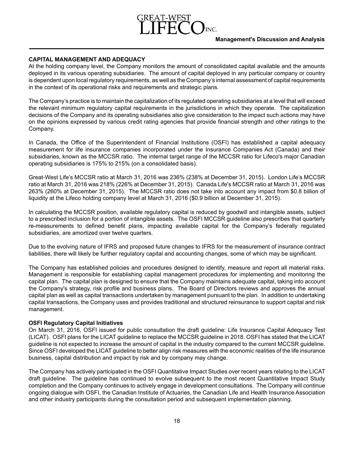# **CAPITAL MANAGEMENT AND ADEQUACY**

At the holding company level, the Company monitors the amount of consolidated capital available and the amounts deployed in its various operating subsidiaries. The amount of capital deployed in any particular company or country is dependent upon local regulatory requirements, as well as the Company's internal assessment of capital requirements in the context of its operational risks and requirements and strategic plans.

The Company's practice is to maintain the capitalization of its regulated operating subsidiaries at a level that will exceed the relevant minimum regulatory capital requirements in the jurisdictions in which they operate. The capitalization decisions of the Company and its operating subsidiaries also give consideration to the impact such actions may have on the opinions expressed by various credit rating agencies that provide financial strength and other ratings to the Company.

In Canada, the Office of the Superintendent of Financial Institutions (OSFI) has established a capital adequacy measurement for life insurance companies incorporated under the Insurance Companies Act (Canada) and their subsidiaries, known as the MCCSR ratio. The internal target range of the MCCSR ratio for Lifeco's major Canadian operating subsidiaries is 175% to 215% (on a consolidated basis).

Great-West Life's MCCSR ratio at March 31, 2016 was 236% (238% at December 31, 2015). London Life's MCCSR ratio at March 31, 2016 was 218% (226% at December 31, 2015). Canada Life's MCCSR ratio at March 31, 2016 was 263% (260% at December 31, 2015). The MCCSR ratio does not take into account any impact from \$0.8 billion of liquidity at the Lifeco holding company level at March 31, 2016 (\$0.9 billion at December 31, 2015).

In calculating the MCCSR position, available regulatory capital is reduced by goodwill and intangible assets, subject to a prescribed inclusion for a portion of intangible assets. The OSFI MCCSR guideline also prescribes that quarterly re-measurements to defined benefit plans, impacting available capital for the Company's federally regulated subsidiaries, are amortized over twelve quarters.

Due to the evolving nature of IFRS and proposed future changes to IFRS for the measurement of insurance contract liabilities, there will likely be further regulatory capital and accounting changes, some of which may be significant.

The Company has established policies and procedures designed to identify, measure and report all material risks. Management is responsible for establishing capital management procedures for implementing and monitoring the capital plan. The capital plan is designed to ensure that the Company maintains adequate capital, taking into account the Company's strategy, risk profile and business plans. The Board of Directors reviews and approves the annual capital plan as well as capital transactions undertaken by management pursuant to the plan. In addition to undertaking capital transactions, the Company uses and provides traditional and structured reinsurance to support capital and risk management.

## **OSFI Regulatory Capital Initiatives**

On March 31, 2016, OSFI issued for public consultation the draft guideline: Life Insurance Capital Adequacy Test (LICAT). OSFI plans for the LICAT guideline to replace the MCCSR guideline in 2018. OSFI has stated that the LICAT guideline is not expected to increase the amount of capital in the industry compared to the current MCCSR guideline. Since OSFI developed the LICAT guideline to better align risk measures with the economic realities of the life insurance business, capital distribution and impact by risk and by company may change.

The Company has actively participated in the OSFI Quantitative Impact Studies over recent years relating to the LICAT draft guideline. The guideline has continued to evolve subsequent to the most recent Quantitative Impact Study completion and the Company continues to actively engage in development consultations. The Company will continue ongoing dialogue with OSFI, the Canadian Institute of Actuaries, the Canadian Life and Health Insurance Association and other industry participants during the consultation period and subsequent implementation planning.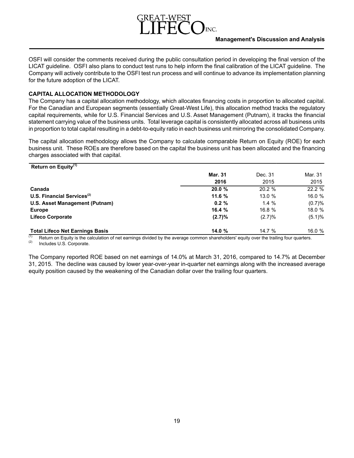

OSFI will consider the comments received during the public consultation period in developing the final version of the LICAT guideline. OSFI also plans to conduct test runs to help inform the final calibration of the LICAT guideline. The Company will actively contribute to the OSFI test run process and will continue to advance its implementation planning for the future adoption of the LICAT.

# **CAPITAL ALLOCATION METHODOLOGY**

The Company has a capital allocation methodology, which allocates financing costs in proportion to allocated capital. For the Canadian and European segments (essentially Great-West Life), this allocation method tracks the regulatory capital requirements, while for U.S. Financial Services and U.S. Asset Management (Putnam), it tracks the financial statement carrying value of the business units. Total leverage capital is consistently allocated across all business units in proportion to total capital resulting in a debt-to-equity ratio in each business unit mirroring the consolidated Company.

The capital allocation methodology allows the Company to calculate comparable Return on Equity (ROE) for each business unit. These ROEs are therefore based on the capital the business unit has been allocated and the financing charges associated with that capital.

| Return on Equity <sup>(1)</sup>        |                |         |         |
|----------------------------------------|----------------|---------|---------|
|                                        | <b>Mar. 31</b> | Dec. 31 | Mar. 31 |
|                                        | 2016           | 2015    | 2015    |
| Canada                                 | 20.0%          | 20.2 %  | 22.2 %  |
| U.S. Financial Services $(2)$          | 11.6%          | 13.0%   | 16.0 %  |
| U.S. Asset Management (Putnam)         | $0.2 \%$       | 1.4%    | (0.7)%  |
| <b>Europe</b>                          | 16.4%          | 16.8 %  | 18.0%   |
| <b>Lifeco Corporate</b>                | (2.7)%         | (2.7)%  | (5.1)%  |
| <b>Total Lifeco Net Earnings Basis</b> | 14.0%          | 14.7 %  | 16.0 %  |

(1) Return on Equity is the calculation of net earnings divided by the average common shareholders' equity over the trailing four quarters. Includes U.S. Corporate.

The Company reported ROE based on net earnings of 14.0% at March 31, 2016, compared to 14.7% at December 31, 2015. The decline was caused by lower year-over-year in-quarter net earnings along with the increased average equity position caused by the weakening of the Canadian dollar over the trailing four quarters.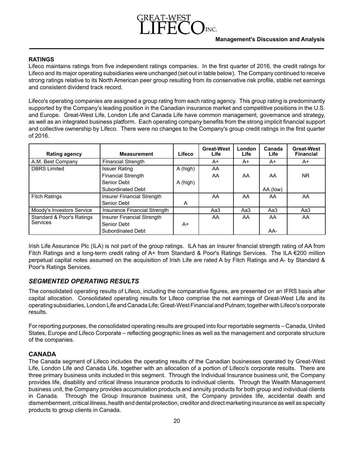# **RATINGS**

Lifeco maintains ratings from five independent ratings companies. In the first quarter of 2016, the credit ratings for Lifeco and its major operating subsidiaries were unchanged (set out in table below). The Company continued to receive strong ratings relative to its North American peer group resulting from its conservative risk profile, stable net earnings and consistent dividend track record.

Lifeco's operating companies are assigned a group rating from each rating agency. This group rating is predominantly supported by the Company's leading position in the Canadian insurance market and competitive positions in the U.S. and Europe. Great-West Life, London Life and Canada Life have common management, governance and strategy, as well as an integrated business platform. Each operating company benefits from the strong implicit financial support and collective ownership by Lifeco. There were no changes to the Company's group credit ratings in the first quarter of 2016.

| Rating agency             | <b>Measurement</b>           | Lifeco   | <b>Great-West</b><br>Life | London<br>Life | Canada<br><b>Life</b> | <b>Great-West</b><br><b>Financial</b> |
|---------------------------|------------------------------|----------|---------------------------|----------------|-----------------------|---------------------------------------|
| A.M. Best Company         | <b>Financial Strength</b>    |          | A+                        | A+             | A+                    | A+                                    |
| <b>DBRS</b> Limited       | <b>Issuer Rating</b>         | A (high) | AA                        |                |                       |                                       |
|                           | <b>Financial Strength</b>    |          | AA.                       | AA             | AA                    | <b>NR</b>                             |
|                           | Senior Debt                  | A (high) |                           |                |                       |                                       |
|                           | <b>Subordinated Debt</b>     |          |                           |                | AA (low)              |                                       |
| <b>Fitch Ratings</b>      | Insurer Financial Strength   |          | AA                        | AA             | AA                    | AA                                    |
|                           | Senior Debt                  | A        |                           |                |                       |                                       |
| Moody's Investors Service | Insurance Financial Strength |          | Aa3                       | Aa3            | Aa3                   | Aa3                                   |
| Standard & Poor's Ratings | Insurer Financial Strength   |          | AA                        | AA             | AA.                   | AA                                    |
| Services                  | Senior Debt                  | A+       |                           |                |                       |                                       |
|                           | <b>Subordinated Debt</b>     |          |                           |                | AA-                   |                                       |

Irish Life Assurance Plc (ILA) is not part of the group ratings. ILA has an insurer financial strength rating of AA from Fitch Ratings and a long-term credit rating of A+ from Standard & Poor's Ratings Services. The ILA €200 million perpetual capital notes assumed on the acquisition of Irish Life are rated A by Fitch Ratings and A- by Standard & Poor's Ratings Services.

# *SEGMENTED OPERATING RESULTS*

The consolidated operating results of Lifeco, including the comparative figures, are presented on an IFRS basis after capital allocation. Consolidated operating results for Lifeco comprise the net earnings of Great-West Life and its operating subsidiaries, London Life and Canada Life; Great-West Financial and Putnam; together with Lifeco's corporate results.

For reporting purposes, the consolidated operating results are grouped into four reportable segments – Canada, United States, Europe and Lifeco Corporate – reflecting geographic lines as well as the management and corporate structure of the companies.

# **CANADA**

The Canada segment of Lifeco includes the operating results of the Canadian businesses operated by Great-West Life, London Life and Canada Life, together with an allocation of a portion of Lifeco's corporate results. There are three primary business units included in this segment. Through the Individual Insurance business unit, the Company provides life, disability and critical illness insurance products to individual clients. Through the Wealth Management business unit, the Company provides accumulation products and annuity products for both group and individual clients in Canada. Through the Group Insurance business unit, the Company provides life, accidental death and dismemberment, critical illness, health and dental protection, creditor and direct marketing insurance as well as specialty products to group clients in Canada.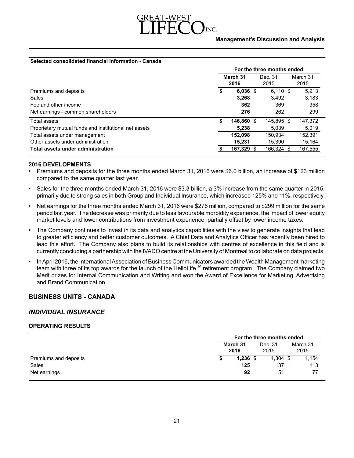

#### **Selected consolidated financial information - Canada**

|                                                       | For the three months ended |            |                 |            |  |                  |  |
|-------------------------------------------------------|----------------------------|------------|-----------------|------------|--|------------------|--|
|                                                       | March 31<br>2016           |            | Dec. 31<br>2015 |            |  | March 31<br>2015 |  |
| Premiums and deposits                                 | \$                         | $6,036$ \$ |                 | $6.110$ \$ |  | 5,913            |  |
| Sales                                                 |                            | 3.268      |                 | 3.492      |  | 3,183            |  |
| Fee and other income                                  |                            | 362        |                 | 369        |  | 358              |  |
| Net earnings - common shareholders                    |                            | 276        |                 | 262        |  | 299              |  |
| Total assets                                          | \$                         | 146,860    | -SS             | 145,895 \$ |  | 147,372          |  |
| Proprietary mutual funds and institutional net assets |                            | 5.238      |                 | 5.039      |  | 5,019            |  |
| Total assets under management                         |                            | 152,098    |                 | 150.934    |  | 152,391          |  |
| Other assets under administration                     |                            | 15.231     |                 | 15.390     |  | 15,164           |  |
| Total assets under administration                     |                            | 167,329    |                 | 166,324 \$ |  | 167,555          |  |

#### **2016 DEVELOPMENTS**

- Premiums and deposits for the three months ended March 31, 2016 were \$6.0 billion, an increase of \$123 million compared to the same quarter last year.
- Sales for the three months ended March 31, 2016 were \$3.3 billion, a 3% increase from the same quarter in 2015, primarily due to strong sales in both Group and Individual Insurance, which increased 125% and 11%, respectively.
- Net earnings for the three months ended March 31, 2016 were \$276 million, compared to \$299 million for the same period last year. The decrease was primarily due to less favourable morbidity experience, the impact of lower equity market levels and lower contributions from investment experience, partially offset by lower income taxes.
- The Company continues to invest in its data and analytics capabilities with the view to generate insights that lead to greater efficiency and better customer outcomes. A Chief Data and Analytics Officer has recently been hired to lead this effort. The Company also plans to build its relationships with centres of excellence in this field and is currently concluding a partnership with the IVADO centre at the University of Montreal to collaborate on data projects.
- In April 2016, the International Association of Business Communicators awarded the Wealth Management marketing team with three of its top awards for the launch of the HelloLife<sup>TM</sup> retirement program. The Company claimed two Merit prizes for Internal Communication and Writing and won the Award of Excellence for Marketing, Advertising and Brand Communication.

# **BUSINESS UNITS - CANADA**

## *INDIVIDUAL INSURANCE*

## **OPERATING RESULTS**

|                       | For the three months ended |            |                 |            |  |          |  |
|-----------------------|----------------------------|------------|-----------------|------------|--|----------|--|
|                       | March 31<br>2016           |            | Dec. 31<br>2015 |            |  | March 31 |  |
|                       |                            |            |                 |            |  | 2015     |  |
| Premiums and deposits |                            | $1,236$ \$ |                 | $1,304$ \$ |  | 1,154    |  |
| Sales                 |                            | 125        |                 | 137        |  | 113      |  |
| Net earnings          |                            | 92         |                 | 51         |  | 77       |  |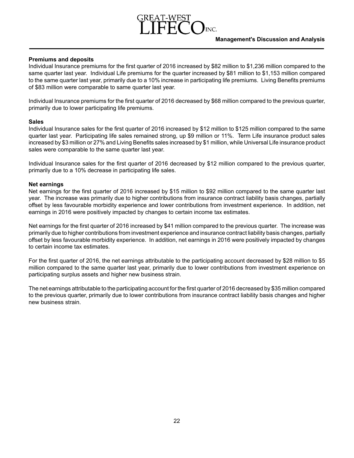# **Premiums and deposits**

Individual Insurance premiums for the first quarter of 2016 increased by \$82 million to \$1,236 million compared to the same quarter last year. Individual Life premiums for the quarter increased by \$81 million to \$1,153 million compared to the same quarter last year, primarily due to a 10% increase in participating life premiums. Living Benefits premiums of \$83 million were comparable to same quarter last year.

Individual Insurance premiums for the first quarter of 2016 decreased by \$68 million compared to the previous quarter, primarily due to lower participating life premiums.

# **Sales**

Individual Insurance sales for the first quarter of 2016 increased by \$12 million to \$125 million compared to the same quarter last year. Participating life sales remained strong, up \$9 million or 11%. Term Life insurance product sales increased by \$3 million or 27% and Living Benefits sales increased by \$1 million, while Universal Life insurance product sales were comparable to the same quarter last year.

Individual Insurance sales for the first quarter of 2016 decreased by \$12 million compared to the previous quarter, primarily due to a 10% decrease in participating life sales.

# **Net earnings**

Net earnings for the first quarter of 2016 increased by \$15 million to \$92 million compared to the same quarter last year. The increase was primarily due to higher contributions from insurance contract liability basis changes, partially offset by less favourable morbidity experience and lower contributions from investment experience. In addition, net earnings in 2016 were positively impacted by changes to certain income tax estimates.

Net earnings for the first quarter of 2016 increased by \$41 million compared to the previous quarter. The increase was primarily due to higher contributions from investment experience and insurance contract liability basis changes, partially offset by less favourable morbidity experience. In addition, net earnings in 2016 were positively impacted by changes to certain income tax estimates.

For the first quarter of 2016, the net earnings attributable to the participating account decreased by \$28 million to \$5 million compared to the same quarter last year, primarily due to lower contributions from investment experience on participating surplus assets and higher new business strain.

The net earnings attributable to the participating account for the first quarter of 2016 decreased by \$35 million compared to the previous quarter, primarily due to lower contributions from insurance contract liability basis changes and higher new business strain.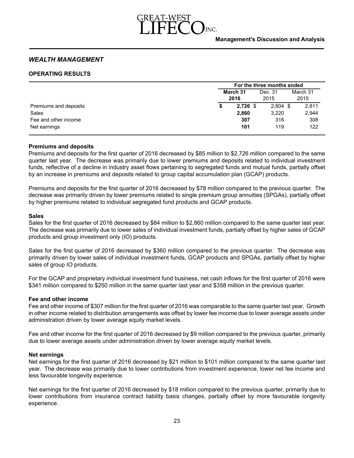

# *WEALTH MANAGEMENT*

# **OPERATING RESULTS**

|                       |                  | For the three months ended |                  |  |  |  |  |  |  |
|-----------------------|------------------|----------------------------|------------------|--|--|--|--|--|--|
|                       | March 31<br>2016 | Dec. 31<br>2015            | March 31<br>2015 |  |  |  |  |  |  |
| Premiums and deposits | $2,726$ \$       | $2,804$ \$                 | 2,811            |  |  |  |  |  |  |
| Sales                 | 2,860            | 3,220                      | 2,944            |  |  |  |  |  |  |
| Fee and other income  | 307              | 316                        | 308              |  |  |  |  |  |  |
| Net earnings          | 101              | 119                        | 122              |  |  |  |  |  |  |

## **Premiums and deposits**

Premiums and deposits for the first quarter of 2016 decreased by \$85 million to \$2,726 million compared to the same quarter last year. The decrease was primarily due to lower premiums and deposits related to individual investment funds, reflective of a decline in industry asset flows pertaining to segregated funds and mutual funds, partially offset by an increase in premiums and deposits related to group capital accumulation plan (GCAP) products.

Premiums and deposits for the first quarter of 2016 decreased by \$78 million compared to the previous quarter. The decrease was primarily driven by lower premiums related to single premium group annuities (SPGAs), partially offset by higher premiums related to individual segregated fund products and GCAP products.

## **Sales**

Sales for the first quarter of 2016 decreased by \$84 million to \$2,860 million compared to the same quarter last year. The decrease was primarily due to lower sales of individual investment funds, partially offset by higher sales of GCAP products and group investment only (IO) products.

Sales for the first quarter of 2016 decreased by \$360 million compared to the previous quarter. The decrease was primarily driven by lower sales of individual investment funds, GCAP products and SPGAs, partially offset by higher sales of group IO products.

For the GCAP and proprietary individual investment fund business, net cash inflows for the first quarter of 2016 were \$341 million compared to \$250 million in the same quarter last year and \$358 million in the previous quarter.

## **Fee and other income**

Fee and other income of \$307 million for the first quarter of 2016 was comparable to the same quarter last year. Growth in other income related to distribution arrangements was offset by lower fee income due to lower average assets under administration driven by lower average equity market levels.

Fee and other income for the first quarter of 2016 decreased by \$9 million compared to the previous quarter, primarily due to lower average assets under administration driven by lower average equity market levels.

## **Net earnings**

Net earnings for the first quarter of 2016 decreased by \$21 million to \$101 million compared to the same quarter last year. The decrease was primarily due to lower contributions from investment experience, lower net fee income and less favourable longevity experience.

Net earnings for the first quarter of 2016 decreased by \$18 million compared to the previous quarter, primarily due to lower contributions from insurance contract liability basis changes, partially offset by more favourable longevity experience.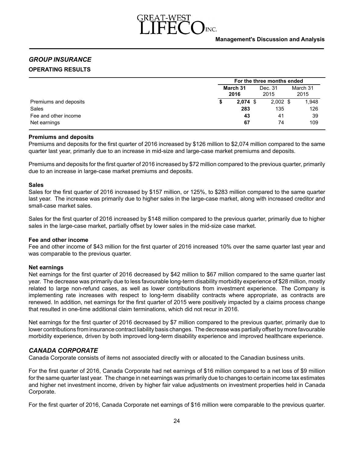

# *GROUP INSURANCE* **OPERATING RESULTS**

|                       | For the three months ended |                 |                  |  |  |  |  |  |
|-----------------------|----------------------------|-----------------|------------------|--|--|--|--|--|
|                       | March 31<br>2016           | Dec. 31<br>2015 | March 31<br>2015 |  |  |  |  |  |
| Premiums and deposits | $2,074$ \$                 | $2,002$ \$      | 1,948            |  |  |  |  |  |
| Sales                 | 283                        | 135             | 126              |  |  |  |  |  |
| Fee and other income  | 43                         | 41              | 39               |  |  |  |  |  |
| Net earnings          | 67                         | 74              | 109              |  |  |  |  |  |

# **Premiums and deposits**

Premiums and deposits for the first quarter of 2016 increased by \$126 million to \$2,074 million compared to the same quarter last year, primarily due to an increase in mid-size and large-case market premiums and deposits.

Premiums and deposits for the first quarter of 2016 increased by \$72 million compared to the previous quarter, primarily due to an increase in large-case market premiums and deposits.

#### **Sales**

Sales for the first quarter of 2016 increased by \$157 million, or 125%, to \$283 million compared to the same quarter last year. The increase was primarily due to higher sales in the large-case market, along with increased creditor and small-case market sales.

Sales for the first quarter of 2016 increased by \$148 million compared to the previous quarter, primarily due to higher sales in the large-case market, partially offset by lower sales in the mid-size case market.

## **Fee and other income**

Fee and other income of \$43 million for the first quarter of 2016 increased 10% over the same quarter last year and was comparable to the previous quarter.

## **Net earnings**

Net earnings for the first quarter of 2016 decreased by \$42 million to \$67 million compared to the same quarter last year. The decrease was primarily due to less favourable long-term disability morbidity experience of \$28 million, mostly related to large non-refund cases, as well as lower contributions from investment experience. The Company is implementing rate increases with respect to long-term disability contracts where appropriate, as contracts are renewed. In addition, net earnings for the first quarter of 2015 were positively impacted by a claims process change that resulted in one-time additional claim terminations, which did not recur in 2016.

Net earnings for the first quarter of 2016 decreased by \$7 million compared to the previous quarter, primarily due to lower contributions from insurance contract liability basis changes. The decrease was partially offset by more favourable morbidity experience, driven by both improved long-term disability experience and improved healthcare experience.

# *CANADA CORPORATE*

Canada Corporate consists of items not associated directly with or allocated to the Canadian business units.

For the first quarter of 2016, Canada Corporate had net earnings of \$16 million compared to a net loss of \$9 million for the same quarter last year. The change in net earnings was primarily due to changes to certain income tax estimates and higher net investment income, driven by higher fair value adjustments on investment properties held in Canada Corporate.

For the first quarter of 2016, Canada Corporate net earnings of \$16 million were comparable to the previous quarter.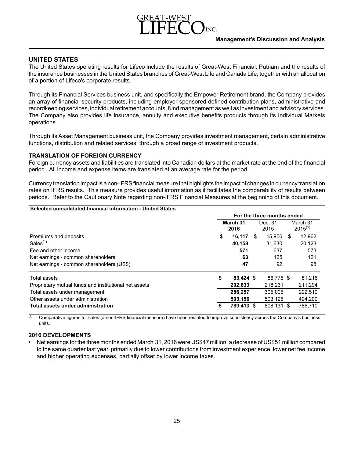# **UNITED STATES**

The United States operating results for Lifeco include the results of Great-West Financial, Putnam and the results of the insurance businesses in the United States branches of Great-West Life and Canada Life, together with an allocation of a portion of Lifeco's corporate results.

Through its Financial Services business unit, and specifically the Empower Retirement brand, the Company provides an array of financial security products, including employer-sponsored defined contribution plans, administrative and recordkeeping services, individual retirement accounts, fund management as well as investment and advisory services. The Company also provides life insurance, annuity and executive benefits products through its Individual Markets operations.

Through its Asset Management business unit, the Company provides investment management, certain administrative functions, distribution and related services, through a broad range of investment products.

# **TRANSLATION OF FOREIGN CURRENCY**

Foreign currency assets and liabilities are translated into Canadian dollars at the market rate at the end of the financial period. All income and expense items are translated at an average rate for the period.

Currency translation impact is a non-IFRS financial measure that highlights the impact of changes in currency translation rates on IFRS results. This measure provides useful information as it facilitates the comparability of results between periods. Refer to the Cautionary Note regarding non-IFRS Financial Measures at the beginning of this document.

| Selected consolidated financial information - United States |                            |            |    |                 |    |                          |
|-------------------------------------------------------------|----------------------------|------------|----|-----------------|----|--------------------------|
|                                                             | For the three months ended |            |    |                 |    |                          |
|                                                             | March 31<br>2016           |            |    | Dec. 31<br>2015 |    | March 31<br>$2015^{(1)}$ |
| Premiums and deposits                                       |                            | 16,117     | \$ | 15.956          | \$ | 12.962                   |
| Sales $(1)$                                                 |                            | 40.158     |    | 31,630          |    | 20,123                   |
| Fee and other income                                        |                            | 571        |    | 637             |    | 573                      |
| Net earnings - common shareholders                          |                            | 63         |    | 125             |    | 121                      |
| Net earnings - common shareholders (US\$)                   |                            | 47         |    | 92              |    | 98                       |
| Total assets                                                | \$                         | 83.424 \$  |    | 86.775 \$       |    | 81,216                   |
| Proprietary mutual funds and institutional net assets       |                            | 202.833    |    | 218,231         |    | 211,294                  |
| Total assets under management                               |                            | 286.257    |    | 305.006         |    | 292,510                  |
| Other assets under administration                           |                            | 503,156    |    | 503,125         |    | 494,200                  |
| Total assets under administration                           |                            | 789,413 \$ |    | 808,131 \$      |    | 786,710                  |
|                                                             |                            |            |    |                 |    |                          |

(1) Comparative figures for sales (a non-IFRS financial measure) have been restated to improve consistency across the Company's business units.

# **2016 DEVELOPMENTS**

Net earnings for the three months ended March 31, 2016 were US\$47 million, a decrease of US\$51 million compared to the same quarter last year, primarily due to lower contributions from investment experience, lower net fee income and higher operating expenses, partially offset by lower income taxes.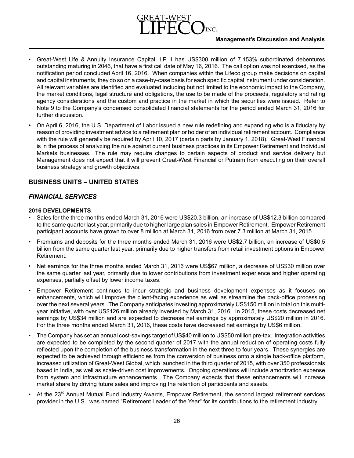# **Management's Discussion and Analysis**

- Great-West Life & Annuity Insurance Capital, LP II has US\$300 million of 7.153% subordinated debentures outstanding maturing in 2046, that have a first call date of May 16, 2016. The call option was not exercised, as the notification period concluded April 16, 2016. When companies within the Lifeco group make decisions on capital and capital instruments, they do so on a case-by-case basis for each specific capital instrument under consideration. All relevant variables are identified and evaluated including but not limited to the economic impact to the Company, the market conditions, legal structure and obligations, the use to be made of the proceeds, regulatory and rating agency considerations and the custom and practice in the market in which the securities were issued. Refer to Note 9 to the Company's condensed consolidated financial statements for the period ended March 31, 2016 for further discussion.
- On April 6, 2016, the U.S. Department of Labor issued a new rule redefining and expanding who is a fiduciary by reason of providing investment advice to a retirement plan or holder of an individual retirement account. Compliance with the rule will generally be required by April 10, 2017 (certain parts by January 1, 2018). Great-West Financial is in the process of analyzing the rule against current business practices in its Empower Retirement and Individual Markets businesses. The rule may require changes to certain aspects of product and service delivery but Management does not expect that it will prevent Great-West Financial or Putnam from executing on their overall business strategy and growth objectives.

# **BUSINESS UNITS – UNITED STATES**

# *FINANCIAL SERVICES*

# **2016 DEVELOPMENTS**

- Sales for the three months ended March 31, 2016 were US\$20.3 billion, an increase of US\$12.3 billion compared to the same quarter last year, primarily due to higher large plan sales in Empower Retirement. Empower Retirement participant accounts have grown to over 8 million at March 31, 2016 from over 7.3 million at March 31, 2015.
- Premiums and deposits for the three months ended March 31, 2016 were US\$2.7 billion, an increase of US\$0.5 billion from the same quarter last year, primarily due to higher transfers from retail investment options in Empower Retirement.
- Net earnings for the three months ended March 31, 2016 were US\$67 million, a decrease of US\$30 million over the same quarter last year, primarily due to lower contributions from investment experience and higher operating expenses, partially offset by lower income taxes.
- Empower Retirement continues to incur strategic and business development expenses as it focuses on enhancements, which will improve the client-facing experience as well as streamline the back-office processing over the next several years. The Company anticipates investing approximately US\$150 million in total on this multiyear initiative, with over US\$126 million already invested by March 31, 2016. In 2015, these costs decreased net earnings by US\$34 million and are expected to decrease net earnings by approximately US\$20 million in 2016. For the three months ended March 31, 2016, these costs have decreased net earnings by US\$6 million.
- The Company has set an annual cost-savings target of US\$40 million to US\$50 million pre-tax. Integration activities are expected to be completed by the second quarter of 2017 with the annual reduction of operating costs fully reflected upon the completion of the business transformation in the next three to four years. These synergies are expected to be achieved through efficiencies from the conversion of business onto a single back-office platform, increased utilization of Great-West Global, which launched in the third quarter of 2015, with over 350 professionals based in India, as well as scale-driven cost improvements. Ongoing operations will include amortization expense from system and infrastructure enhancements. The Company expects that these enhancements will increase market share by driving future sales and improving the retention of participants and assets.
- At the 23<sup>rd</sup> Annual Mutual Fund Industry Awards, Empower Retirement, the second largest retirement services provider in the U.S., was named "Retirement Leader of the Year" for its contributions to the retirement industry.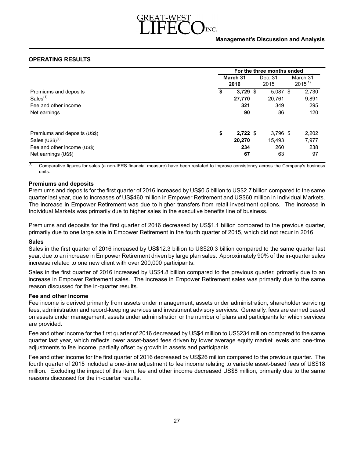

# **OPERATING RESULTS**

|                              | For the three months ended |            |                 |            |  |                          |
|------------------------------|----------------------------|------------|-----------------|------------|--|--------------------------|
|                              | March 31<br>2016           |            | Dec. 31<br>2015 |            |  | March 31<br>$2015^{(1)}$ |
| Premiums and deposits        | \$                         | $3,729$ \$ |                 | $5.087$ \$ |  | 2,730                    |
| Sales $(1)$                  |                            | 27,770     |                 | 20.761     |  | 9,891                    |
| Fee and other income         |                            | 321        |                 | 349        |  | 295                      |
| Net earnings                 |                            | 90         |                 | 86         |  | 120                      |
| Premiums and deposits (US\$) | \$                         | $2.722$ \$ |                 | $3,796$ \$ |  | 2,202                    |
| Sales $(US$)^{(1)}$          |                            | 20,270     |                 | 15,493     |  | 7,977                    |
| Fee and other income (US\$)  |                            | 234        |                 | 260        |  | 238                      |
| Net earnings (US\$)          |                            | 67         |                 | 63         |  | 97                       |

 $\overline{^{(1)}}$  Comparative figures for sales (a non-IFRS financial measure) have been restated to improve consistency across the Company's business units.

#### **Premiums and deposits**

Premiums and deposits for the first quarter of 2016 increased by US\$0.5 billion to US\$2.7 billion compared to the same quarter last year, due to increases of US\$460 million in Empower Retirement and US\$60 million in Individual Markets. The increase in Empower Retirement was due to higher transfers from retail investment options. The increase in Individual Markets was primarily due to higher sales in the executive benefits line of business.

Premiums and deposits for the first quarter of 2016 decreased by US\$1.1 billion compared to the previous quarter, primarily due to one large sale in Empower Retirement in the fourth quarter of 2015, which did not recur in 2016.

#### **Sales**

Sales in the first quarter of 2016 increased by US\$12.3 billion to US\$20.3 billion compared to the same quarter last year, due to an increase in Empower Retirement driven by large plan sales. Approximately 90% of the in-quarter sales increase related to one new client with over 200,000 participants.

Sales in the first quarter of 2016 increased by US\$4.8 billion compared to the previous quarter, primarily due to an increase in Empower Retirement sales. The increase in Empower Retirement sales was primarily due to the same reason discussed for the in-quarter results.

#### **Fee and other income**

Fee income is derived primarily from assets under management, assets under administration, shareholder servicing fees, administration and record-keeping services and investment advisory services. Generally, fees are earned based on assets under management, assets under administration or the number of plans and participants for which services are provided.

Fee and other income for the first quarter of 2016 decreased by US\$4 million to US\$234 million compared to the same quarter last year, which reflects lower asset-based fees driven by lower average equity market levels and one-time adjustments to fee income, partially offset by growth in assets and participants.

Fee and other income for the first quarter of 2016 decreased by US\$26 million compared to the previous quarter. The fourth quarter of 2015 included a one-time adjustment to fee income relating to variable asset-based fees of US\$18 million. Excluding the impact of this item, fee and other income decreased US\$8 million, primarily due to the same reasons discussed for the in-quarter results.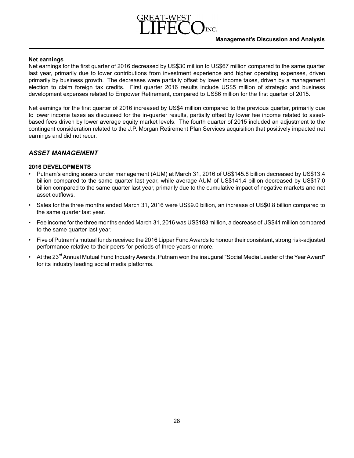# **Net earnings**

Net earnings for the first quarter of 2016 decreased by US\$30 million to US\$67 million compared to the same quarter last year, primarily due to lower contributions from investment experience and higher operating expenses, driven primarily by business growth. The decreases were partially offset by lower income taxes, driven by a management election to claim foreign tax credits. First quarter 2016 results include US\$5 million of strategic and business development expenses related to Empower Retirement, compared to US\$6 million for the first quarter of 2015.

Net earnings for the first quarter of 2016 increased by US\$4 million compared to the previous quarter, primarily due to lower income taxes as discussed for the in-quarter results, partially offset by lower fee income related to assetbased fees driven by lower average equity market levels. The fourth quarter of 2015 included an adjustment to the contingent consideration related to the J.P. Morgan Retirement Plan Services acquisition that positively impacted net earnings and did not recur.

# *ASSET MANAGEMENT*

# **2016 DEVELOPMENTS**

- Putnam's ending assets under management (AUM) at March 31, 2016 of US\$145.8 billion decreased by US\$13.4 billion compared to the same quarter last year, while average AUM of US\$141.4 billion decreased by US\$17.0 billion compared to the same quarter last year, primarily due to the cumulative impact of negative markets and net asset outflows.
- Sales for the three months ended March 31, 2016 were US\$9.0 billion, an increase of US\$0.8 billion compared to the same quarter last year.
- Fee income for the three months ended March 31, 2016 was US\$183 million, a decreaseof US\$41 millioncompared to the same quarter last year.
- Five of Putnam's mutual funds received the 2016 Lipper Fund Awards to honour their consistent, strong risk-adjusted performance relative to their peers for periods of three years or more.
- At the 23<sup>rd</sup> Annual Mutual Fund Industry Awards, Putnam won the inaugural "Social Media Leader of the Year Award" for its industry leading social media platforms.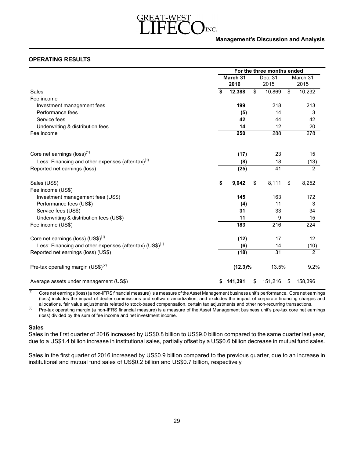

## **Management's Discussion and Analysis**

# **OPERATING RESULTS**

|                                                                      | For the three months ended |            |    |                 |    |                  |  |
|----------------------------------------------------------------------|----------------------------|------------|----|-----------------|----|------------------|--|
|                                                                      | March 31<br>2016           |            |    | Dec. 31<br>2015 |    | March 31<br>2015 |  |
| Sales                                                                | \$                         | 12,388     | \$ | 10,869          | \$ | 10,232           |  |
| Fee income                                                           |                            |            |    |                 |    |                  |  |
| Investment management fees                                           |                            | 199        |    | 218             |    | 213              |  |
| Performance fees                                                     |                            | (5)        |    | 14              |    | 3                |  |
| Service fees                                                         |                            | 42         |    | 44              |    | 42               |  |
| Underwriting & distribution fees                                     |                            | 14         |    | 12              |    | 20               |  |
| Fee income                                                           |                            | 250        |    | 288             |    | 278              |  |
| Core net earnings (loss) <sup>(1)</sup>                              |                            | (17)       |    | 23              |    | 15               |  |
| Less: Financing and other expenses (after-tax) $(1)$                 |                            | (8)        |    | 18              |    | $\frac{(13)}{2}$ |  |
| Reported net earnings (loss)                                         |                            | (25)       |    | 41              |    |                  |  |
| Sales (US\$)                                                         | \$                         | 9,042      | \$ | 8,111           | \$ | 8,252            |  |
| Fee income (US\$)                                                    |                            |            |    |                 |    |                  |  |
| Investment management fees (US\$)                                    |                            | 145        |    | 163             |    | 172              |  |
| Performance fees (US\$)                                              |                            | (4)        |    | 11              |    | 3                |  |
| Service fees (US\$)                                                  |                            | 31         |    | 33              |    | 34               |  |
| Underwriting & distribution fees (US\$)                              |                            | 11         |    | 9               |    | 15               |  |
| Fee income (US\$)                                                    |                            | 183        |    | 216             |    | 224              |  |
| Core net earnings (loss) (US\$) <sup>(1)</sup>                       |                            | (12)       |    | 17              |    | 12               |  |
| Less: Financing and other expenses (after-tax) (US\$) <sup>(1)</sup> |                            | (6)        |    | 14              |    | (10)             |  |
| Reported net earnings (loss) (US\$)                                  |                            | (18)       |    | 31              |    | $\overline{2}$   |  |
| Pre-tax operating margin $(US$)^{(2)}$                               |                            | $(12.3)\%$ |    | 13.5%           |    | 9.2%             |  |
| Average assets under management (US\$)                               | S                          | 141,391    | S  | 151,216         | \$ | 158,396          |  |

 $\frac{1}{11}$  Core net earnings (loss) (a non-IFRS financial measure) is a measure of the Asset Management business unit's performance. Core net earnings (loss) includes the impact of dealer commissions and software amortization, and excludes the impact of corporate financing charges and allocations, fair value adjustments related to stock-based compensation, certain tax adjustments and other non-recurring transactions.

(2) Pre-tax operating margin (a non-IFRS financial measure) is a measure of the Asset Management business unit's pre-tax core net earnings (loss) divided by the sum of fee income and net investment income.

## **Sales**

Sales in the first quarter of 2016 increased by US\$0.8 billion to US\$9.0 billion compared to the same quarter last year, due to a US\$1.4 billion increase in institutional sales, partially offset by a US\$0.6 billion decrease in mutual fund sales.

Sales in the first quarter of 2016 increased by US\$0.9 billion compared to the previous quarter, due to an increase in institutional and mutual fund sales of US\$0.2 billion and US\$0.7 billion, respectively.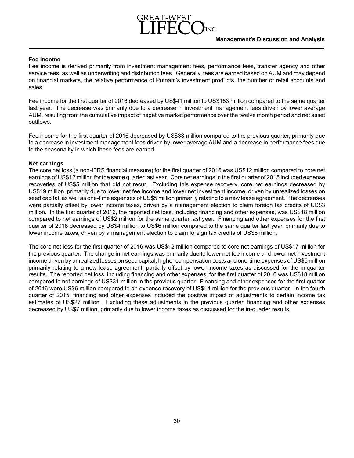# **Fee income**

Fee income is derived primarily from investment management fees, performance fees, transfer agency and other service fees, as well as underwriting and distribution fees. Generally, fees are earned based on AUM and may depend on financial markets, the relative performance of Putnam's investment products, the number of retail accounts and sales.

Fee income for the first quarter of 2016 decreased by US\$41 million to US\$183 million compared to the same quarter last year. The decrease was primarily due to a decrease in investment management fees driven by lower average AUM, resulting from the cumulative impact of negative market performance over the twelve month period and net asset outflows.

Fee income for the first quarter of 2016 decreased by US\$33 million compared to the previous quarter, primarily due to a decrease in investment management fees driven by lower average AUM and a decrease in performance fees due to the seasonality in which these fees are earned.

# **Net earnings**

The core net loss (a non-IFRS financial measure) for the first quarter of 2016 was US\$12 million compared to core net earnings of US\$12 million for the same quarter last year. Core net earnings in the first quarter of 2015 included expense recoveries of US\$5 million that did not recur. Excluding this expense recovery, core net earnings decreased by US\$19 million, primarily due to lower net fee income and lower net investment income, driven by unrealized losses on seed capital, as well as one-time expenses of US\$5 million primarily relating to a new lease agreement. The decreases were partially offset by lower income taxes, driven by a management election to claim foreign tax credits of US\$3 million. In the first quarter of 2016, the reported net loss, including financing and other expenses, was US\$18 million compared to net earnings of US\$2 million for the same quarter last year. Financing and other expenses for the first quarter of 2016 decreased by US\$4 million to US\$6 million compared to the same quarter last year, primarily due to lower income taxes, driven by a management election to claim foreign tax credits of US\$6 million.

The core net loss for the first quarter of 2016 was US\$12 million compared to core net earnings of US\$17 million for the previous quarter. The change in net earnings was primarily due to lower net fee income and lower net investment income driven by unrealized losses on seed capital, higher compensation costs and one-time expenses of US\$5 million primarily relating to a new lease agreement, partially offset by lower income taxes as discussed for the in-quarter results. The reported net loss, including financing and other expenses, for the first quarter of 2016 was US\$18 million compared to net earnings of US\$31 million in the previous quarter. Financing and other expenses for the first quarter of 2016 were US\$6 million compared to an expense recovery of US\$14 million for the previous quarter. In the fourth quarter of 2015, financing and other expenses included the positive impact of adjustments to certain income tax estimates of US\$27 million. Excluding these adjustments in the previous quarter, financing and other expenses decreased by US\$7 million, primarily due to lower income taxes as discussed for the in-quarter results.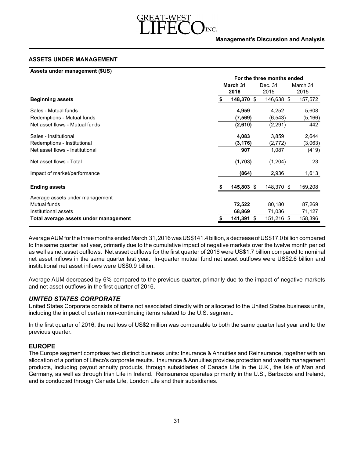

## **ASSETS UNDER MANAGEMENT**

| Assets under management (\$US)        |                  |                            |          |
|---------------------------------------|------------------|----------------------------|----------|
|                                       |                  | For the three months ended |          |
|                                       | March 31         | Dec. 31                    | March 31 |
|                                       | 2016             | 2015                       | 2015     |
| <b>Beginning assets</b>               | \$<br>148,370 \$ | 146,638 \$                 | 157,572  |
| Sales - Mutual funds                  | 4,959            | 4,252                      | 5,608    |
| Redemptions - Mutual funds            | (7, 569)         | (6, 543)                   | (5, 166) |
| Net asset flows - Mutual funds        | (2,610)          | (2, 291)                   | 442      |
| Sales - Institutional                 | 4,083            | 3,859                      | 2,644    |
| Redemptions - Institutional           | (3, 176)         | (2,772)                    | (3,063)  |
| Net asset flows - Institutional       | 907              | 1,087                      | (419)    |
| Net asset flows - Total               | (1,703)          | (1,204)                    | 23       |
| Impact of market/performance          | (864)            | 2,936                      | 1,613    |
| <b>Ending assets</b>                  | 145,803 \$       | 148,370 \$                 | 159,208  |
| Average assets under management       |                  |                            |          |
| <b>Mutual funds</b>                   | 72,522           | 80,180                     | 87,269   |
| Institutional assets                  | 68,869           | 71,036                     | 71,127   |
| Total average assets under management | 141,391<br>-\$   | 151,216<br>-\$             | 158,396  |

Average AUM for the three months ended March 31, 2016was US\$141.4 billion, a decreaseof US\$17.0 billioncompared to the same quarter last year, primarily due to the cumulative impact of negative markets over the twelve month period as well as net asset outflows. Net asset outflows for the first quarter of 2016 were US\$1.7 billion compared to nominal net asset inflows in the same quarter last year. In-quarter mutual fund net asset outflows were US\$2.6 billion and institutional net asset inflows were US\$0.9 billion.

Average AUM decreased by 6% compared to the previous quarter, primarily due to the impact of negative markets and net asset outflows in the first quarter of 2016.

# *UNITED STATES CORPORATE*

United States Corporate consists of items not associated directly with or allocated to the United States business units, including the impact of certain non-continuing items related to the U.S. segment.

In the first quarter of 2016, the net loss of US\$2 million was comparable to both the same quarter last year and to the previous quarter.

# **EUROPE**

The Europe segment comprises two distinct business units: Insurance & Annuities and Reinsurance, together with an allocation of a portion of Lifeco's corporate results. Insurance & Annuities provides protection and wealth management products, including payout annuity products, through subsidiaries of Canada Life in the U.K., the Isle of Man and Germany, as well as through Irish Life in Ireland. Reinsurance operates primarily in the U.S., Barbados and Ireland, and is conducted through Canada Life, London Life and their subsidiaries.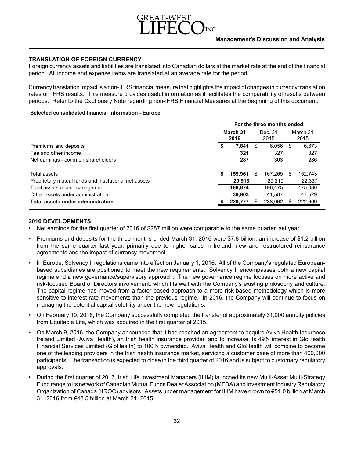

# **TRANSLATION OF FOREIGN CURRENCY**

Foreign currency assets and liabilities are translated into Canadian dollars at the market rate at the end of the financial period. All income and expense items are translated at an average rate for the period.

Currency translation impact is a non-IFRS financial measure that highlights the impact of changes in currency translation rates on IFRS results. This measure provides useful information as it facilitates the comparability of results between periods. Refer to the Cautionary Note regarding non-IFRS Financial Measures at the beginning of this document.

#### **Selected consolidated financial information - Europe**

| For the three months ended |          |         |         |                  |  |  |  |  |  |
|----------------------------|----------|---------|---------|------------------|--|--|--|--|--|
| 2016                       |          | 2015    |         | March 31<br>2015 |  |  |  |  |  |
| \$<br>7,841                | S        | 6.056   | \$      | 6.673            |  |  |  |  |  |
| 321                        |          | 327     |         | 327              |  |  |  |  |  |
| 287                        |          | 303     |         | 286              |  |  |  |  |  |
| \$<br>159.961              | S        | 167.265 | -SS     | 152,743          |  |  |  |  |  |
| 29.913                     |          | 29,210  |         | 22,337           |  |  |  |  |  |
| 189,874                    |          | 196.475 |         | 175,080          |  |  |  |  |  |
| 39,903                     |          | 41.587  |         | 47,529           |  |  |  |  |  |
| 229,777                    | \$.      | 238.062 |         | 222,609          |  |  |  |  |  |
|                            | March 31 |         | Dec. 31 |                  |  |  |  |  |  |

#### **2016 DEVELOPMENTS**

- Net earnings for the first quarter of 2016 of \$287 million were comparable to the same quarter last year.
- Premiums and deposits for the three months ended March 31, 2016 were \$7.8 billion, an increase of \$1.2 billion from the same quarter last year, primarily due to higher sales in Ireland, new and restructured reinsurance agreements and the impact of currency movement.
- In Europe, Solvency II regulations came into effect on January 1, 2016. All of the Company's regulated Europeanbased subsidiaries are positioned to meet the new requirements. Solvency II encompasses both a new capital regime and a new governance/supervisory approach. The new governance regime focuses on more active and risk-focused Board of Directors involvement, which fits well with the Company's existing philosophy and culture. The capital regime has moved from a factor-based approach to a more risk-based methodology which is more sensitive to interest rate movements than the previous regime. In 2016, the Company will continue to focus on managing the potential capital volatility under the new regulations.
- On February 19, 2016, the Company successfully completed the transfer of approximately 31,000 annuity policies from Equitable Life, which was acquired in the first quarter of 2015.
- On March 9, 2016, the Company announced that it had reached an agreement to acquire Aviva Health Insurance Ireland Limited (Aviva Health), an Irish health insurance provider, and to increase its 49% interest in GloHealth Financial Services Limited (GloHealth) to 100% ownership. Aviva Health and GloHealth will combine to become one of the leading providers in the Irish health insurance market, servicing a customer base of more than 400,000 participants. The transaction is expected to close in the third quarter of 2016 and is subject to customary regulatory approvals.
- During the first quarter of 2016, Irish Life Investment Managers (ILIM) launched its new Multi-Asset Multi-Strategy Fund range to its network of Canadian Mutual Funds Dealer Association (MFDA) and Investment Industry Regulatory Organization of Canada (IIROC) advisors. Assets under management for ILIM have grown to €51.0 billion at March 31, 2016 from €48.5 billion at March 31, 2015.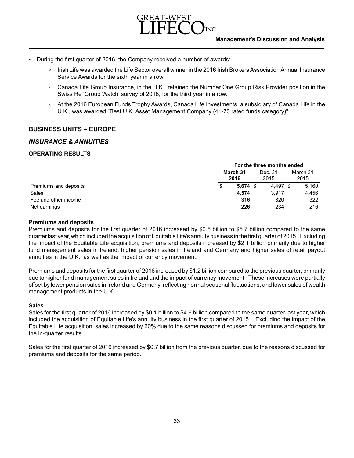

- During the first quarter of 2016, the Company received a number of awards:
	- Irish Life was awarded the Life Sector overall winner in the 2016 Irish Brokers Association Annual Insurance Service Awards for the sixth year in a row.
	- Canada Life Group Insurance, in the U.K., retained the Number One Group Risk Provider position in the Swiss Re 'Group Watch' survey of 2016, for the third year in a row.
	- ∘ At the 2016 European Funds Trophy Awards, Canada Life Investments, a subsidiary of Canada Life in the U.K., was awarded "Best U.K. Asset Management Company (41-70 rated funds category)".

# **BUSINESS UNITS – EUROPE**

# *INSURANCE & ANNUITIES*

## **OPERATING RESULTS**

|                       | For the three months ended |                  |                 |                  |       |  |  |  |  |  |  |  |
|-----------------------|----------------------------|------------------|-----------------|------------------|-------|--|--|--|--|--|--|--|
|                       |                            | March 31<br>2016 | Dec. 31<br>2015 | March 31<br>2015 |       |  |  |  |  |  |  |  |
| Premiums and deposits | S                          | $5,674$ \$       | 4,497 \$        |                  | 5,160 |  |  |  |  |  |  |  |
| Sales                 |                            | 4,574            | 3.917           |                  | 4,456 |  |  |  |  |  |  |  |
| Fee and other income  |                            | 316              | 320             |                  | 322   |  |  |  |  |  |  |  |
| Net earnings          |                            | 226              | 234             |                  | 216   |  |  |  |  |  |  |  |

#### **Premiums and deposits**

Premiums and deposits for the first quarter of 2016 increased by \$0.5 billion to \$5.7 billion compared to the same quarter last year, which included the acquisition of Equitable Life's annuity business in the first quarter of 2015. Excluding the impact of the Equitable Life acquisition, premiums and deposits increased by \$2.1 billion primarily due to higher fund management sales in Ireland, higher pension sales in Ireland and Germany and higher sales of retail payout annuities in the U.K., as well as the impact of currency movement.

Premiums and deposits for the first quarter of 2016 increased by \$1.2 billion compared to the previous quarter, primarily due to higher fund management sales in Ireland and the impact of currency movement. These increases were partially offset by lower pension sales in Ireland and Germany, reflecting normal seasonal fluctuations, and lower sales of wealth management products in the U.K.

#### **Sales**

Sales for the first quarter of 2016 increased by \$0.1 billion to \$4.6 billion compared to the same quarter last year, which included the acquisition of Equitable Life's annuity business in the first quarter of 2015. Excluding the impact of the Equitable Life acquisition, sales increased by 60% due to the same reasons discussed for premiums and deposits for the in-quarter results.

Sales for the first quarter of 2016 increased by \$0.7 billion from the previous quarter, due to the reasons discussed for premiums and deposits for the same period.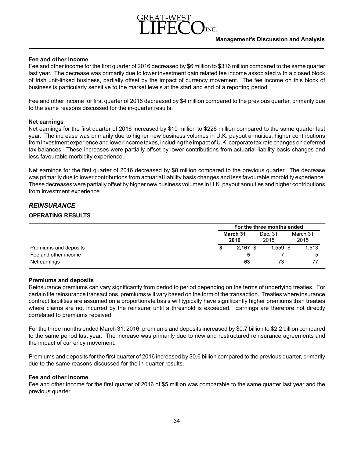# **Fee and other income**

Fee and other income for the first quarter of 2016 decreased by \$6 million to \$316 million compared to the same quarter last year. The decrease was primarily due to lower investment gain related fee income associated with a closed block of Irish unit-linked business, partially offset by the impact of currency movement. The fee income on this block of business is particularly sensitive to the market levels at the start and end of a reporting period.

Fee and other income for first quarter of 2016 decreased by \$4 million compared to the previous quarter, primarily due to the same reasons discussed for the in-quarter results.

# **Net earnings**

Net earnings for the first quarter of 2016 increased by \$10 million to \$226 million compared to the same quarter last year. The increase was primarily due to higher new business volumes in U.K. payout annuities, higher contributions from investment experience and lower income taxes, including the impact of U.K. corporate tax rate changes on deferred tax balances. These increases were partially offset by lower contributions from actuarial liability basis changes and less favourable morbidity experience.

Net earnings for the first quarter of 2016 decreased by \$8 million compared to the previous quarter. The decrease was primarily due to lower contributions from actuarial liability basis changes and less favourable morbidity experience. These decreases were partially offset by higher new business volumes in U.K. payout annuities and higher contributions from investment experience.

# *REINSURANCE*

# **OPERATING RESULTS**

|                       | For the three months ended |            |  |            |  |          |  |  |  |  |
|-----------------------|----------------------------|------------|--|------------|--|----------|--|--|--|--|
|                       | March 31<br>2016           |            |  | Dec. 31    |  | March 31 |  |  |  |  |
|                       |                            |            |  | 2015       |  | 2015     |  |  |  |  |
| Premiums and deposits |                            | $2,167$ \$ |  | $1,559$ \$ |  | 1,513    |  |  |  |  |
| Fee and other income  |                            |            |  |            |  | 5        |  |  |  |  |
| Net earnings          |                            | 63         |  | 73         |  | 77       |  |  |  |  |

# **Premiums and deposits**

Reinsurance premiums can vary significantly from period to period depending on the terms of underlying treaties. For certain life reinsurance transactions, premiums will vary based on the form of the transaction. Treaties where insurance contract liabilities are assumed on a proportionate basis will typically have significantly higher premiums than treaties where claims are not incurred by the reinsurer until a threshold is exceeded. Earnings are therefore not directly correlated to premiums received.

For the three months ended March 31, 2016, premiums and deposits increased by \$0.7 billion to \$2.2 billion compared to the same period last year. The increase was primarily due to new and restructured reinsurance agreements and the impact of currency movement.

Premiums and deposits for the first quarter of 2016 increased by \$0.6 billion compared to the previous quarter, primarily due to the same reasons discussed for the in-quarter results.

## **Fee and other income**

Fee and other income for the first quarter of 2016 of \$5 million was comparable to the same quarter last year and the previous quarter.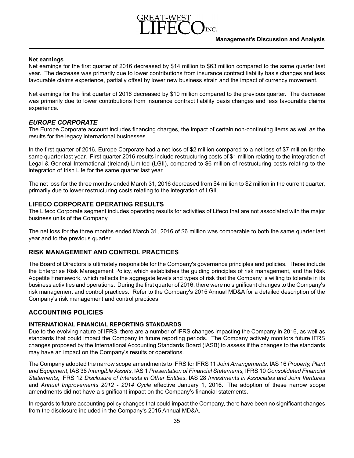# **Net earnings**

Net earnings for the first quarter of 2016 decreased by \$14 million to \$63 million compared to the same quarter last year. The decrease was primarily due to lower contributions from insurance contract liability basis changes and less favourable claims experience, partially offset by lower new business strain and the impact of currency movement.

Net earnings for the first quarter of 2016 decreased by \$10 million compared to the previous quarter. The decrease was primarily due to lower contributions from insurance contract liability basis changes and less favourable claims experience.

# *EUROPE CORPORATE*

The Europe Corporate account includes financing charges, the impact of certain non-continuing items as well as the results for the legacy international businesses.

In the first quarter of 2016, Europe Corporate had a net loss of \$2 million compared to a net loss of \$7 million for the same quarter last year. First quarter 2016 results include restructuring costs of \$1 million relating to the integration of Legal & General International (Ireland) Limited (LGII), compared to \$6 million of restructuring costs relating to the integration of Irish Life for the same quarter last year.

The net loss for the three months ended March 31, 2016 decreased from \$4 million to \$2 million in the current quarter, primarily due to lower restructuring costs relating to the integration of LGII.

# **LIFECO CORPORATE OPERATING RESULTS**

The Lifeco Corporate segment includes operating results for activities of Lifeco that are not associated with the major business units of the Company.

The net loss for the three months ended March 31, 2016 of \$6 million was comparable to both the same quarter last year and to the previous quarter.

# **RISK MANAGEMENT AND CONTROL PRACTICES**

The Board of Directors is ultimately responsible for the Company's governance principles and policies. These include the Enterprise Risk Management Policy, which establishes the guiding principles of risk management, and the Risk Appetite Framework, which reflects the aggregate levels and types of risk that the Company is willing to tolerate in its business activities and operations. During thefirst quarterof 2016, there were no significant changes to the Company's risk management and control practices. Refer to the Company's 2015 Annual MD&A for a detailed description of the Company's risk management and control practices.

# **ACCOUNTING POLICIES**

# **INTERNATIONAL FINANCIAL REPORTING STANDARDS**

Due to the evolving nature of IFRS, there are a number of IFRS changes impacting the Company in 2016, as well as standards that could impact the Company in future reporting periods. The Company actively monitors future IFRS changes proposed by the International Accounting Standards Board (IASB) to assess if the changes to the standards may have an impact on the Company's results or operations.

The Company adopted the narrow scope amendments to IFRS for IFRS 11 *Joint Arrangements,* IAS 16 *Property, Plant and Equipment*, IAS 38 *Intangible Assets*, IAS 1 *Presentation of Financial Statements,* IFRS 10 *Consolidated Financial Statements*, IFRS 12 *Disclosure of Interests in Other Entities*, IAS 28 *Investments in Associates and Joint Ventures* and *Annual Improvements 2012 - 2014 Cycle* effective January 1, 2016. The adoption of these narrow scope amendments did not have a significant impact on the Company's financial statements.

In regards to future accounting policy changes that could impact the Company, there have been no significant changes from the disclosure included in the Company's 2015 Annual MD&A.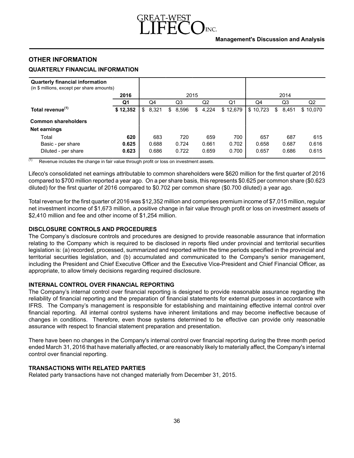# **Management's Discussion and Analysis**

# **OTHER INFORMATION**

# **QUARTERLY FINANCIAL INFORMATION**

|  | <b>Quarterly financial information</b> |
|--|----------------------------------------|
|  |                                        |

| (in \$ millions, except per share amounts) |          |             |            |             |          |          |             |                |  |  |  |  |  |
|--------------------------------------------|----------|-------------|------------|-------------|----------|----------|-------------|----------------|--|--|--|--|--|
|                                            | 2016     |             |            | 2015        |          |          | 2014        |                |  |  |  |  |  |
|                                            | Q1       | Q4          | Q3         | Q2          | Q1       | Q4       | Q3          | Q <sub>2</sub> |  |  |  |  |  |
| Total revenue <sup>(1)</sup>               | \$12,352 | 8,321<br>\$ | 8,596<br>S | 4,224<br>\$ | \$12,679 | \$10,723 | 8,451<br>\$ | \$10.070       |  |  |  |  |  |
| <b>Common shareholders</b>                 |          |             |            |             |          |          |             |                |  |  |  |  |  |
| Net earnings                               |          |             |            |             |          |          |             |                |  |  |  |  |  |
| Total                                      | 620      | 683         | 720        | 659         | 700      | 657      | 687         | 615            |  |  |  |  |  |
| Basic - per share                          | 0.625    | 0.688       | 0.724      | 0.661       | 0.702    | 0.658    | 0.687       | 0.616          |  |  |  |  |  |
| Diluted - per share                        | 0.623    | 0.686       | 0.722      | 0.659       | 0.700    | 0.657    | 0.686       | 0.615          |  |  |  |  |  |

 $(1)$  Revenue includes the change in fair value through profit or loss on investment assets.

Lifeco's consolidated net earnings attributable to common shareholders were \$620 million for the first quarter of 2016 compared to \$700 million reported a year ago. On a per share basis, this represents \$0.625 per common share (\$0.623 diluted) for the first quarter of 2016 compared to \$0.702 per common share (\$0.700 diluted) a year ago.

Total revenue for the first quarter of 2016 was \$12,352 million and comprises premium income of \$7,015 million, regular net investment income of \$1,673 million, a positive change in fair value through profit or loss on investment assets of \$2,410 million and fee and other income of \$1,254 million.

# **DISCLOSURE CONTROLS AND PROCEDURES**

The Company's disclosure controls and procedures are designed to provide reasonable assurance that information relating to the Company which is required to be disclosed in reports filed under provincial and territorial securities legislation is: (a) recorded, processed, summarized and reported within the time periods specified in the provincial and territorial securities legislation, and (b) accumulated and communicated to the Company's senior management, including the President and Chief Executive Officer and the Executive Vice-President and Chief Financial Officer, as appropriate, to allow timely decisions regarding required disclosure.

## **INTERNAL CONTROL OVER FINANCIAL REPORTING**

The Company's internal control over financial reporting is designed to provide reasonable assurance regarding the reliability of financial reporting and the preparation of financial statements for external purposes in accordance with IFRS. The Company's management is responsible for establishing and maintaining effective internal control over financial reporting. All internal control systems have inherent limitations and may become ineffective because of changes in conditions. Therefore, even those systems determined to be effective can provide only reasonable assurance with respect to financial statement preparation and presentation.

There have been no changes in the Company's internal control over financial reporting during the three month period ended March 31, 2016 that have materially affected, or are reasonably likely to materially affect, the Company's internal control over financial reporting.

## **TRANSACTIONS WITH RELATED PARTIES**

Related party transactions have not changed materially from December 31, 2015.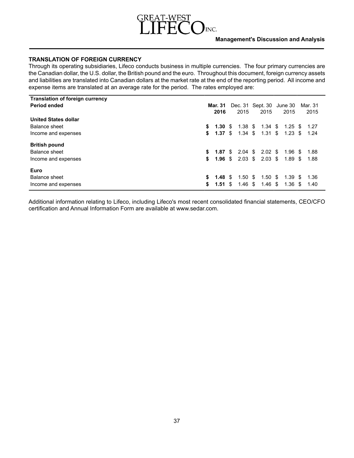# INC.

# **TRANSLATION OF FOREIGN CURRENCY**

Through its operating subsidiaries, Lifeco conducts business in multiple currencies. The four primary currencies are the Canadian dollar, the U.S. dollar, the British pound and the euro. Throughout this document, foreign currency assets and liabilities are translated into Canadian dollars at the market rate at the end of the reporting period. All income and expense items are translated at an average rate for the period. The rates employed are:

| <b>Translation of foreign currency</b> |    |                    |      |                    |                                |                    |         |
|----------------------------------------|----|--------------------|------|--------------------|--------------------------------|--------------------|---------|
| <b>Period ended</b>                    |    | <b>Mar. 31</b>     |      | Dec. 31 Sept. 30   |                                | June 30            | Mar. 31 |
|                                        |    | 2016               |      | 2015               | 2015                           | 2015               | 2015    |
| <b>United States dollar</b>            |    |                    |      |                    |                                |                    |         |
| Balance sheet                          | s. | 1.30               | - \$ | 1.38 \$            | 1.34 \$                        | $1.25$ \$          | 1.27    |
| Income and expenses                    |    | \$1.37S            |      | $1.34 \text{ } $s$ | $1.31 \text{ } $s$             | $1.23 \text{ } $s$ | 1.24    |
| <b>British pound</b>                   |    |                    |      |                    |                                |                    |         |
| Balance sheet                          | \$ |                    |      |                    | <b>1.87</b> \$ 2.04 \$ 2.02 \$ | 1.96 \$            | 1.88    |
| Income and expenses                    | \$ | 1.96 \$            |      |                    | $2.03 \tImes 2.03 \tImes$      | 1.89 \$            | 1.88    |
| Euro                                   |    |                    |      |                    |                                |                    |         |
| Balance sheet                          | \$ | $1.48 \text{ }$ \$ |      | $1.50 \text{ }$ \$ | 1.50 <sup>5</sup>              | $1.39 \text{ } $s$ | - 1.36  |
| Income and expenses                    | \$ | $1.51 \text{ }$ \$ |      | 1.46 \$            | $1.46 \text{ } $$              | 1.36 \$            | 1.40    |

Additional information relating to Lifeco, including Lifeco's most recent consolidated financial statements, CEO/CFO certification and Annual Information Form are available at www.sedar.com.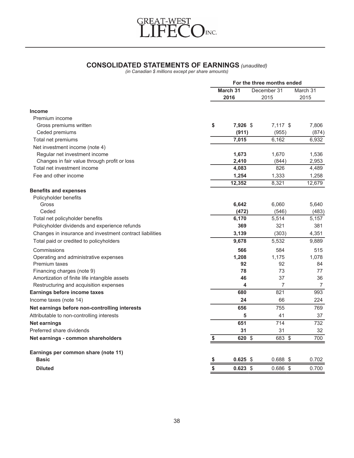

# **CONSOLIDATED STATEMENTS OF EARNINGS** *(unaudited)*

*(in Canadian \$ millions except per share amounts)*

|                                                          | For the three months ended |            |             |                |  |  |  |  |  |  |
|----------------------------------------------------------|----------------------------|------------|-------------|----------------|--|--|--|--|--|--|
|                                                          |                            | March 31   | December 31 | March 31       |  |  |  |  |  |  |
|                                                          |                            | 2016       | 2015        | 2015           |  |  |  |  |  |  |
| <b>Income</b>                                            |                            |            |             |                |  |  |  |  |  |  |
| Premium income                                           |                            |            |             |                |  |  |  |  |  |  |
| Gross premiums written                                   | \$                         | 7,926 \$   | $7,117$ \$  | 7,806          |  |  |  |  |  |  |
| Ceded premiums                                           |                            | (911)      | (955)       | (874)          |  |  |  |  |  |  |
| Total net premiums                                       |                            | 7,015      | 6,162       | 6,932          |  |  |  |  |  |  |
| Net investment income (note 4)                           |                            |            |             |                |  |  |  |  |  |  |
| Regular net investment income                            |                            | 1,673      | 1,670       | 1,536          |  |  |  |  |  |  |
| Changes in fair value through profit or loss             |                            | 2,410      | (844)       | 2,953          |  |  |  |  |  |  |
| Total net investment income                              |                            | 4,083      | 826         | 4,489          |  |  |  |  |  |  |
| Fee and other income                                     |                            | 1,254      | 1,333       | 1,258          |  |  |  |  |  |  |
|                                                          |                            | 12,352     | 8,321       | 12,679         |  |  |  |  |  |  |
| <b>Benefits and expenses</b>                             |                            |            |             |                |  |  |  |  |  |  |
| Policyholder benefits                                    |                            |            |             |                |  |  |  |  |  |  |
| Gross                                                    |                            | 6,642      | 6,060       | 5,640          |  |  |  |  |  |  |
| Ceded                                                    |                            | (472)      | (546)       | (483)          |  |  |  |  |  |  |
| Total net policyholder benefits                          |                            | 6,170      | 5,514       | 5,157          |  |  |  |  |  |  |
| Policyholder dividends and experience refunds            |                            | 369        | 321         | 381            |  |  |  |  |  |  |
| Changes in insurance and investment contract liabilities |                            | 3,139      | (303)       | 4,351          |  |  |  |  |  |  |
| Total paid or credited to policyholders                  |                            | 9,678      | 5,532       | 9,889          |  |  |  |  |  |  |
| Commissions                                              |                            | 566        | 584         | 515            |  |  |  |  |  |  |
| Operating and administrative expenses                    |                            | 1,208      | 1,175       | 1.078          |  |  |  |  |  |  |
| Premium taxes                                            |                            | 92         | 92          | 84             |  |  |  |  |  |  |
| Financing charges (note 9)                               |                            | 78         | 73          | 77             |  |  |  |  |  |  |
| Amortization of finite life intangible assets            |                            | 46         | 37          | 36             |  |  |  |  |  |  |
| Restructuring and acquisition expenses                   |                            | 4          | 7           | $\overline{7}$ |  |  |  |  |  |  |
| Earnings before income taxes                             |                            | 680        | 821         | 993            |  |  |  |  |  |  |
| Income taxes (note 14)                                   |                            | 24         | 66          | 224            |  |  |  |  |  |  |
| Net earnings before non-controlling interests            |                            | 656        | 755         | 769            |  |  |  |  |  |  |
| Attributable to non-controlling interests                |                            | 5          | 41          | 37             |  |  |  |  |  |  |
| Net earnings                                             |                            | 651        | 714         | 732            |  |  |  |  |  |  |
| Preferred share dividends                                |                            | 31         | 31          | 32             |  |  |  |  |  |  |
| Net earnings - common shareholders                       | \$                         | 620 \$     | 683 \$      | 700            |  |  |  |  |  |  |
| Earnings per common share (note 11)                      |                            |            |             |                |  |  |  |  |  |  |
| <b>Basic</b>                                             | \$                         | $0.625$ \$ | $0.688$ \$  | 0.702          |  |  |  |  |  |  |
| <b>Diluted</b>                                           | \$                         | $0.623$ \$ | $0.686$ \$  | 0.700          |  |  |  |  |  |  |
|                                                          |                            |            |             |                |  |  |  |  |  |  |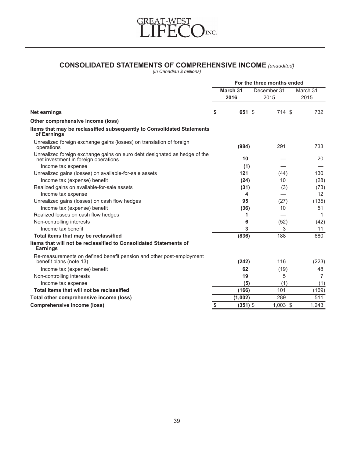

# **CONSOLIDATED STATEMENTS OF COMPREHENSIVE INCOME** *(unaudited)*

|                                                                                                                   | For the three months ended |            |  |             |          |  |  |  |  |  |
|-------------------------------------------------------------------------------------------------------------------|----------------------------|------------|--|-------------|----------|--|--|--|--|--|
|                                                                                                                   |                            | March 31   |  | December 31 | March 31 |  |  |  |  |  |
|                                                                                                                   |                            | 2016       |  | 2015        | 2015     |  |  |  |  |  |
| <b>Net earnings</b>                                                                                               | \$                         | 651 \$     |  | 714 \$      | 732      |  |  |  |  |  |
| Other comprehensive income (loss)                                                                                 |                            |            |  |             |          |  |  |  |  |  |
| Items that may be reclassified subsequently to Consolidated Statements<br>of Earnings                             |                            |            |  |             |          |  |  |  |  |  |
| Unrealized foreign exchange gains (losses) on translation of foreign<br>operations                                |                            | (984)      |  | 291         | 733      |  |  |  |  |  |
| Unrealized foreign exchange gains on euro debt designated as hedge of the<br>net investment in foreign operations |                            | 10         |  |             | 20       |  |  |  |  |  |
| Income tax expense                                                                                                |                            | (1)        |  |             |          |  |  |  |  |  |
| Unrealized gains (losses) on available-for-sale assets                                                            |                            | 121        |  | (44)        | 130      |  |  |  |  |  |
| Income tax (expense) benefit                                                                                      |                            | (24)       |  | 10          | (28)     |  |  |  |  |  |
| Realized gains on available-for-sale assets                                                                       |                            | (31)       |  | (3)         | (73)     |  |  |  |  |  |
| Income tax expense                                                                                                |                            | 4          |  |             | 12       |  |  |  |  |  |
| Unrealized gains (losses) on cash flow hedges                                                                     |                            | 95         |  | (27)        | (135)    |  |  |  |  |  |
| Income tax (expense) benefit                                                                                      |                            | (36)       |  | 10          | 51       |  |  |  |  |  |
| Realized losses on cash flow hedges                                                                               |                            | 1          |  |             | 1        |  |  |  |  |  |
| Non-controlling interests                                                                                         |                            | 6          |  | (52)        | (42)     |  |  |  |  |  |
| Income tax benefit                                                                                                |                            | 3          |  | 3           | 11       |  |  |  |  |  |
| Total items that may be reclassified                                                                              |                            | (836)      |  | 188         | 680      |  |  |  |  |  |
| Items that will not be reclassified to Consolidated Statements of<br><b>Earnings</b>                              |                            |            |  |             |          |  |  |  |  |  |
| Re-measurements on defined benefit pension and other post-employment<br>benefit plans (note 13)                   |                            | (242)      |  | 116         | (223)    |  |  |  |  |  |
| Income tax (expense) benefit                                                                                      |                            | 62         |  | (19)        | 48       |  |  |  |  |  |
| Non-controlling interests                                                                                         |                            | 19         |  | 5           | 7        |  |  |  |  |  |
| Income tax expense                                                                                                |                            | (5)        |  | (1)         | (1)      |  |  |  |  |  |
| Total items that will not be reclassified                                                                         |                            | (166)      |  | 101         | (169)    |  |  |  |  |  |
| Total other comprehensive income (loss)                                                                           |                            | (1,002)    |  | 289         | 511      |  |  |  |  |  |
| <b>Comprehensive income (loss)</b>                                                                                | \$                         | $(351)$ \$ |  | $1,003$ \$  | 1,243    |  |  |  |  |  |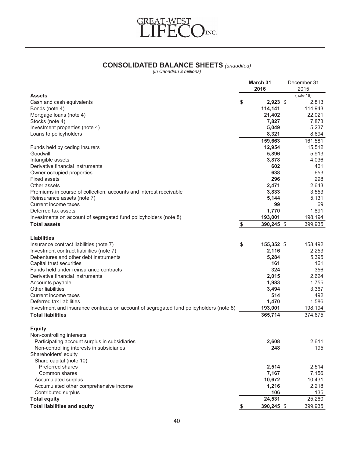

# **CONSOLIDATED BALANCE SHEETS** *(unaudited)*

|                                                                                         | March 31<br>2016 | December 31<br>2015 |
|-----------------------------------------------------------------------------------------|------------------|---------------------|
| <b>Assets</b>                                                                           |                  | (note 16)           |
| Cash and cash equivalents                                                               | \$<br>$2,923$ \$ | 2,813               |
| Bonds (note 4)                                                                          | 114,141          | 114,943             |
| Mortgage loans (note 4)                                                                 | 21,402           | 22,021              |
| Stocks (note 4)                                                                         | 7,827            | 7,873               |
| Investment properties (note 4)                                                          | 5,049            | 5,237               |
| Loans to policyholders                                                                  | 8,321            | 8,694               |
|                                                                                         | 159,663          | 161,581             |
| Funds held by ceding insurers                                                           | 12,954           | 15,512              |
| Goodwill                                                                                | 5,896            | 5,913               |
| Intangible assets                                                                       | 3,878            | 4,036               |
| Derivative financial instruments                                                        | 602              | 461                 |
| Owner occupied properties                                                               | 638              | 653                 |
| <b>Fixed assets</b>                                                                     | 296              | 298                 |
| Other assets                                                                            | 2,471            | 2,643               |
| Premiums in course of collection, accounts and interest receivable                      | 3,833            | 3,553               |
| Reinsurance assets (note 7)                                                             | 5,144            | 5,131               |
| Current income taxes                                                                    | 99               | 69                  |
| Deferred tax assets                                                                     | 1,770            | 1.891               |
| Investments on account of segregated fund policyholders (note 8)                        | 193,001          | 198,194             |
| <b>Total assets</b>                                                                     | \$<br>390,245 \$ | 399,935             |
| <b>Liabilities</b>                                                                      |                  |                     |
| Insurance contract liabilities (note 7)                                                 | \$<br>155,352 \$ | 158,492             |
| Investment contract liabilities (note 7)                                                | 2,116            | 2,253               |
| Debentures and other debt instruments                                                   | 5,284            | 5,395               |
| Capital trust securities                                                                | 161              | 161                 |
| Funds held under reinsurance contracts                                                  | 324              | 356                 |
| Derivative financial instruments                                                        | 2,015            | 2,624               |
| Accounts payable                                                                        | 1,983            | 1,755               |
| <b>Other liabilities</b>                                                                | 3,494            | 3,367               |
| Current income taxes                                                                    | 514              | 492                 |
| Deferred tax liabilities                                                                | 1,470            | 1,586               |
| Investment and insurance contracts on account of segregated fund policyholders (note 8) | 193,001          | 198,194             |
| <b>Total liabilities</b>                                                                | 365,714          | 374,675             |
|                                                                                         |                  |                     |
| <b>Equity</b>                                                                           |                  |                     |
| Non-controlling interests                                                               |                  |                     |
| Participating account surplus in subsidiaries                                           | 2,608            | 2,611               |
| Non-controlling interests in subsidiaries                                               | 248              | 195                 |
| Shareholders' equity                                                                    |                  |                     |
| Share capital (note 10)                                                                 |                  |                     |
| Preferred shares                                                                        | 2,514            | 2,514               |
| Common shares                                                                           | 7,167            | 7,156               |
| Accumulated surplus                                                                     | 10,672           | 10,431              |
| Accumulated other comprehensive income                                                  | 1,216            | 2,218               |
| Contributed surplus                                                                     | 106              | 135                 |
| <b>Total equity</b>                                                                     | 24,531           | 25,260              |
| <b>Total liabilities and equity</b>                                                     | \$<br>390,245 \$ | 399,935             |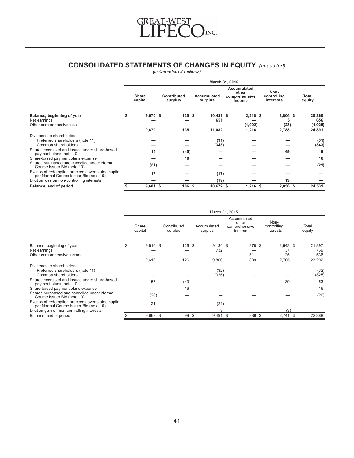

# **CONSOLIDATED STATEMENTS OF CHANGES IN EQUITY** *(unaudited)*

|                                                                                             | March 31, 2016          |  |                               |  |                               |  |                                                        |  |                                  |                          |  |  |  |
|---------------------------------------------------------------------------------------------|-------------------------|--|-------------------------------|--|-------------------------------|--|--------------------------------------------------------|--|----------------------------------|--------------------------|--|--|--|
|                                                                                             | <b>Share</b><br>capital |  | <b>Contributed</b><br>surplus |  | <b>Accumulated</b><br>surplus |  | <b>Accumulated</b><br>other<br>comprehensive<br>income |  | Non-<br>controlling<br>interests | Total<br>equity          |  |  |  |
| Balance, beginning of year<br>Net earnings<br>Other comprehensive loss                      | \$<br>$9,670$ \$        |  | 135S                          |  | $10,431$ \$<br>651            |  | $2,218$ \$<br>(1,002)                                  |  | 2,806 \$<br>5<br>(23)            | 25,260<br>656<br>(1,025) |  |  |  |
|                                                                                             | 9,670                   |  | 135                           |  | 11,082                        |  | 1,216                                                  |  | 2,788                            | 24,891                   |  |  |  |
| Dividends to shareholders<br>Preferred shareholders (note 11)<br>Common shareholders        |                         |  |                               |  | (31)<br>(343)                 |  |                                                        |  |                                  | (31)<br>(343)            |  |  |  |
| Shares exercised and issued under share-based<br>payment plans (note 10)                    | 15                      |  | (45)                          |  |                               |  |                                                        |  | 49                               | 19                       |  |  |  |
| Share-based payment plans expense                                                           |                         |  | 16                            |  |                               |  |                                                        |  |                                  | 16                       |  |  |  |
| Shares purchased and cancelled under Normal<br>Course Issuer Bid (note 10)                  | (21)                    |  |                               |  |                               |  |                                                        |  |                                  | (21)                     |  |  |  |
| Excess of redemption proceeds over stated capital<br>per Normal Course Issuer Bid (note 10) | 17                      |  |                               |  | (17)                          |  |                                                        |  |                                  |                          |  |  |  |
| Dilution loss on non-controlling interests                                                  |                         |  |                               |  | (19)                          |  |                                                        |  | 19                               |                          |  |  |  |
| Balance, end of period                                                                      | $9,681$ \$              |  | 106 <sup>5</sup>              |  | 10,672 \$                     |  | $1,216$ \$                                             |  | 2,856 \$                         | 24,531                   |  |  |  |

|                                                                                             |    |                  |  |                        |    | March 31, 2015         |  |                                                 |                                  |                        |                      |
|---------------------------------------------------------------------------------------------|----|------------------|--|------------------------|----|------------------------|--|-------------------------------------------------|----------------------------------|------------------------|----------------------|
|                                                                                             |    | Share<br>capital |  | Contributed<br>surplus |    | Accumulated<br>surplus |  | Accumulated<br>other<br>comprehensive<br>income | Non-<br>controlling<br>interests |                        | Total<br>equity      |
| Balance, beginning of year<br>Net earnings<br>Other comprehensive income                    | \$ | $9,616$ \$       |  | 126 \$                 |    | $9,134$ \$<br>732      |  | 378 \$<br>511                                   |                                  | $2,643$ \$<br>37<br>25 | 21,897<br>769<br>536 |
|                                                                                             |    | 9,616            |  | 126                    |    | 9,866                  |  | 889                                             |                                  | 2,705                  | 23,202               |
| Dividends to shareholders<br>Preferred shareholders (note 11)<br>Common shareholders        |    |                  |  |                        |    | (32)<br>(325)          |  |                                                 |                                  |                        | (32)<br>(325)        |
| Shares exercised and issued under share-based<br>payment plans (note 10)                    |    | 57               |  | (43)                   |    |                        |  |                                                 |                                  | 39                     | 53                   |
| Share-based payment plans expense                                                           |    |                  |  | 16                     |    |                        |  |                                                 |                                  |                        | 16                   |
| Shares purchased and cancelled under Normal<br>Course Issuer Bid (note 10)                  |    | (26)             |  |                        |    |                        |  |                                                 |                                  |                        | (26)                 |
| Excess of redemption proceeds over stated capital<br>per Normal Course Issuer Bid (note 10) |    | 21               |  |                        |    | (21)                   |  |                                                 |                                  |                        |                      |
| Dilution gain on non-controlling interests                                                  |    |                  |  |                        |    | 3                      |  |                                                 |                                  | (3)                    |                      |
| Balance, end of period                                                                      |    | $9,668$ \$       |  | 99                     | \$ | $9,491$ \$             |  | 889 \$                                          |                                  | $2,741$ \$             | 22,888               |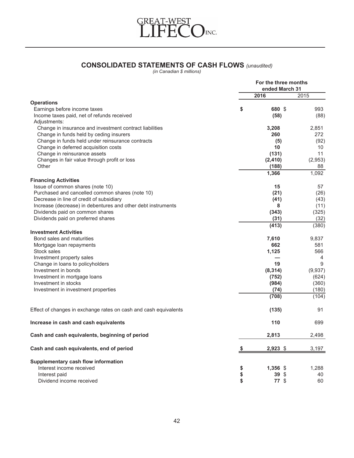

# **CONSOLIDATED STATEMENTS OF CASH FLOWS** *(unaudited)*

|                                                                  | For the three months<br>ended March 31 |         |
|------------------------------------------------------------------|----------------------------------------|---------|
|                                                                  | 2016                                   | 2015    |
| <b>Operations</b>                                                |                                        |         |
| Earnings before income taxes                                     | \$<br>680 \$                           | 993     |
| Income taxes paid, net of refunds received<br>Adjustments:       | (58)                                   | (88)    |
| Change in insurance and investment contract liabilities          | 3,208                                  | 2,851   |
| Change in funds held by ceding insurers                          | 260                                    | 272     |
| Change in funds held under reinsurance contracts                 | (5)                                    | (92)    |
| Change in deferred acquisition costs                             | 10                                     | 10      |
| Change in reinsurance assets                                     | (131)                                  | 11      |
|                                                                  |                                        |         |
| Changes in fair value through profit or loss                     | (2, 410)                               | (2,953) |
| Other                                                            | (188)                                  | 88      |
|                                                                  | 1,366                                  | 1,092   |
| <b>Financing Activities</b>                                      |                                        |         |
| Issue of common shares (note 10)                                 | 15                                     | 57      |
| Purchased and cancelled common shares (note 10)                  | (21)                                   | (26)    |
| Decrease in line of credit of subsidiary                         | (41)                                   | (43)    |
| Increase (decrease) in debentures and other debt instruments     | 8                                      | (11)    |
| Dividends paid on common shares                                  | (343)                                  | (325)   |
| Dividends paid on preferred shares                               | (31)                                   | (32)    |
|                                                                  | (413)                                  | (380)   |
| <b>Investment Activities</b>                                     |                                        |         |
| Bond sales and maturities                                        | 7,610                                  | 9,837   |
| Mortgage loan repayments                                         | 662                                    | 581     |
| Stock sales                                                      | 1,125                                  | 566     |
| Investment property sales                                        |                                        | 4       |
| Change in loans to policyholders                                 | 19                                     | 9       |
| Investment in bonds                                              | (8, 314)                               | (9,937) |
| Investment in mortgage loans                                     | (752)                                  | (624)   |
| Investment in stocks                                             | (984)                                  | (360)   |
| Investment in investment properties                              | (74)                                   | (180)   |
|                                                                  | (708)                                  | (104)   |
| Effect of changes in exchange rates on cash and cash equivalents | (135)                                  | 91      |
| Increase in cash and cash equivalents                            | 110                                    | 699     |
| Cash and cash equivalents, beginning of period                   | 2,813                                  | 2,498   |
| Cash and cash equivalents, end of period                         | $2,923$ \$                             | 3,197   |
| Supplementary cash flow information                              |                                        |         |
| Interest income received                                         | \$<br>1,356 \$                         | 1,288   |
| Interest paid                                                    | \$<br>$39*$                            | 40      |
| Dividend income received                                         | \$<br>$77$ \$                          | 60      |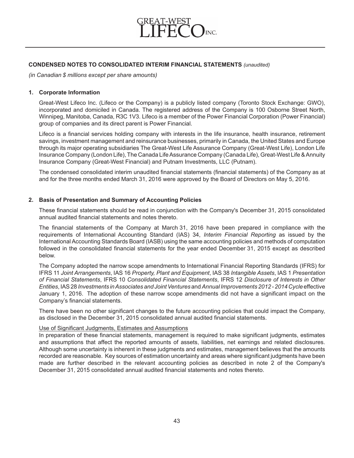

# **CONDENSED NOTES TO CONSOLIDATED INTERIM FINANCIAL STATEMENTS** *(unaudited)*

*(in Canadian \$ millions except per share amounts)*

## **1. Corporate Information**

Great-West Lifeco Inc. (Lifeco or the Company) is a publicly listed company (Toronto Stock Exchange: GWO), incorporated and domiciled in Canada. The registered address of the Company is 100 Osborne Street North, Winnipeg, Manitoba, Canada, R3C 1V3. Lifeco is a member of the Power Financial Corporation (Power Financial) group of companies and its direct parent is Power Financial.

Lifeco is a financial services holding company with interests in the life insurance, health insurance, retirement savings, investment management and reinsurance businesses, primarily in Canada, the United States and Europe through its major operating subsidiaries The Great-West Life Assurance Company (Great-West Life), London Life Insurance Company (London Life), The Canada Life Assurance Company (Canada Life), Great-West Life & Annuity Insurance Company (Great-West Financial) and Putnam Investments, LLC (Putnam).

The condensed consolidated interim unaudited financial statements (financial statements) of the Company as at and for the three months ended March 31, 2016 were approved by the Board of Directors on May 5, 2016.

## **2. Basis of Presentation and Summary of Accounting Policies**

These financial statements should be read in conjunction with the Company's December 31, 2015 consolidated annual audited financial statements and notes thereto.

The financial statements of the Company at March 31, 2016 have been prepared in compliance with the requirements of International Accounting Standard (IAS) 34, *Interim Financial Reporting* as issued by the International Accounting Standards Board (IASB) using the same accounting policies and methods of computation followed in the consolidated financial statements for the year ended December 31, 2015 except as described below.

The Company adopted the narrow scope amendments to International Financial Reporting Standards (IFRS) for IFRS 11 *Joint Arrangements*, IAS 16 *Property, Plant and Equipment*, IAS 38 *Intangible Assets*, IAS 1 *Presentation of Financial Statements*, IFRS 10 *Consolidated Financial Statements*, IFRS 12 *Disclosure of Interests in Other Entities*, IAS 28 *Investments in Associates and Joint Ventures*and *Annual Improvements 2012 - 2014 Cycle* effective January 1, 2016. The adoption of these narrow scope amendments did not have a significant impact on the Company's financial statements.

There have been no other significant changes to the future accounting policies that could impact the Company, as disclosed in the December 31, 2015 consolidated annual audited financial statements.

#### Use of Significant Judgments, Estimates and Assumptions

In preparation of these financial statements, management is required to make significant judgments, estimates and assumptions that affect the reported amounts of assets, liabilities, net earnings and related disclosures. Although some uncertainty is inherent in these judgments and estimates, management believes that the amounts recorded are reasonable. Key sources of estimation uncertainty and areas where significant judgments have been made are further described in the relevant accounting policies as described in note 2 of the Company's December 31, 2015 consolidated annual audited financial statements and notes thereto.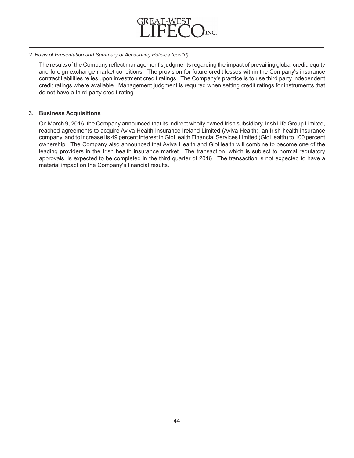

## *2. Basis of Presentation and Summary of Accounting Policies (cont'd)*

The results of the Company reflect management's judgments regarding the impact of prevailing global credit, equity and foreign exchange market conditions. The provision for future credit losses within the Company's insurance contract liabilities relies upon investment credit ratings. The Company's practice is to use third party independent credit ratings where available. Management judgment is required when setting credit ratings for instruments that do not have a third-party credit rating.

# **3. Business Acquisitions**

On March 9, 2016, the Company announced that its indirect wholly owned Irish subsidiary, Irish Life Group Limited, reached agreements to acquire Aviva Health Insurance Ireland Limited (Aviva Health), an Irish health insurance company, and to increase its 49 percent interest in GloHealth Financial Services Limited (GloHealth) to 100 percent ownership. The Company also announced that Aviva Health and GloHealth will combine to become one of the leading providers in the Irish health insurance market. The transaction, which is subject to normal regulatory approvals, is expected to be completed in the third quarter of 2016. The transaction is not expected to have a material impact on the Company's financial results.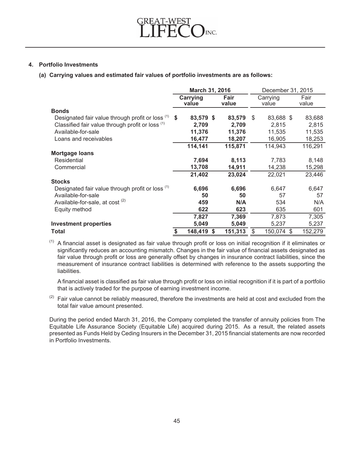

# **4. Portfolio Investments**

**(a) Carrying values and estimated fair values of portfolio investments are as follows:**

|                                                  | March 31, 2016<br>December 31, 2015 |                   |    |               |    |                   |    |               |
|--------------------------------------------------|-------------------------------------|-------------------|----|---------------|----|-------------------|----|---------------|
|                                                  |                                     | Carrying<br>value |    | Fair<br>value |    | Carrying<br>value |    | Fair<br>value |
| <b>Bonds</b>                                     |                                     |                   |    |               |    |                   |    |               |
| Designated fair value through profit or loss (1) | \$                                  | 83,579 \$         |    | 83,579        | \$ | 83,688 \$         |    | 83,688        |
| Classified fair value through profit or loss (1) |                                     | 2,709             |    | 2,709         |    | 2,815             |    | 2,815         |
| Available-for-sale                               |                                     | 11,376            |    | 11,376        |    | 11,535            |    | 11,535        |
| Loans and receivables                            |                                     | 16,477            |    | 18,207        |    | 16,905            |    | 18,253        |
|                                                  |                                     | 114,141           |    | 115,871       |    | 114,943           |    | 116,291       |
| <b>Mortgage loans</b>                            |                                     |                   |    |               |    |                   |    |               |
| Residential                                      |                                     | 7,694             |    | 8,113         |    | 7,783             |    | 8,148         |
| Commercial                                       |                                     | 13,708            |    | 14,911        |    | 14,238            |    | 15,298        |
|                                                  |                                     | 21,402            |    | 23,024        |    | 22,021            |    | 23,446        |
| <b>Stocks</b>                                    |                                     |                   |    |               |    |                   |    |               |
| Designated fair value through profit or loss (1) |                                     | 6,696             |    | 6,696         |    | 6,647             |    | 6,647         |
| Available-for-sale                               |                                     | 50                |    | 50            |    | 57                |    | 57            |
| Available-for-sale, at cost <sup>(2)</sup>       |                                     | 459               |    | N/A           |    | 534               |    | N/A           |
| Equity method                                    |                                     | 622               |    | 623           |    | 635               |    | 601           |
|                                                  |                                     | 7,827             |    | 7,369         |    | 7,873             |    | 7,305         |
| <b>Investment properties</b>                     |                                     | 5,049             |    | 5,049         |    | 5,237             |    | 5,237         |
| <b>Total</b>                                     | \$                                  | 148,419           | \$ | 151,313       | \$ | 150,074           | \$ | 152,279       |

 $(1)$  A financial asset is designated as fair value through profit or loss on initial recognition if it eliminates or significantly reduces an accounting mismatch. Changes in the fair value of financial assets designated as fair value through profit or loss are generally offset by changes in insurance contract liabilities, since the measurement of insurance contract liabilities is determined with reference to the assets supporting the liabilities.

A financial asset is classified as fair value through profit or loss on initial recognition if it is part of a portfolio that is actively traded for the purpose of earning investment income.

 $(2)$  Fair value cannot be reliably measured, therefore the investments are held at cost and excluded from the total fair value amount presented.

During the period ended March 31, 2016, the Company completed the transfer of annuity policies from The Equitable Life Assurance Society (Equitable Life) acquired during 2015. As a result, the related assets presented as Funds Held by Ceding Insurers in the December 31, 2015 financial statements are now recorded in Portfolio Investments.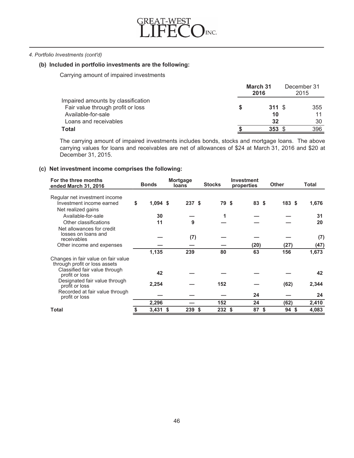

#### *4. Portfolio Investments (cont'd)*

# **(b) Included in portfolio investments are the following:**

Carrying amount of impaired investments

|                                    | March 31<br>2016 | December 31<br>2015 |
|------------------------------------|------------------|---------------------|
| Impaired amounts by classification |                  |                     |
| Fair value through profit or loss  | 311S             | 355                 |
| Available-for-sale                 | 10               | 11                  |
| Loans and receivables              | 32               | 30                  |
| <b>Total</b>                       | 353S             | 396                 |

The carrying amount of impaired investments includes bonds, stocks and mortgage loans. The above carrying values for loans and receivables are net of allowances of \$24 at March 31, 2016 and \$20 at December 31, 2015.

# **(c) Net investment income comprises the following:**

| For the three months<br>ended March 31, 2016                                                                                                                | <b>Bonds</b>                 | Mortgage<br>loans | <b>Stocks</b> | Investment<br>properties |     | <b>Other</b> | Total             |  |
|-------------------------------------------------------------------------------------------------------------------------------------------------------------|------------------------------|-------------------|---------------|--------------------------|-----|--------------|-------------------|--|
| Regular net investment income<br>Investment income earned<br>Net realized gains<br>Available-for-sale<br>Other classifications<br>Net allowances for credit | \$<br>$1,094$ \$<br>30<br>11 | 237S<br>9         | 79 \$<br>1    | 83 \$                    |     | 183S         | 1,676<br>31<br>20 |  |
| losses on loans and<br>receivables                                                                                                                          |                              | (7)               |               |                          |     |              | (7)               |  |
| Other income and expenses                                                                                                                                   |                              |                   |               | (20)                     |     | (27)         | (47)              |  |
|                                                                                                                                                             | 1,135                        | 239               | 80            | 63                       |     | 156          | 1,673             |  |
| Changes in fair value on fair value<br>through profit or loss assets<br>Classified fair value through                                                       | 42                           |                   |               |                          |     |              | 42                |  |
| profit or loss<br>Designated fair value through<br>profit or loss                                                                                           | 2,254                        |                   | 152           |                          |     | (62)         | 2,344             |  |
| Recorded at fair value through<br>profit or loss                                                                                                            |                              |                   |               | 24                       |     |              | 24                |  |
|                                                                                                                                                             | 2,296                        |                   | 152           | 24                       |     | (62)         | 2,410             |  |
| <b>Total</b>                                                                                                                                                | 3,431                        | \$<br>239 \$      | 232           | Ŝ.<br>87                 | -\$ | 94S          | 4,083             |  |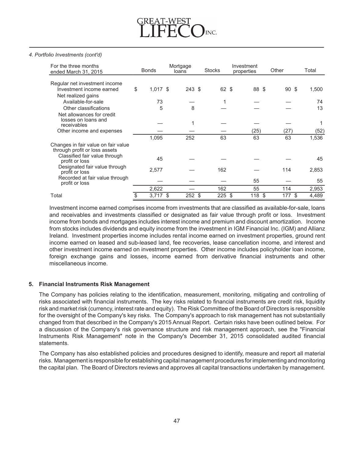#### *4. Portfolio Investments (cont'd)*

| For the three months<br>ended March 31, 2015                         | <b>Bonds</b>     | Mortgage<br>loans | <b>Stocks</b> |    | Investment<br>properties |    |                 |       |  |  |  |  | Other | Total |
|----------------------------------------------------------------------|------------------|-------------------|---------------|----|--------------------------|----|-----------------|-------|--|--|--|--|-------|-------|
|                                                                      |                  |                   |               |    |                          |    |                 |       |  |  |  |  |       |       |
| Regular net investment income<br>Investment income earned            | \$<br>$1,017$ \$ | 243 \$            | 62 \$         |    | 88 \$                    |    | 90 <sup>5</sup> | 1,500 |  |  |  |  |       |       |
| Net realized gains                                                   |                  |                   |               |    |                          |    |                 |       |  |  |  |  |       |       |
| Available-for-sale                                                   | 73               |                   |               |    |                          |    |                 | 74    |  |  |  |  |       |       |
| Other classifications                                                | 5                | 8                 |               |    |                          |    |                 | 13    |  |  |  |  |       |       |
| Net allowances for credit                                            |                  |                   |               |    |                          |    |                 |       |  |  |  |  |       |       |
| losses on loans and<br>receivables                                   |                  |                   |               |    |                          |    |                 |       |  |  |  |  |       |       |
| Other income and expenses                                            |                  |                   |               |    | (25)                     |    | (27)            | (52)  |  |  |  |  |       |       |
|                                                                      | 1,095            | 252               | 63            |    | 63                       |    | 63              | 1,536 |  |  |  |  |       |       |
| Changes in fair value on fair value<br>through profit or loss assets |                  |                   |               |    |                          |    |                 |       |  |  |  |  |       |       |
| Classified fair value through<br>profit or loss                      | 45               |                   |               |    |                          |    |                 | 45    |  |  |  |  |       |       |
| Designated fair value through<br>profit or loss                      | 2,577            |                   | 162           |    |                          |    | 114             | 2,853 |  |  |  |  |       |       |
| Recorded at fair value through<br>profit or loss                     |                  |                   |               |    | 55                       |    |                 | 55    |  |  |  |  |       |       |
|                                                                      | 2,622            |                   | 162           |    | 55                       |    | 114             | 2,953 |  |  |  |  |       |       |
| Total                                                                | \$<br>$3,717$ \$ | 252 \$            | 225           | \$ | 118                      | \$ | 177<br>-\$      | 4,489 |  |  |  |  |       |       |

Investment income earned comprises income from investments that are classified as available-for-sale, loans and receivables and investments classified or designated as fair value through profit or loss. Investment income from bonds and mortgages includes interest income and premium and discount amortization. Income from stocks includes dividends and equity income from the investment in IGM Financial Inc. (IGM) and Allianz Ireland. Investment properties income includes rental income earned on investment properties, ground rent income earned on leased and sub-leased land, fee recoveries, lease cancellation income, and interest and other investment income earned on investment properties. Other income includes policyholder loan income, foreign exchange gains and losses, income earned from derivative financial instruments and other miscellaneous income.

# **5. Financial Instruments Risk Management**

The Company has policies relating to the identification, measurement, monitoring, mitigating and controlling of risks associated with financial instruments. The key risks related to financial instruments are credit risk, liquidity risk and market risk (currency, interest rate and equity). The Risk Committee of the Board of Directors is responsible for the oversight of the Company's key risks. The Company's approach to risk management has not substantially changed from that described in the Company's 2015 Annual Report. Certain risks have been outlined below. For a discussion of the Company's risk governance structure and risk management approach, see the "Financial Instruments Risk Management" note in the Company's December 31, 2015 consolidated audited financial statements.

The Company has also established policies and procedures designed to identify, measure and report all material risks. Management is responsible for establishing capital management procedures for implementing and monitoring the capital plan. The Board of Directors reviews and approves all capital transactions undertaken by management.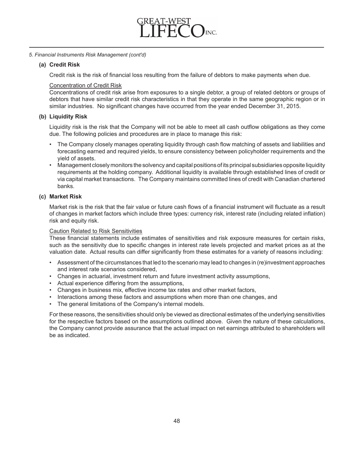

# *5. Financial Instruments Risk Management (cont'd)*

# **(a) Credit Risk**

Credit risk is the risk of financial loss resulting from the failure of debtors to make payments when due.

# Concentration of Credit Risk

Concentrations of credit risk arise from exposures to a single debtor, a group of related debtors or groups of debtors that have similar credit risk characteristics in that they operate in the same geographic region or in similar industries. No significant changes have occurred from the year ended December 31, 2015.

# **(b) Liquidity Risk**

Liquidity risk is the risk that the Company will not be able to meet all cash outflow obligations as they come due. The following policies and procedures are in place to manage this risk:

- The Company closely manages operating liquidity through cash flow matching of assets and liabilities and forecasting earned and required yields, to ensure consistency between policyholder requirements and the yield of assets.
- Management closely monitors the solvency and capital positions of its principal subsidiaries opposite liquidity requirements at the holding company. Additional liquidity is available through established lines of credit or via capital market transactions. The Company maintains committed lines of credit with Canadian chartered banks.

# **(c) Market Risk**

Market risk is the risk that the fair value or future cash flows of a financial instrument will fluctuate as a result of changes in market factors which include three types: currency risk, interest rate (including related inflation) risk and equity risk.

# Caution Related to Risk Sensitivities

These financial statements include estimates of sensitivities and risk exposure measures for certain risks, such as the sensitivity due to specific changes in interest rate levels projected and market prices as at the valuation date. Actual results can differ significantly from these estimates for a variety of reasons including:

- Assessment of the circumstances that led to the scenario may lead to changes in (re)investment approaches and interest rate scenarios considered,
- Changes in actuarial, investment return and future investment activity assumptions,
- Actual experience differing from the assumptions,
- Changes in business mix, effective income tax rates and other market factors,
- Interactions among these factors and assumptions when more than one changes, and
- The general limitations of the Company's internal models.

For these reasons, the sensitivities should only be viewed as directional estimates of the underlying sensitivities for the respective factors based on the assumptions outlined above. Given the nature of these calculations, the Company cannot provide assurance that the actual impact on net earnings attributed to shareholders will be as indicated.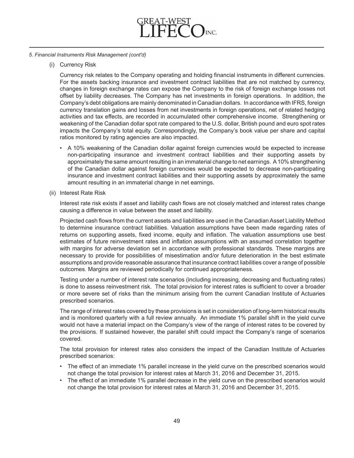

# *5. Financial Instruments Risk Management (cont'd)*

(i) Currency Risk

Currency risk relates to the Company operating and holding financial instruments in different currencies. For the assets backing insurance and investment contract liabilities that are not matched by currency, changes in foreign exchange rates can expose the Company to the risk of foreign exchange losses not offset by liability decreases. The Company has net investments in foreign operations. In addition, the Company's debt obligations are mainly denominated in Canadian dollars. In accordance with IFRS, foreign currency translation gains and losses from net investments in foreign operations, net of related hedging activities and tax effects, are recorded in accumulated other comprehensive income. Strengthening or weakening of the Canadian dollar spot rate compared to the U.S. dollar, British pound and euro spot rates impacts the Company's total equity. Correspondingly, the Company's book value per share and capital ratios monitored by rating agencies are also impacted.

- A 10% weakening of the Canadian dollar against foreign currencies would be expected to increase non-participating insurance and investment contract liabilities and their supporting assets by approximately the same amount resulting in an immaterial change to net earnings. A10% strengthening of the Canadian dollar against foreign currencies would be expected to decrease non-participating insurance and investment contract liabilities and their supporting assets by approximately the same amount resulting in an immaterial change in net earnings.
- (ii) Interest Rate Risk

Interest rate risk exists if asset and liability cash flows are not closely matched and interest rates change causing a difference in value between the asset and liability.

Projected cash flows from the current assets and liabilities are used in the Canadian Asset Liability Method to determine insurance contract liabilities. Valuation assumptions have been made regarding rates of returns on supporting assets, fixed income, equity and inflation. The valuation assumptions use best estimates of future reinvestment rates and inflation assumptions with an assumed correlation together with margins for adverse deviation set in accordance with professional standards. These margins are necessary to provide for possibilities of misestimation and/or future deterioration in the best estimate assumptions and provide reasonable assurance that insurance contract liabilities cover a range of possible outcomes. Margins are reviewed periodically for continued appropriateness.

Testing under a number of interest rate scenarios (including increasing, decreasing and fluctuating rates) is done to assess reinvestment risk. The total provision for interest rates is sufficient to cover a broader or more severe set of risks than the minimum arising from the current Canadian Institute of Actuaries prescribed scenarios.

The range of interest rates covered by these provisions is set in consideration of long-term historical results and is monitored quarterly with a full review annually. An immediate 1% parallel shift in the yield curve would not have a material impact on the Company's view of the range of interest rates to be covered by the provisions. If sustained however, the parallel shift could impact the Company's range of scenarios covered.

The total provision for interest rates also considers the impact of the Canadian Institute of Actuaries prescribed scenarios:

- The effect of an immediate 1% parallel increase in the yield curve on the prescribed scenarios would not change the total provision for interest rates at March 31, 2016 and December 31, 2015.
- The effect of an immediate 1% parallel decrease in the yield curve on the prescribed scenarios would not change the total provision for interest rates at March 31, 2016 and December 31, 2015.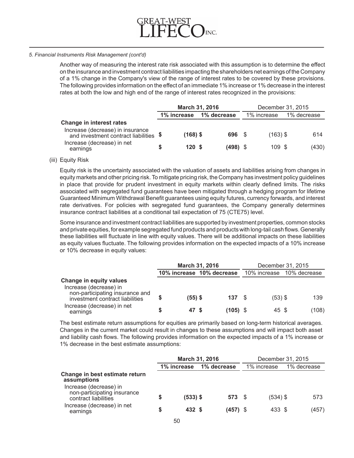

#### *5. Financial Instruments Risk Management (cont'd)*

Another way of measuring the interest rate risk associated with this assumption is to determine the effect on the insurance and investment contract liabilities impacting the shareholders net earnings of the Company of a 1% change in the Company's view of the range of interest rates to be covered by these provisions. The following provides information on the effect of an immediate 1% increase or 1% decrease in the interest rates at both the low and high end of the range of interest rates recognized in the provisions:

|                                                                            |   | March 31, 2016  |             |             | December 31, 2015 |             |
|----------------------------------------------------------------------------|---|-----------------|-------------|-------------|-------------------|-------------|
|                                                                            |   | 1% increase     | 1% decrease | 1% increase |                   | 1% decrease |
| Change in interest rates                                                   |   |                 |             |             |                   |             |
| Increase (decrease) in insurance<br>and investment contract liabilities \$ |   | $(168)$ \$      | 696 \$      | $(163)$ \$  |                   | 614         |
| Increase (decrease) in net<br>earnings                                     | S | $120 \text{ s}$ | $(498)$ \$  | 109S        |                   | (430)       |

#### (iii) Equity Risk

Equity risk is the uncertainty associated with the valuation of assets and liabilities arising from changes in equity markets and other pricing risk. To mitigate pricing risk, the Company has investment policy guidelines in place that provide for prudent investment in equity markets within clearly defined limits. The risks associated with segregated fund guarantees have been mitigated through a hedging program for lifetime Guaranteed Minimum Withdrawal Benefit guarantees using equity futures, currency forwards, and interest rate derivatives. For policies with segregated fund guarantees, the Company generally determines insurance contract liabilities at a conditional tail expectation of 75 (CTE75) level.

Some insurance and investment contract liabilities are supported by investment properties, common stocks and private equities, for example segregated fund products and products with long-tail cash flows. Generally these liabilities will fluctuate in line with equity values. There will be additional impacts on these liabilities as equity values fluctuate. The following provides information on the expected impacts of a 10% increase or 10% decrease in equity values:

|                                                                                      |    |           | March 31, 2016            |            | December 31, 2015         |  |       |  |  |
|--------------------------------------------------------------------------------------|----|-----------|---------------------------|------------|---------------------------|--|-------|--|--|
|                                                                                      |    |           | 10% increase 10% decrease |            | 10% increase 10% decrease |  |       |  |  |
| Change in equity values<br>Increase (decrease) in<br>non-participating insurance and |    |           |                           |            |                           |  |       |  |  |
| investment contract liabilities                                                      | \$ | $(55)$ \$ |                           | 137 S      | $(53)$ \$                 |  | 139   |  |  |
| Increase (decrease) in net<br>earnings                                               | S  | 47 S      |                           | $(105)$ \$ | 45 \$                     |  | (108) |  |  |

The best estimate return assumptions for equities are primarily based on long-term historical averages. Changes in the current market could result in changes to these assumptions and will impact both asset and liability cash flows. The following provides information on the expected impacts of a 1% increase or 1% decrease in the best estimate assumptions:

|                                                                               |   | March 31, 2016 |             | December 31, 2015 |             |            |  |             |
|-------------------------------------------------------------------------------|---|----------------|-------------|-------------------|-------------|------------|--|-------------|
|                                                                               |   | 1% increase    | 1% decrease |                   | 1% increase |            |  | 1% decrease |
| Change in best estimate return<br>assumptions                                 |   |                |             |                   |             |            |  |             |
| Increase (decrease) in<br>non-participating insurance<br>contract liabilities | S | $(533)$ \$     |             | $573$ \$          |             | $(534)$ \$ |  | 573         |
| Increase (decrease) in net<br>earnings                                        | S | 432 \$         |             | $(457)$ \$        |             | 433 \$     |  | (457)       |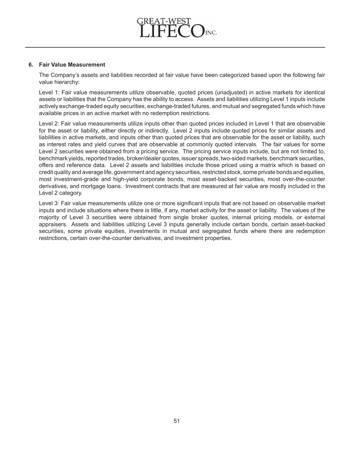

## **6. Fair Value Measurement**

The Company's assets and liabilities recorded at fair value have been categorized based upon the following fair value hierarchy:

Level 1: Fair value measurements utilize observable, quoted prices (unadjusted) in active markets for identical assets or liabilities that the Company has the ability to access. Assets and liabilities utilizing Level 1 inputs include actively exchange-traded equity securities, exchange-traded futures, and mutual and segregated funds which have available prices in an active market with no redemption restrictions.

Level 2: Fair value measurements utilize inputs other than quoted prices included in Level 1 that are observable for the asset or liability, either directly or indirectly. Level 2 inputs include quoted prices for similar assets and liabilities in active markets, and inputs other than quoted prices that are observable for the asset or liability, such as interest rates and yield curves that are observable at commonly quoted intervals. The fair values for some Level 2 securities were obtained from a pricing service. The pricing service inputs include, but are not limited to, benchmark yields, reported trades, broker/dealer quotes, issuer spreads, two-sided markets, benchmark securities, offers and reference data. Level 2 assets and liabilities include those priced using a matrix which is based on credit quality and average life, government and agency securities, restricted stock, some private bonds and equities, most investment-grade and high-yield corporate bonds, most asset-backed securities, most over-the-counter derivatives, and mortgage loans. Investment contracts that are measured at fair value are mostly included in the Level 2 category.

Level 3: Fair value measurements utilize one or more significant inputs that are not based on observable market inputs and include situations where there is little, if any, market activity for the asset or liability. The values of the majority of Level 3 securities were obtained from single broker quotes, internal pricing models, or external appraisers. Assets and liabilities utilizing Level 3 inputs generally include certain bonds, certain asset-backed securities, some private equities, investments in mutual and segregated funds where there are redemption restrictions, certain over-the-counter derivatives, and investment properties.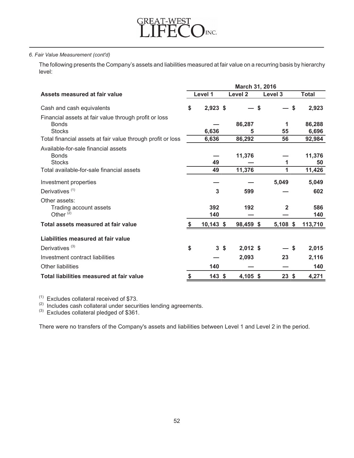

The following presents the Company's assets and liabilities measured at fair value on a recurring basis by hierarchy level:

|                                                                       | March 31, 2016 |             |                |            |              |    |              |  |  |
|-----------------------------------------------------------------------|----------------|-------------|----------------|------------|--------------|----|--------------|--|--|
| Assets measured at fair value                                         |                | Level 1     |                | Level 2    | Level 3      |    | <b>Total</b> |  |  |
| Cash and cash equivalents                                             | \$             | $2,923$ \$  |                | S          |              | \$ | 2,923        |  |  |
| Financial assets at fair value through profit or loss<br><b>Bonds</b> |                |             |                | 86,287     | 1            |    | 86,288       |  |  |
| <b>Stocks</b>                                                         |                | 6,636       |                | 5          | 55           |    | 6,696        |  |  |
| Total financial assets at fair value through profit or loss           |                | 6,636       |                | 86,292     | 56           |    | 92,984       |  |  |
| Available-for-sale financial assets<br><b>Bonds</b>                   |                |             |                | 11,376     |              |    | 11,376       |  |  |
| <b>Stocks</b>                                                         |                | 49          |                |            | 1            |    | 50           |  |  |
| Total available-for-sale financial assets                             |                | 49          |                | 11,376     | 1            |    | 11,426       |  |  |
| Investment properties                                                 |                |             |                |            | 5,049        |    | 5,049        |  |  |
| Derivatives <sup>(1)</sup>                                            |                | 3           |                | 599        |              |    | 602          |  |  |
| Other assets:                                                         |                |             |                |            |              |    |              |  |  |
| Trading account assets                                                |                | 392         |                | 192        | $\mathbf{2}$ |    | 586          |  |  |
| Other $(2)$                                                           |                | 140         |                |            |              |    | 140          |  |  |
| Total assets measured at fair value                                   | S              | $10,143$ \$ |                | 98,459 \$  | $5,108$ \$   |    | 113,710      |  |  |
| Liabilities measured at fair value                                    |                |             |                |            |              |    |              |  |  |
| Derivatives $(3)$                                                     | \$             |             | 3 <sup>5</sup> | $2,012$ \$ |              | S. | 2,015        |  |  |
| Investment contract liabilities                                       |                |             |                | 2,093      | 23           |    | 2,116        |  |  |
| <b>Other liabilities</b>                                              |                | 140         |                |            |              |    | 140          |  |  |
| Total liabilities measured at fair value                              | \$             | $143$ \$    |                | 4,105 \$   | 23           | \$ | 4,271        |  |  |

 $(1)$  Excludes collateral received of \$73.<br> $(2)$  Includes cash collateral under securities lending agreements.

 $^{(3)}$  Excludes collateral pledged of \$361.

There were no transfers of the Company's assets and liabilities between Level 1 and Level 2 in the period.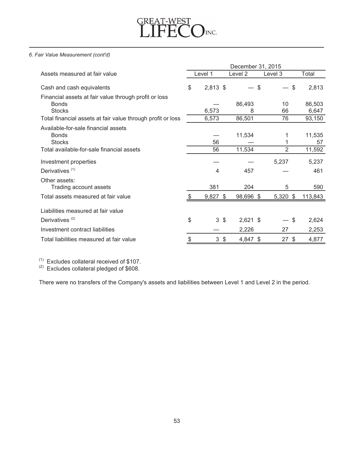

|                                                                                        | December 31, 2015 |             |  |             |                     |    |                 |  |  |  |  |
|----------------------------------------------------------------------------------------|-------------------|-------------|--|-------------|---------------------|----|-----------------|--|--|--|--|
| Assets measured at fair value                                                          |                   | Level 1     |  | Level 2     | Level 3             |    | Total           |  |  |  |  |
| Cash and cash equivalents                                                              | \$                | $2,813$ \$  |  | \$          |                     | \$ | 2,813           |  |  |  |  |
| Financial assets at fair value through profit or loss<br><b>Bonds</b><br><b>Stocks</b> |                   | 6,573       |  | 86,493<br>8 | 10<br>66            |    | 86,503<br>6,647 |  |  |  |  |
| Total financial assets at fair value through profit or loss                            |                   | 6,573       |  | 86,501      | 76                  |    | 93,150          |  |  |  |  |
| Available-for-sale financial assets<br><b>Bonds</b>                                    |                   |             |  | 11,534      | 1                   |    | 11,535          |  |  |  |  |
| <b>Stocks</b><br>Total available-for-sale financial assets                             |                   | 56<br>56    |  | 11,534      | 1<br>$\overline{2}$ |    | 57<br>11,592    |  |  |  |  |
| Investment properties                                                                  |                   |             |  |             | 5,237               |    | 5,237           |  |  |  |  |
| Derivatives <sup>(1)</sup>                                                             |                   | 4           |  | 457         |                     |    | 461             |  |  |  |  |
| Other assets:<br>Trading account assets                                                |                   | 381         |  | 204         | 5                   |    | 590             |  |  |  |  |
| Total assets measured at fair value                                                    |                   | $9,827$ \$  |  | 98,696 \$   | 5,320 \$            |    | 113,843         |  |  |  |  |
| Liabilities measured at fair value                                                     |                   |             |  |             |                     |    |                 |  |  |  |  |
| Derivatives <sup>(2)</sup>                                                             | \$                | $3\sqrt{3}$ |  | $2,621$ \$  |                     | \$ | 2,624           |  |  |  |  |
| Investment contract liabilities                                                        |                   |             |  | 2,226       | 27                  |    | 2,253           |  |  |  |  |
| Total liabilities measured at fair value                                               | \$                | $3\sqrt{3}$ |  | 4,847 \$    | $27 \text{ }$ \$    |    | 4,877           |  |  |  |  |

 $(1)$  Excludes collateral received of \$107.<br> $(2)$  Excludes collateral pledged of \$608.

There were no transfers of the Company's assets and liabilities between Level 1 and Level 2 in the period.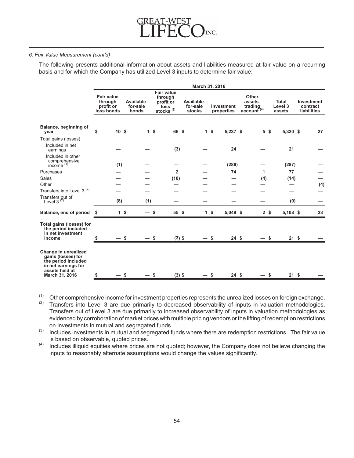

The following presents additional information about assets and liabilities measured at fair value on a recurring basis and for which the Company has utilized Level 3 inputs to determine fair value:

|                                                                                                                              |                                                         |      |                                 |     |                                                                          | March 31, 2016                          |   |                          |                                                |                                   |                                              |     |
|------------------------------------------------------------------------------------------------------------------------------|---------------------------------------------------------|------|---------------------------------|-----|--------------------------------------------------------------------------|-----------------------------------------|---|--------------------------|------------------------------------------------|-----------------------------------|----------------------------------------------|-----|
|                                                                                                                              | <b>Fair value</b><br>through<br>profit or<br>loss bonds |      | Available-<br>for-sale<br>bonds |     | <b>Fair value</b><br>through<br>profit or<br><b>loss</b><br>stocks $(3)$ | Available-<br>for-sale<br><b>stocks</b> |   | Investment<br>properties | Other<br>assets-<br>trading<br>$account^{(4)}$ | <b>Total</b><br>Level 3<br>assets | Investment<br>contract<br><b>liabilities</b> |     |
| Balance, beginning of<br>year                                                                                                | \$<br>10 <sup>5</sup>                                   |      | 1 <sup>s</sup>                  |     | 66 \$                                                                    | 1 <sup>5</sup>                          |   | 5,237 \$                 | 5 <sup>5</sup>                                 | 5,320 \$                          |                                              | 27  |
| Total gains (losses)<br>Included in net<br>earnings                                                                          |                                                         |      |                                 |     | (3)                                                                      |                                         |   | 24                       |                                                | 21                                |                                              |     |
| Included in other<br>comprehensive<br>income $(1)$                                                                           | (1)                                                     |      |                                 |     |                                                                          |                                         |   | (286)                    |                                                | (287)                             |                                              |     |
| Purchases                                                                                                                    |                                                         |      |                                 |     | $\overline{2}$                                                           |                                         |   | 74                       | 1                                              | 77                                |                                              |     |
| <b>Sales</b>                                                                                                                 |                                                         |      |                                 |     | (10)                                                                     |                                         |   |                          | (4)                                            | (14)                              |                                              |     |
| Other<br>Transfers into Level 3 <sup>(2)</sup>                                                                               |                                                         |      |                                 |     |                                                                          |                                         |   |                          |                                                |                                   |                                              | (4) |
| Transfers out of<br>Level 3 $(2)$                                                                                            | (8)                                                     |      | (1)                             |     |                                                                          |                                         |   |                          |                                                | (9)                               |                                              |     |
| Balance, end of period                                                                                                       | \$<br>1 <sup>5</sup>                                    |      |                                 | \$  | 55 \$                                                                    | 1 <sup>5</sup>                          |   | 5,049 \$                 | 2 <sup>5</sup>                                 | $5,108$ \$                        |                                              | 23  |
| Total gains (losses) for<br>the period included<br>in net investment<br>income                                               |                                                         | - \$ |                                 | -\$ | $(3)$ \$                                                                 |                                         | S | 24S                      | S.                                             | 21S                               |                                              |     |
| Change in unrealized<br>gains (losses) for<br>the period included<br>in net earnings for<br>assets held at<br>March 31, 2016 | \$                                                      | S    |                                 | \$  | $(3)$ \$                                                                 |                                         | S | 24S                      | \$                                             | 21S                               |                                              |     |

 $(1)$  Other comprehensive income for investment properties represents the unrealized losses on foreign exchange.

 $(2)$  Transfers into Level 3 are due primarily to decreased observability of inputs in valuation methodologies. Transfers out of Level 3 are due primarily to increased observability of inputs in valuation methodologies as evidenced by corroboration of market prices with multiple pricing vendors or the lifting of redemption restrictions on investments in mutual and segregated funds.

(3) Includes investments in mutual and segregated funds where there are redemption restrictions. The fair value is based on observable, quoted prices.

 $<sup>(4)</sup>$  Includes illiquid equities where prices are not quoted; however, the Company does not believe changing the</sup> inputs to reasonably alternate assumptions would change the values significantly.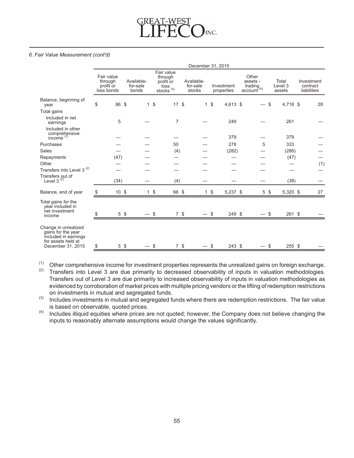# GREAT-WEST INC.

#### *6. Fair Value Measurement (cont'd)*

|                                                                                                               | December 31, 2015                                |                 |                                 |                |                                                            |      |                                  |                |                          |  |                                                 |                            |                                       |
|---------------------------------------------------------------------------------------------------------------|--------------------------------------------------|-----------------|---------------------------------|----------------|------------------------------------------------------------|------|----------------------------------|----------------|--------------------------|--|-------------------------------------------------|----------------------------|---------------------------------------|
|                                                                                                               | Fair value<br>through<br>profit or<br>loss bonds |                 | Available-<br>for-sale<br>bonds |                | Fair value<br>through<br>profit or<br>loss<br>stocks $(3)$ |      | Available-<br>for-sale<br>stocks |                | Investment<br>properties |  | Other<br>assets -<br>trading<br>$account^{(4)}$ | Total<br>Level 3<br>assets | Investment<br>contract<br>liabilities |
| Balance, beginning of<br>year                                                                                 | \$<br>86 \$                                      |                 |                                 | 1 <sup>5</sup> | 17S                                                        |      |                                  | 1 <sup>5</sup> | 4,613 \$                 |  |                                                 | \$<br>4,718 \$             | 28                                    |
| Total gains                                                                                                   |                                                  |                 |                                 |                |                                                            |      |                                  |                |                          |  |                                                 |                            |                                       |
| Included in net<br>earnings                                                                                   | 5                                                |                 |                                 |                | 7                                                          |      |                                  |                | 249                      |  |                                                 | 261                        |                                       |
| Included in other<br>comprehensive<br>income $(1)$                                                            |                                                  |                 |                                 |                |                                                            |      |                                  |                | 379                      |  |                                                 | 379                        |                                       |
| Purchases                                                                                                     |                                                  |                 |                                 |                | 50                                                         |      |                                  |                | 278                      |  | 5                                               | 333                        |                                       |
| <b>Sales</b>                                                                                                  |                                                  |                 |                                 |                | (4)                                                        |      |                                  |                | (282)                    |  |                                                 | (286)                      |                                       |
| Repayments                                                                                                    | (47)                                             |                 |                                 |                |                                                            |      |                                  |                |                          |  |                                                 | (47)                       |                                       |
| Other                                                                                                         |                                                  |                 |                                 |                |                                                            |      |                                  |                |                          |  |                                                 |                            | (1)                                   |
| Transfers into Level 3 <sup>(2)</sup>                                                                         |                                                  |                 |                                 |                |                                                            |      |                                  |                |                          |  |                                                 |                            |                                       |
| Transfers out of<br>Level 3 $(2)$                                                                             | (34)                                             |                 |                                 |                | (4)                                                        |      |                                  |                |                          |  |                                                 | (38)                       |                                       |
| Balance, end of year                                                                                          | \$<br>$10 \, \text{S}$                           |                 |                                 | $1 \quad$      | 66 \$                                                      |      |                                  | $1 \text{ } $$ | 5,237 \$                 |  | $5 \text{ }$ \$                                 | 5,320 \$                   | 27                                    |
| Total gains for the<br>year included in<br>net investment<br>income                                           | \$                                               | $5 \text{ }$ \$ |                                 | \$             |                                                            | 7 \$ |                                  | \$             | 249 \$                   |  |                                                 | 261 \$<br>\$               |                                       |
| Change in unrealized<br>gains for the year<br>included in earnings<br>for assets held at<br>December 31, 2015 | \$                                               | 5 \$            |                                 | \$             |                                                            | 7 \$ |                                  | \$             | 243 \$                   |  | \$                                              | $255$ \$                   |                                       |

 $(1)$  Other comprehensive income for investment properties represents the unrealized gains on foreign exchange.

 $(2)$  Transfers into Level 3 are due primarily to decreased observability of inputs in valuation methodologies. Transfers out of Level 3 are due primarily to increased observability of inputs in valuation methodologies as evidenced by corroboration of market prices with multiple pricing vendors or the lifting of redemption restrictions on investments in mutual and segregated funds.

(3) Includes investments in mutual and segregated funds where there are redemption restrictions. The fair value is based on observable, quoted prices.

 $(4)$  Includes illiquid equities where prices are not quoted; however, the Company does not believe changing the inputs to reasonably alternate assumptions would change the values significantly.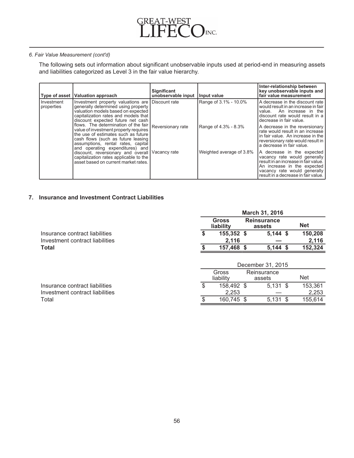

The following sets out information about significant unobservable inputs used at period-end in measuring assets and liabilities categorized as Level 3 in the fair value hierarchy.

| Type of asset              | <b>Valuation approach</b>                                                                                                                                                                                                                               | <b>Significant</b><br>unobservable input | I Input value            | Inter-relationship between<br>key unobservable inputs and<br>fair value measurement                                                                                                                      |
|----------------------------|---------------------------------------------------------------------------------------------------------------------------------------------------------------------------------------------------------------------------------------------------------|------------------------------------------|--------------------------|----------------------------------------------------------------------------------------------------------------------------------------------------------------------------------------------------------|
| I Investment<br>properties | Investment property valuations are Discount rate<br>generally determined using property<br>valuation models based on expected<br>capitalization rates and models that<br>discount expected future net cash                                              |                                          | Range of 3.1% - 10.0%    | A decrease in the discount rate<br>would result in an increase in fair<br>An increase in the<br>value.<br>discount rate would result in a<br>decrease in fair value.                                     |
|                            | flows. The determination of the fair   Reversionary rate<br>value of investment property requires<br>the use of estimates such as future<br>cash flows (such as future leasing<br>assumptions, rental rates, capital<br>and operating expenditures) and |                                          | Range of 4.3% - 8.3%     | A decrease in the reversionary<br>rate would result in an increase<br>in fair value. An increase in the<br>reversionary rate would result in<br>a decrease in fair value.                                |
|                            | discount, reversionary and overall Vacancy rate<br>capitalization rates applicable to the<br>asset based on current market rates.                                                                                                                       |                                          | Weighted average of 3.8% | A decrease in the expected<br>vacancy rate would generally<br>result in an increase in fair value.<br>An increase in the expected<br>vacancy rate would generally<br>result in a decrease in fair value. |

# **7. Insurance and Investment Contract Liabilities**

|                                 | <b>March 31, 2016</b>                                     |            |            |            |         |  |
|---------------------------------|-----------------------------------------------------------|------------|------------|------------|---------|--|
|                                 | <b>Gross</b><br><b>Reinsurance</b><br>liability<br>assets |            |            | <b>Net</b> |         |  |
| Insurance contract liabilities  |                                                           | 155,352 \$ | $5,144$ \$ |            | 150,208 |  |
| Investment contract liabilities |                                                           | 2.116      |            |            | 2,116   |  |
| <b>Total</b>                    |                                                           | 157,468 \$ | 5.144S     |            | 152,324 |  |
|                                 |                                                           |            |            |            |         |  |

|                                 |   | December 31, 2015                           |            |  |            |  |  |
|---------------------------------|---|---------------------------------------------|------------|--|------------|--|--|
|                                 |   | Gross<br>Reinsurance<br>liability<br>assets |            |  | <b>Net</b> |  |  |
| Insurance contract liabilities  |   | 158.492 \$                                  | $5.131$ \$ |  | 153,361    |  |  |
| Investment contract liabilities |   | 2.253                                       |            |  | 2,253      |  |  |
| Total                           | S | 160.745 \$                                  | $5.131$ \$ |  | 155.614    |  |  |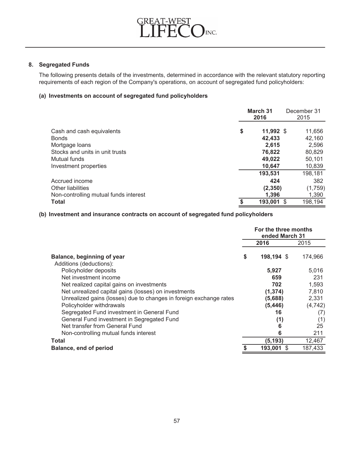

# **8. Segregated Funds**

The following presents details of the investments, determined in accordance with the relevant statutory reporting requirements of each region of the Company's operations, on account of segregated fund policyholders:

# **(a) Investments on account of segregated fund policyholders**

|                                       | March 31<br>2016 |             | December 31<br>2015 |  |
|---------------------------------------|------------------|-------------|---------------------|--|
| Cash and cash equivalents             | \$               | $11,992$ \$ | 11,656              |  |
| <b>Bonds</b>                          |                  | 42,433      | 42,160              |  |
| Mortgage loans                        |                  | 2.615       | 2,596               |  |
| Stocks and units in unit trusts       |                  | 76,822      | 80,829              |  |
| Mutual funds                          |                  | 49.022      | 50,101              |  |
| Investment properties                 |                  | 10,647      | 10,839              |  |
|                                       |                  | 193,531     | 198,181             |  |
| Accrued income                        |                  | 424         | 382                 |  |
| Other liabilities                     |                  | (2, 350)    | (1,759)             |  |
| Non-controlling mutual funds interest |                  | 1.396       | 1,390               |  |
| <b>Total</b>                          |                  | 193,001     | 198,194<br>- \$     |  |

# **(b) Investment and insurance contracts on account of segregated fund policyholders**

|                                                                    | For the three months<br>ended March 31 |              |          |
|--------------------------------------------------------------------|----------------------------------------|--------------|----------|
|                                                                    |                                        | 2016         | 2015     |
| Balance, beginning of year<br>Additions (deductions):              | S                                      | 198,194 \$   | 174,966  |
| Policyholder deposits                                              |                                        | 5,927        | 5,016    |
| Net investment income                                              |                                        | 659          | 231      |
| Net realized capital gains on investments                          |                                        | 702          | 1,593    |
| Net unrealized capital gains (losses) on investments               |                                        | (1, 374)     | 7,810    |
| Unrealized gains (losses) due to changes in foreign exchange rates |                                        | (5,688)      | 2,331    |
| Policyholder withdrawals                                           |                                        | (5, 446)     | (4, 742) |
| Segregated Fund investment in General Fund                         |                                        | 16           | (7)      |
| General Fund investment in Segregated Fund                         |                                        | (1)          | (1)      |
| Net transfer from General Fund                                     |                                        | 6            | 25       |
| Non-controlling mutual funds interest                              |                                        | 6            | 211      |
| <b>Total</b>                                                       |                                        | (5, 193)     | 12,467   |
| Balance, end of period                                             |                                        | 193,001<br>S | 187,433  |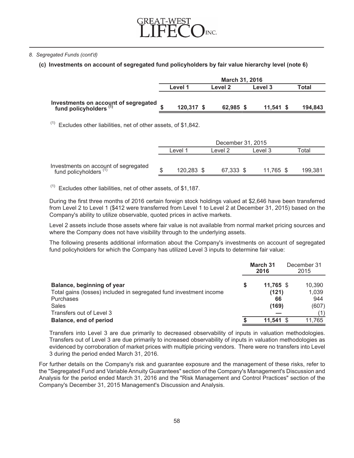

# *8. Segregated Funds (cont'd)*

# **(c) Investments on account of segregated fund policyholders by fair value hierarchy level (note 6)**

|                                                                           | March 31, 2016 |            |  |           |  |             |         |
|---------------------------------------------------------------------------|----------------|------------|--|-----------|--|-------------|---------|
|                                                                           |                | Level 1    |  | Level 2   |  | Level 3     | Total   |
| Investments on account of segregated<br>fund policyholders <sup>(1)</sup> |                | 120,317 \$ |  | 62,985 \$ |  | $11.541$ \$ | 194,843 |

 $(1)$  Excludes other liabilities, net of other assets, of \$1,842.

|                                                                | December 31, 2015 |                    |  |           |  |           |             |
|----------------------------------------------------------------|-------------------|--------------------|--|-----------|--|-----------|-------------|
|                                                                |                   | ∟evel <sup>1</sup> |  | Level 2   |  | Level 3   | $\tau$ otal |
|                                                                |                   |                    |  |           |  |           |             |
| Investments on account of segregated<br>fund policyholders (1) |                   | 120,283 \$         |  | 67,333 \$ |  | 11,765 \$ | 199,381     |

 $(1)$  Excludes other liabilities, net of other assets, of \$1,187.

During the first three months of 2016 certain foreign stock holdings valued at \$2,646 have been transferred from Level 2 to Level 1 (\$412 were transferred from Level 1 to Level 2 at December 31, 2015) based on the Company's ability to utilize observable, quoted prices in active markets.

Level 2 assets include those assets where fair value is not available from normal market pricing sources and where the Company does not have visibility through to the underlying assets.

The following presents additional information about the Company's investments on account of segregated fund policyholders for which the Company has utilized Level 3 inputs to determine fair value:

|                                                                    | March 31<br>2016 | December 31<br>2015 |        |
|--------------------------------------------------------------------|------------------|---------------------|--------|
| Balance, beginning of year                                         | 11,765 \$        |                     | 10,390 |
| Total gains (losses) included in segregated fund investment income | (121)            |                     | 1,039  |
| Purchases                                                          | 66               |                     | 944    |
| Sales                                                              | (169)            |                     | (607)  |
| Transfers out of Level 3                                           |                  |                     | (1)    |
| Balance, end of period                                             | $11.541$ \$      |                     | 11,765 |

Transfers into Level 3 are due primarily to decreased observability of inputs in valuation methodologies. Transfers out of Level 3 are due primarily to increased observability of inputs in valuation methodologies as evidenced by corroboration of market prices with multiple pricing vendors. There were no transfers into Level 3 during the period ended March 31, 2016.

For further details on the Company's risk and guarantee exposure and the management of these risks, refer to the "Segregated Fund and Variable Annuity Guarantees" section of the Company's Management's Discussion and Analysis for the period ended March 31, 2016 and the "Risk Management and Control Practices" section of the Company's December 31, 2015 Management's Discussion and Analysis.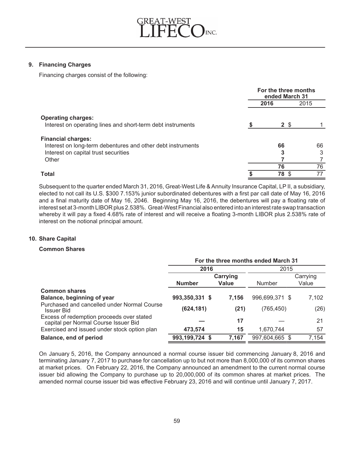

# **9. Financing Charges**

Financing charges consist of the following:

|                                                             | For the three months<br>ended March 31 |              |      |  |
|-------------------------------------------------------------|----------------------------------------|--------------|------|--|
|                                                             |                                        | 2016         | 2015 |  |
| <b>Operating charges:</b>                                   |                                        |              |      |  |
| Interest on operating lines and short-term debt instruments |                                        | $2 \sqrt{3}$ |      |  |
| <b>Financial charges:</b>                                   |                                        |              |      |  |
| Interest on long-term debentures and other debt instruments |                                        | 66           | 66   |  |
| Interest on capital trust securities                        |                                        |              | 3    |  |
| Other                                                       |                                        |              |      |  |
|                                                             |                                        | 76           | 76   |  |
| <b>Total</b>                                                |                                        | 78 \$        | 77   |  |

Subsequent to the quarter ended March 31, 2016, Great-West Life & Annuity Insurance Capital, LP II, a subsidiary, elected to not call its U.S. \$300 7.153% junior subordinated debentures with a first par call date of May 16, 2016 and a final maturity date of May 16, 2046. Beginning May 16, 2016, the debentures will pay a floating rate of interest set at 3-month LIBOR plus 2.538%. Great-West Financial also entered into an interest rate swap transaction whereby it will pay a fixed 4.68% rate of interest and will receive a floating 3-month LIBOR plus 2.538% rate of interest on the notional principal amount.

## **10. Share Capital**

## **Common Shares**

|                                                                                   | For the three months ended March 31 |              |                |          |  |  |  |
|-----------------------------------------------------------------------------------|-------------------------------------|--------------|----------------|----------|--|--|--|
|                                                                                   | 2016                                |              | 2015           |          |  |  |  |
|                                                                                   |                                     | Carrying     |                | Carrying |  |  |  |
|                                                                                   | <b>Number</b>                       | <b>Value</b> | <b>Number</b>  | Value    |  |  |  |
| <b>Common shares</b>                                                              |                                     |              |                |          |  |  |  |
| Balance, beginning of year                                                        | 993,350,331 \$                      | 7.156        | 996,699,371 \$ | 7,102    |  |  |  |
| Purchased and cancelled under Normal Course<br>Issuer Bid                         | (624, 181)                          | (21)         | (765, 450)     | (26)     |  |  |  |
| Excess of redemption proceeds over stated<br>capital per Normal Course Issuer Bid |                                     | 17           |                | 21       |  |  |  |
| Exercised and issued under stock option plan                                      | 473,574                             | 15           | 1,670,744      | 57       |  |  |  |
| Balance, end of period                                                            | 993,199,724 \$                      | 7,167        | 997,604,665 \$ | 7,154    |  |  |  |

On January 5, 2016, the Company announced a normal course issuer bid commencing January 8, 2016 and terminating January 7, 2017 to purchase for cancellation up to but not more than 8,000,000 of its common shares at market prices. On February 22, 2016, the Company announced an amendment to the current normal course issuer bid allowing the Company to purchase up to 20,000,000 of its common shares at market prices. The amended normal course issuer bid was effective February 23, 2016 and will continue until January 7, 2017.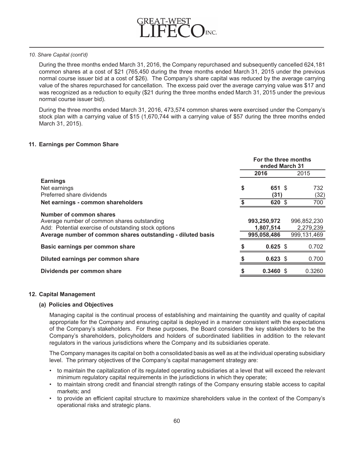

#### *10. Share Capital (cont'd)*

During the three months ended March 31, 2016, the Company repurchased and subsequently cancelled 624,181 common shares at a cost of \$21 (765,450 during the three months ended March 31, 2015 under the previous normal course issuer bid at a cost of \$26). The Company's share capital was reduced by the average carrying value of the shares repurchased for cancellation. The excess paid over the average carrying value was \$17 and was recognized as a reduction to equity (\$21 during the three months ended March 31, 2015 under the previous normal course issuer bid).

During the three months ended March 31, 2016, 473,574 common shares were exercised under the Company's stock plan with a carrying value of \$15 (1,670,744 with a carrying value of \$57 during the three months ended March 31, 2015).

## **11. Earnings per Common Share**

|                                                             | For the three months<br>ended March 31 |             |  |             |
|-------------------------------------------------------------|----------------------------------------|-------------|--|-------------|
|                                                             |                                        | 2016        |  | 2015        |
| <b>Earnings</b>                                             |                                        |             |  |             |
| Net earnings                                                | \$                                     | 651 \$      |  | 732         |
| Preferred share dividends                                   |                                        | (31)        |  | (32)        |
| Net earnings - common shareholders                          |                                        | 620 \$      |  | 700         |
| Number of common shares                                     |                                        |             |  |             |
| Average number of common shares outstanding                 |                                        | 993,250,972 |  | 996,852,230 |
| Add: Potential exercise of outstanding stock options        |                                        | 1,807,514   |  | 2,279,239   |
| Average number of common shares outstanding - diluted basis |                                        | 995,058,486 |  | 999,131,469 |
| Basic earnings per common share                             |                                        | $0.625$ \$  |  | 0.702       |
| Diluted earnings per common share                           |                                        | $0.623$ \$  |  | 0.700       |
| Dividends per common share                                  |                                        | $0.3460$ \$ |  | 0.3260      |

#### **12. Capital Management**

## **(a) Policies and Objectives**

Managing capital is the continual process of establishing and maintaining the quantity and quality of capital appropriate for the Company and ensuring capital is deployed in a manner consistent with the expectations of the Company's stakeholders. For these purposes, the Board considers the key stakeholders to be the Company's shareholders, policyholders and holders of subordinated liabilities in addition to the relevant regulators in the various jurisdictions where the Company and its subsidiaries operate.

The Company manages its capital on both a consolidated basis as well as at the individual operating subsidiary level. The primary objectives of the Company's capital management strategy are:

- to maintain the capitalization of its regulated operating subsidiaries at a level that will exceed the relevant minimum regulatory capital requirements in the jurisdictions in which they operate;
- to maintain strong credit and financial strength ratings of the Company ensuring stable access to capital markets; and
- to provide an efficient capital structure to maximize shareholders value in the context of the Company's operational risks and strategic plans.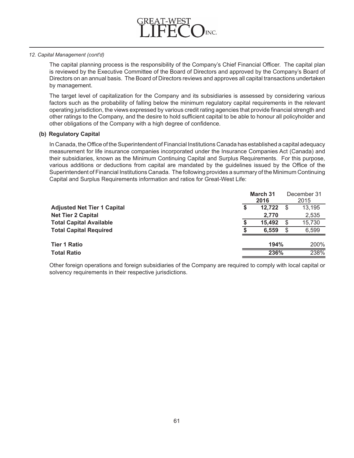

#### *12. Capital Management (cont'd)*

The capital planning process is the responsibility of the Company's Chief Financial Officer. The capital plan is reviewed by the Executive Committee of the Board of Directors and approved by the Company's Board of Directors on an annual basis. The Board of Directors reviews and approves all capital transactions undertaken by management.

The target level of capitalization for the Company and its subsidiaries is assessed by considering various factors such as the probability of falling below the minimum regulatory capital requirements in the relevant operating jurisdiction, the views expressed by various credit rating agencies that provide financial strength and other ratings to the Company, and the desire to hold sufficient capital to be able to honour all policyholder and other obligations of the Company with a high degree of confidence.

## **(b) Regulatory Capital**

In Canada, the Office of the Superintendent of Financial Institutions Canada has established a capital adequacy measurement for life insurance companies incorporated under the Insurance Companies Act (Canada) and their subsidiaries, known as the Minimum Continuing Capital and Surplus Requirements. For this purpose, various additions or deductions from capital are mandated by the guidelines issued by the Office of the Superintendent of Financial Institutions Canada. The following provides a summary of the Minimum Continuing Capital and Surplus Requirements information and ratios for Great-West Life:

|                                    | March 31<br>2016 |        |   | December 31<br>2015 |
|------------------------------------|------------------|--------|---|---------------------|
| <b>Adjusted Net Tier 1 Capital</b> | S                | 12.722 |   | 13,195              |
| <b>Net Tier 2 Capital</b>          |                  | 2,770  |   | 2,535               |
| <b>Total Capital Available</b>     |                  | 15.492 | S | 15,730              |
| <b>Total Capital Required</b>      |                  | 6.559  | S | 6,599               |
| <b>Tier 1 Ratio</b>                |                  | 194%   |   | 200%                |
| <b>Total Ratio</b>                 |                  | 236%   |   | 238%                |

Other foreign operations and foreign subsidiaries of the Company are required to comply with local capital or solvency requirements in their respective jurisdictions.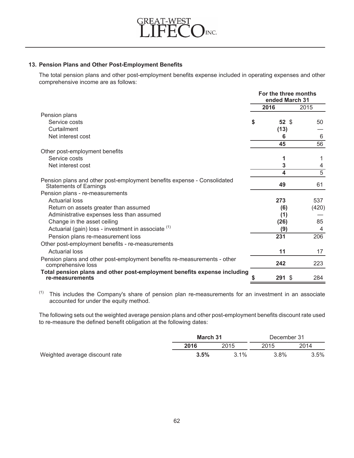

# **13. Pension Plans and Other Post-Employment Benefits**

The total pension plans and other post-employment benefits expense included in operating expenses and other comprehensive income are as follows:

|                                                                                                          |   | For the three months<br>ended March 31 |       |
|----------------------------------------------------------------------------------------------------------|---|----------------------------------------|-------|
|                                                                                                          |   | 2016                                   | 2015  |
| Pension plans                                                                                            |   |                                        |       |
| Service costs                                                                                            | S | 52 <sub>5</sub>                        | 50    |
| Curtailment                                                                                              |   | (13)                                   |       |
| Net interest cost                                                                                        |   | 6                                      | 6     |
|                                                                                                          |   | 45                                     | 56    |
| Other post-employment benefits                                                                           |   |                                        |       |
| Service costs                                                                                            |   | 1                                      |       |
| Net interest cost                                                                                        |   | 3                                      | 4     |
|                                                                                                          |   | 4                                      | 5     |
| Pension plans and other post-employment benefits expense - Consolidated<br><b>Statements of Earnings</b> |   | 49                                     | 61    |
| Pension plans - re-measurements                                                                          |   |                                        |       |
| <b>Actuarial loss</b>                                                                                    |   | 273                                    | 537   |
| Return on assets greater than assumed                                                                    |   | (6)                                    | (420) |
| Administrative expenses less than assumed                                                                |   | (1)                                    |       |
| Change in the asset ceiling                                                                              |   | (26)                                   | 85    |
| Actuarial (gain) loss - investment in associate (1)                                                      |   | (9)                                    | 4     |
| Pension plans re-measurement loss                                                                        |   | 231                                    | 206   |
| Other post-employment benefits - re-measurements                                                         |   |                                        |       |
| <b>Actuarial loss</b>                                                                                    |   | 11                                     | 17    |
| Pension plans and other post-employment benefits re-measurements - other<br>comprehensive loss           |   | 242                                    | 223   |
| Total pension plans and other post-employment benefits expense including<br>re-measurements              |   | 291 \$                                 | 284   |

 $(1)$  This includes the Company's share of pension plan re-measurements for an investment in an associate accounted for under the equity method.

The following sets out the weighted average pension plans and other post-employment benefits discount rate used to re-measure the defined benefit obligation at the following dates:

|                                | March 31 |         | December 31 |      |  |
|--------------------------------|----------|---------|-------------|------|--|
|                                | 2016     | 2015    | 2015        | 2014 |  |
| Weighted average discount rate | 3.5%     | $3.1\%$ | $3.8\%$     | 3.5% |  |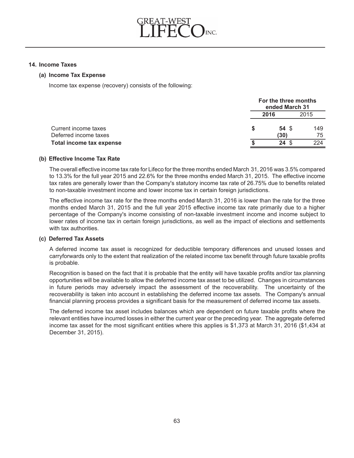

#### **14. Income Taxes**

#### **(a) Income Tax Expense**

Income tax expense (recovery) consists of the following:

|                          | For the three months<br>ended March 31 |      |
|--------------------------|----------------------------------------|------|
|                          | 2016                                   | 2015 |
| Current income taxes     | 54 S                                   | 149  |
| Deferred income taxes    | (30)                                   | 75   |
| Total income tax expense | 24<br>- \$                             | 224  |

## **(b) Effective Income Tax Rate**

The overall effective income tax rate for Lifeco for the three months ended March 31, 2016 was 3.5% compared to 13.3% for the full year 2015 and 22.6% for the three months ended March 31, 2015. The effective income tax rates are generally lower than the Company's statutory income tax rate of 26.75% due to benefits related to non-taxable investment income and lower income tax in certain foreign jurisdictions.

The effective income tax rate for the three months ended March 31, 2016 is lower than the rate for the three months ended March 31, 2015 and the full year 2015 effective income tax rate primarily due to a higher percentage of the Company's income consisting of non-taxable investment income and income subject to lower rates of income tax in certain foreign jurisdictions, as well as the impact of elections and settlements with tax authorities.

# **(c) Deferred Tax Assets**

A deferred income tax asset is recognized for deductible temporary differences and unused losses and carryforwards only to the extent that realization of the related income tax benefit through future taxable profits is probable.

Recognition is based on the fact that it is probable that the entity will have taxable profits and/or tax planning opportunities will be available to allow the deferred income tax asset to be utilized. Changes in circumstances in future periods may adversely impact the assessment of the recoverability. The uncertainty of the recoverability is taken into account in establishing the deferred income tax assets. The Company's annual financial planning process provides a significant basis for the measurement of deferred income tax assets.

The deferred income tax asset includes balances which are dependent on future taxable profits where the relevant entities have incurred losses in either the current year or the preceding year. The aggregate deferred income tax asset for the most significant entities where this applies is \$1,373 at March 31, 2016 (\$1,434 at December 31, 2015).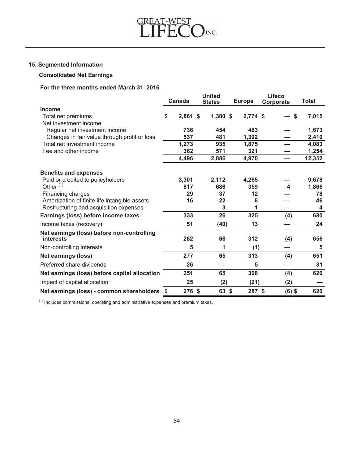

# **15. Segmented Information**

# **Consolidated Net Earnings**

# **For the three months ended March 31, 2016**

|                                                                | <b>United</b><br><b>Canada</b><br><b>States</b> |            | <b>Europe</b> | Lifeco     |           | <b>Total</b>     |                         |
|----------------------------------------------------------------|-------------------------------------------------|------------|---------------|------------|-----------|------------------|-------------------------|
|                                                                |                                                 |            |               |            | Corporate |                  |                         |
| <b>Income</b>                                                  |                                                 |            |               |            |           |                  |                         |
| Total net premiums<br>Net investment income                    | \$                                              | $2,861$ \$ | 1,380 \$      | $2,774$ \$ |           | \$               | 7,015                   |
| Regular net investment income                                  |                                                 | 736        | 454           | 483        |           |                  | 1,673                   |
| Changes in fair value through profit or loss                   |                                                 | 537        | 481           | 1,392      |           |                  | 2,410                   |
| Total net investment income                                    |                                                 | 1,273      | 935           | 1,875      |           |                  | 4,083                   |
| Fee and other income                                           |                                                 | 362        | 571           | 321        |           |                  | 1,254                   |
|                                                                |                                                 | 4,496      | 2,886         | 4,970      |           |                  | 12,352                  |
| <b>Benefits and expenses</b>                                   |                                                 |            |               |            |           |                  |                         |
| Paid or credited to policyholders                              |                                                 | 3,301      | 2,112         | 4,265      |           |                  | 9,678                   |
| Other $(1)$                                                    |                                                 | 817        | 686           | 359        |           | $\boldsymbol{4}$ | 1,866                   |
| Financing charges                                              |                                                 | 29         | 37            | 12         |           |                  | 78                      |
| Amortization of finite life intangible assets                  |                                                 | 16         | 22            | 8          |           |                  | 46                      |
| Restructuring and acquisition expenses                         |                                                 |            | 3             | 1          |           |                  | $\overline{\mathbf{4}}$ |
| Earnings (loss) before income taxes                            |                                                 | 333        | 26            | 325        |           | (4)              | 680                     |
| Income taxes (recovery)                                        |                                                 | 51         | (40)          | 13         |           |                  | 24                      |
| Net earnings (loss) before non-controlling<br><b>interests</b> |                                                 | 282        | 66            | 312        |           | (4)              | 656                     |
| Non-controlling interests                                      |                                                 | 5          | 1             | (1)        |           |                  | 5                       |
| <b>Net earnings (loss)</b>                                     |                                                 | 277        | 65            | 313        |           | (4)              | 651                     |
| Preferred share dividends                                      |                                                 | 26         |               | 5          |           |                  | 31                      |
| Net earnings (loss) before capital allocation                  |                                                 | 251        | 65            | 308        |           | (4)              | 620                     |
| Impact of capital allocation                                   |                                                 | 25         | (2)           | (21)       |           | (2)              |                         |
| Net earnings (loss) - common shareholders                      | \$                                              | 276 \$     | 63 \$         | 287 \$     |           | $(6)$ \$         | 620                     |

 $<sup>(1)</sup>$  Includes commissions, operating and administrative expenses and premium taxes.</sup>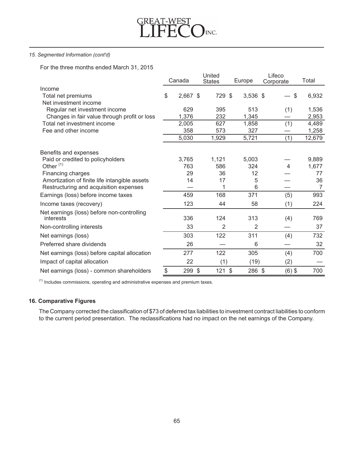

## *15. Segmented Information (cont'd)*

For the three months ended March 31, 2015

|                                                         | United |          |               |                | Lifeco |            |           |                |        |
|---------------------------------------------------------|--------|----------|---------------|----------------|--------|------------|-----------|----------------|--------|
|                                                         | Canada |          |               | <b>States</b>  |        | Europe     | Corporate |                | Total  |
| Income                                                  |        |          |               |                |        |            |           |                |        |
| Total net premiums                                      | \$     | 2,667 \$ |               | 729 \$         |        | $3,536$ \$ |           | \$             | 6,932  |
| Net investment income                                   |        |          |               |                |        |            |           |                |        |
| Regular net investment income                           |        | 629      |               | 395            |        | 513        |           | (1)            | 1,536  |
| Changes in fair value through profit or loss            |        | 1,376    |               | 232            |        | 1,345      |           |                | 2,953  |
| Total net investment income                             |        | 2,005    |               | 627            |        | 1,858      |           | (1)            | 4,489  |
| Fee and other income                                    |        | 358      |               | 573            |        | 327        |           |                | 1,258  |
|                                                         |        | 5,030    |               | 1,929          |        | 5,721      |           | (1)            | 12,679 |
| Benefits and expenses                                   |        |          |               |                |        |            |           |                |        |
| Paid or credited to policyholders                       |        | 3,765    |               | 1,121          |        | 5,003      |           |                | 9,889  |
| Other $(1)$                                             |        | 763      |               | 586            |        | 324        |           | $\overline{4}$ | 1,677  |
| Financing charges                                       |        | 29       |               | 36             |        | 12         |           |                | 77     |
| Amortization of finite life intangible assets           |        | 14       |               | 17             |        | 5          |           |                | 36     |
| Restructuring and acquisition expenses                  |        |          |               | 1              |        | 6          |           |                | 7      |
| Earnings (loss) before income taxes                     |        | 459      |               | 168            |        | 371        |           | (5)            | 993    |
| Income taxes (recovery)                                 |        | 123      |               | 44             |        | 58         |           | (1)            | 224    |
| Net earnings (loss) before non-controlling<br>interests |        | 336      |               | 124            |        | 313        |           | (4)            | 769    |
| Non-controlling interests                               |        | 33       |               | $\overline{2}$ |        | 2          |           |                | 37     |
| Net earnings (loss)                                     |        | 303      |               | 122            |        | 311        |           | (4)            | 732    |
| Preferred share dividends                               |        | 26       |               |                |        | 6          |           |                | 32     |
| Net earnings (loss) before capital allocation           |        | 277      |               | 122            |        | 305        |           | (4)            | 700    |
| Impact of capital allocation                            |        | 22       |               | (1)            |        | (19)       |           | (2)            |        |
| Net earnings (loss) - common shareholders               | \$     | 299      | $\mathcal{S}$ | $121$ \$       |        | 286 \$     |           | $(6)$ \$       | 700    |

 $<sup>(1)</sup>$  Includes commissions, operating and administrative expenses and premium taxes.</sup>

# **16. Comparative Figures**

The Company corrected the classification of \$73 of deferred tax liabilities to investment contract liabilities to conform to the current period presentation. The reclassifications had no impact on the net earnings of the Company.